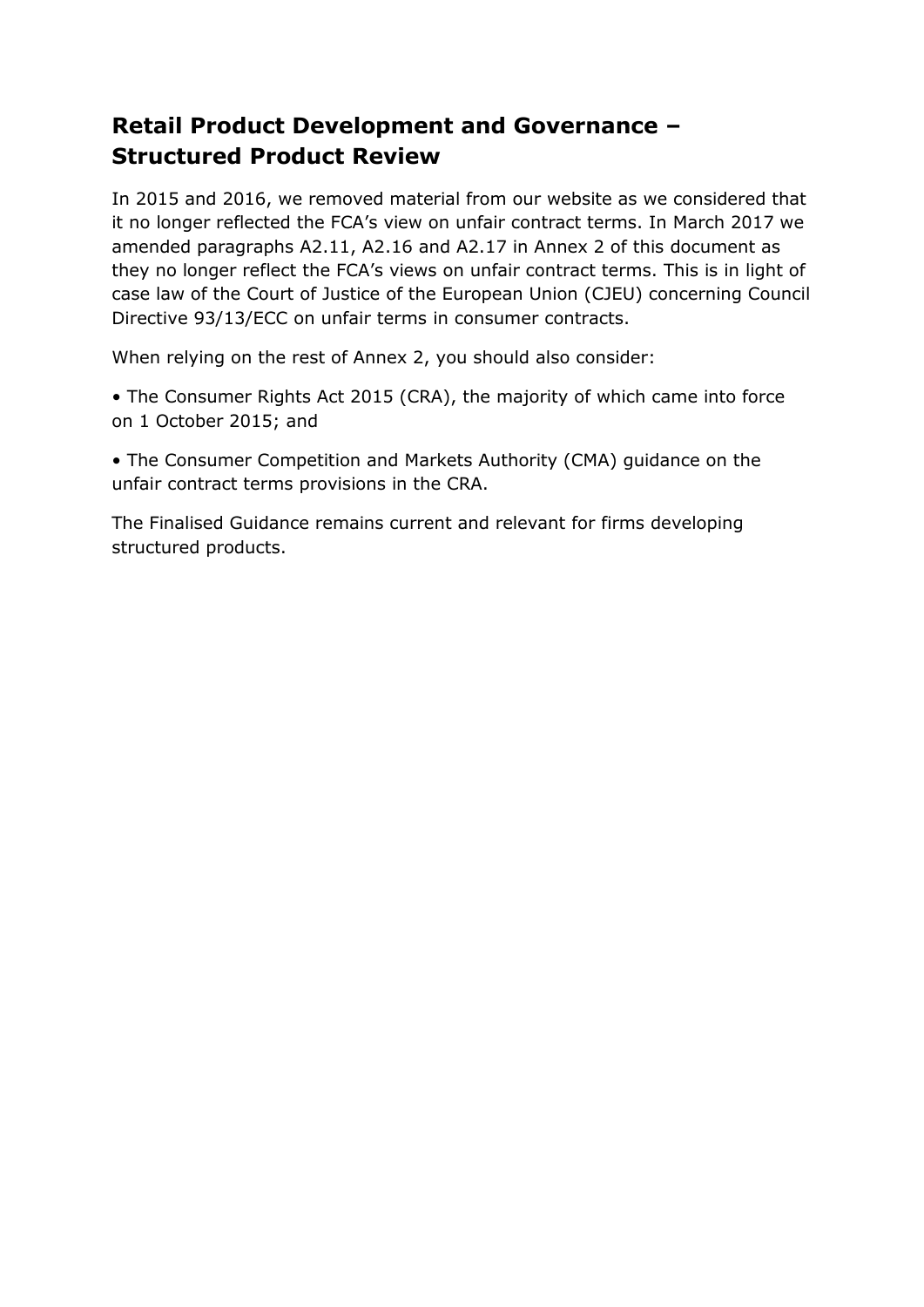# **Retail Product Development and Governance – Structured Product Review**

In 2015 and 2016, we removed material from our website as we considered that it no longer reflected the FCA's view on unfair contract terms. In March 2017 we amended paragraphs A2.11, A2.16 and A2.17 in Annex 2 of this document as they no longer reflect the FCA's views on unfair contract terms. This is in light of case law of the Court of Justice of the European Union (CJEU) concerning Council Directive 93/13/ECC on unfair terms in consumer contracts.

When relying on the rest of Annex 2, you should also consider:

• The Consumer Rights Act 2015 (CRA), the majority of which came into force on 1 October 2015; and

• The Consumer Competition and Markets Authority (CMA) guidance on the unfair contract terms provisions in the CRA.

The Finalised Guidance remains current and relevant for firms developing structured products.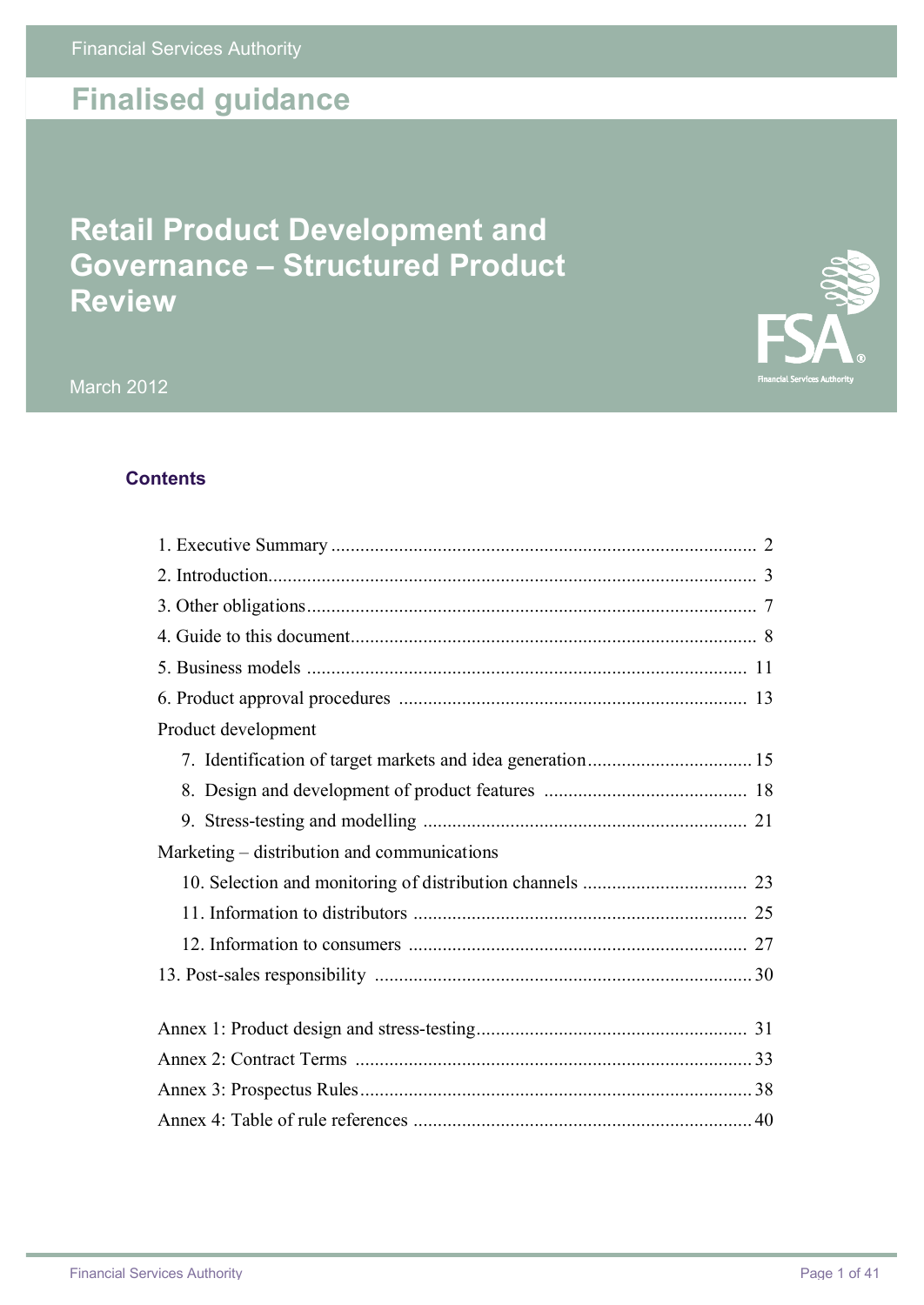# **Finalised guidance**

# **Retail Product Development and Governance – Structured Product Review**



March 2012

# **Contents**

| Product development                         |  |
|---------------------------------------------|--|
|                                             |  |
|                                             |  |
|                                             |  |
| Marketing – distribution and communications |  |
|                                             |  |
|                                             |  |
|                                             |  |
|                                             |  |
|                                             |  |
|                                             |  |
|                                             |  |
|                                             |  |
|                                             |  |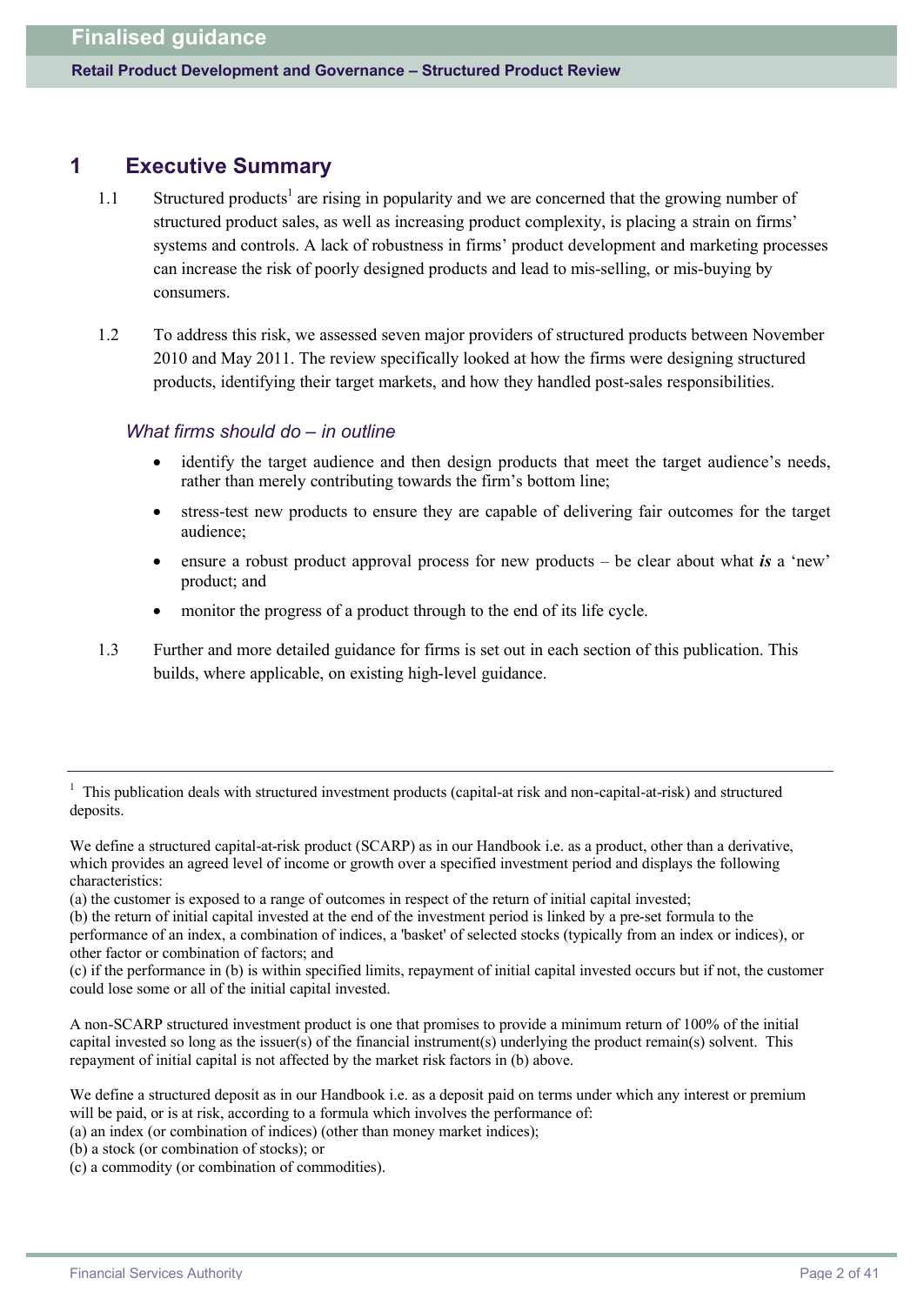## **1 Executive Summary**

- 1.1 Structured products<sup>1</sup> are rising in popularity and we are concerned that the growing number of structured product sales, as well as increasing product complexity, is placing a strain on firms' systems and controls. A lack of robustness in firms' product development and marketing processes can increase the risk of poorly designed products and lead to mis-selling, or mis-buying by consumers.
- 1.2 To address this risk, we assessed seven major providers of structured products between November 2010 and May 2011. The review specifically looked at how the firms were designing structured products, identifying their target markets, and how they handled post-sales responsibilities.

### *What firms should do – in outline*

- identify the target audience and then design products that meet the target audience's needs, rather than merely contributing towards the firm's bottom line;
- · stress-test new products to ensure they are capable of delivering fair outcomes for the target audience;
- ensure a robust product approval process for new products be clear about what *is* a 'new' product; and
- monitor the progress of a product through to the end of its life cycle.
- 1.3 Further and more detailed guidance for firms is set out in each section of this publication. This builds, where applicable, on existing high-level guidance.

- (a) an index (or combination of indices) (other than money market indices);
- (b) a stock (or combination of stocks); or
- (c) a commodity (or combination of commodities).

<sup>1</sup> This publication deals with structured investment products (capital-at risk and non-capital-at-risk) and structured deposits.

We define a structured capital-at-risk product (SCARP) as in our Handbook i.e. as a product, other than a derivative, which provides an agreed level of income or growth over a specified investment period and displays the following characteristics:

<sup>(</sup>a) the customer is exposed to a range of outcomes in respect of the return of initial capital invested;

<sup>(</sup>b) the return of initial capital invested at the end of the investment period is linked by a pre-set formula to the performance of an index, a combination of indices, a 'basket' of selected stocks (typically from an index or indices), or other factor or combination of factors; and

<sup>(</sup>c) if the performance in (b) is within specified limits, repayment of initial capital invested occurs but if not, the customer could lose some or all of the initial capital invested.

A non-SCARP structured investment product is one that promises to provide a minimum return of 100% of the initial capital invested so long as the issuer(s) of the financial instrument(s) underlying the product remain(s) solvent. This repayment of initial capital is not affected by the market risk factors in (b) above.

We define a structured deposit as in our Handbook i.e. as a deposit paid on terms under which any interest or premium will be paid, or is at risk, according to a formula which involves the performance of: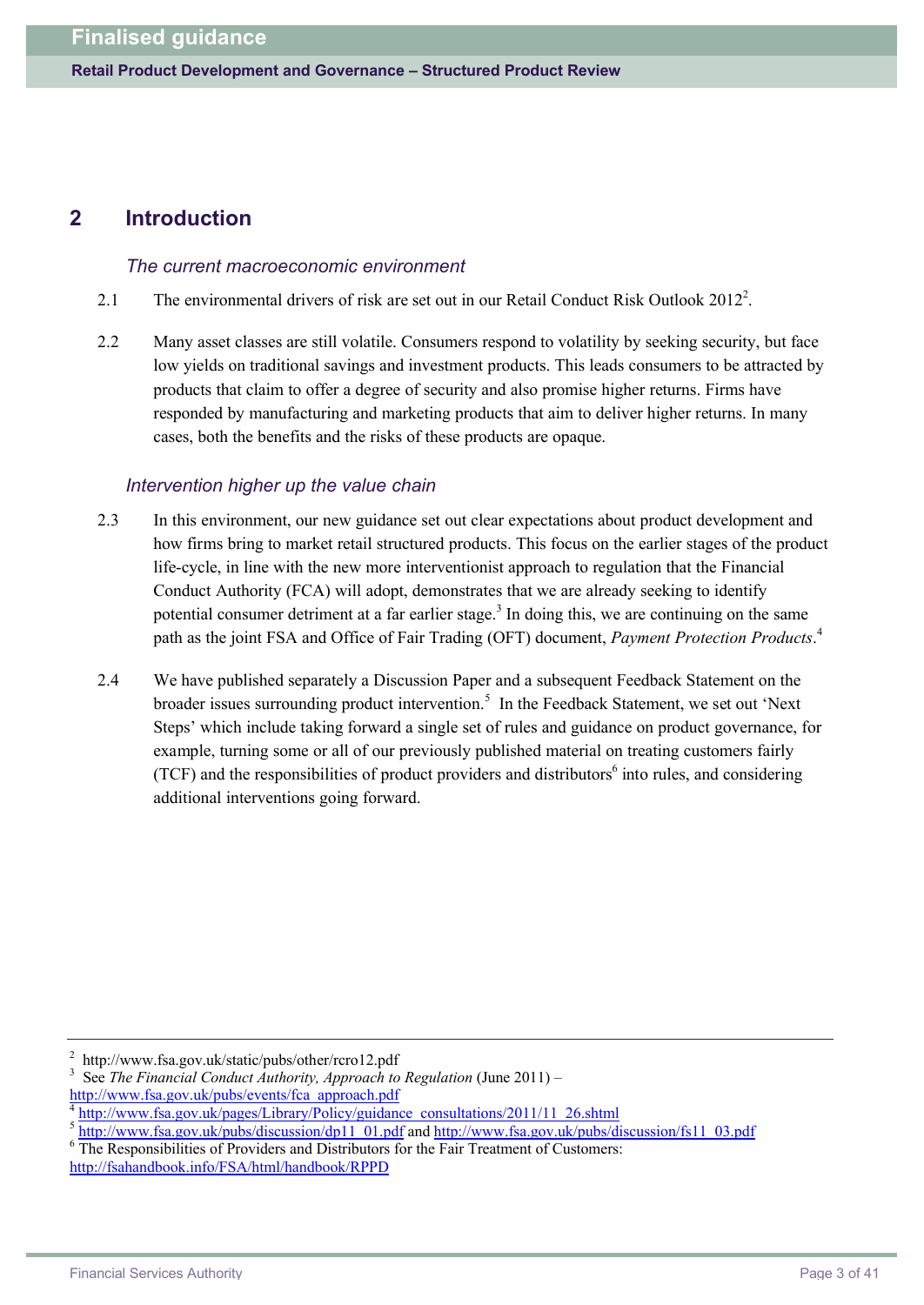# **2 Introduction**

#### *The current macroeconomic environment*

- 2.1 The environmental drivers of risk are set out in our Retail Conduct Risk Outlook 2012<sup>2</sup>.
- 2.2 Many asset classes are still volatile. Consumers respond to volatility by seeking security, but face low yields on traditional savings and investment products. This leads consumers to be attracted by products that claim to offer a degree of security and also promise higher returns. Firms have responded by manufacturing and marketing products that aim to deliver higher returns. In many cases, both the benefits and the risks of these products are opaque.

### *Intervention higher up the value chain*

- 2.3 In this environment, our new guidance set out clear expectations about product development and how firms bring to market retail structured products. This focus on the earlier stages of the product life-cycle, in line with the new more interventionist approach to regulation that the Financial Conduct Authority (FCA) will adopt, demonstrates that we are already seeking to identify potential consumer detriment at a far earlier stage.<sup>3</sup> In doing this, we are continuing on the same path as the joint FSA and Office of Fair Trading (OFT) document, *Payment Protection Products*. 4
- 2.4 We have published separately a Discussion Paper and a subsequent Feedback Statement on the broader issues surrounding product intervention.<sup>5</sup> In the Feedback Statement, we set out 'Next Steps' which include taking forward a single set of rules and guidance on product governance, for example, turning some or all of our previously published material on treating customers fairly (TCF) and the responsibilities of product providers and distributors $<sup>6</sup>$  into rules, and considering</sup> additional interventions going forward.

2 [http://](http://www.fsa.gov.uk/static/pubs/other/rcro12.pdf)<www.fsa.gov.uk/static/pubs/other/rcro12.pdf>

<sup>3</sup> See *The Financial Conduct Authority, Approach to Regulation* (June 2011) – [http://w](http://www.fsa.gov.uk/pubs/events/fca_approach.pdf)[ww.fsa.gov.uk/pubs/events/fca\\_approach.pdf](www.fsa.gov.uk/pubs/events/fca_approach.pdf)

<sup>4</sup>

[http://w](http://www.fsa.gov.uk/pages/Library/Policy/guidance_consultations/2011/11_26.shtml)[ww.fsa.gov.uk/pages/Library/Policy/guidance\\_consultations/2011/11\\_26.shtml](www.fsa.gov.uk/pages/Library/Policy/guidance_consultations/2011/11_26.shtml)

<sup>&</sup>lt;sup>5</sup> [http://w](http://www.fsa.gov.uk/pubs/discussion/fs11_03.pdf)[ww.fsa.gov.uk/pubs/discussion/dp11\\_01.pdf](www.fsa.gov.uk/pubs/discussion/dp11_01.pdf) and http://w[ww.fsa.gov.uk/pubs/discussion/fs11\\_03.pdf](www.fsa.gov.uk/pubs/discussion/fs11_03.pdf)

<sup>6</sup> The Responsibilities of Providers and Distributors for the Fair Treatment of Customers: <http://fsahandbook.info/FSA/html/handbook/RPPD>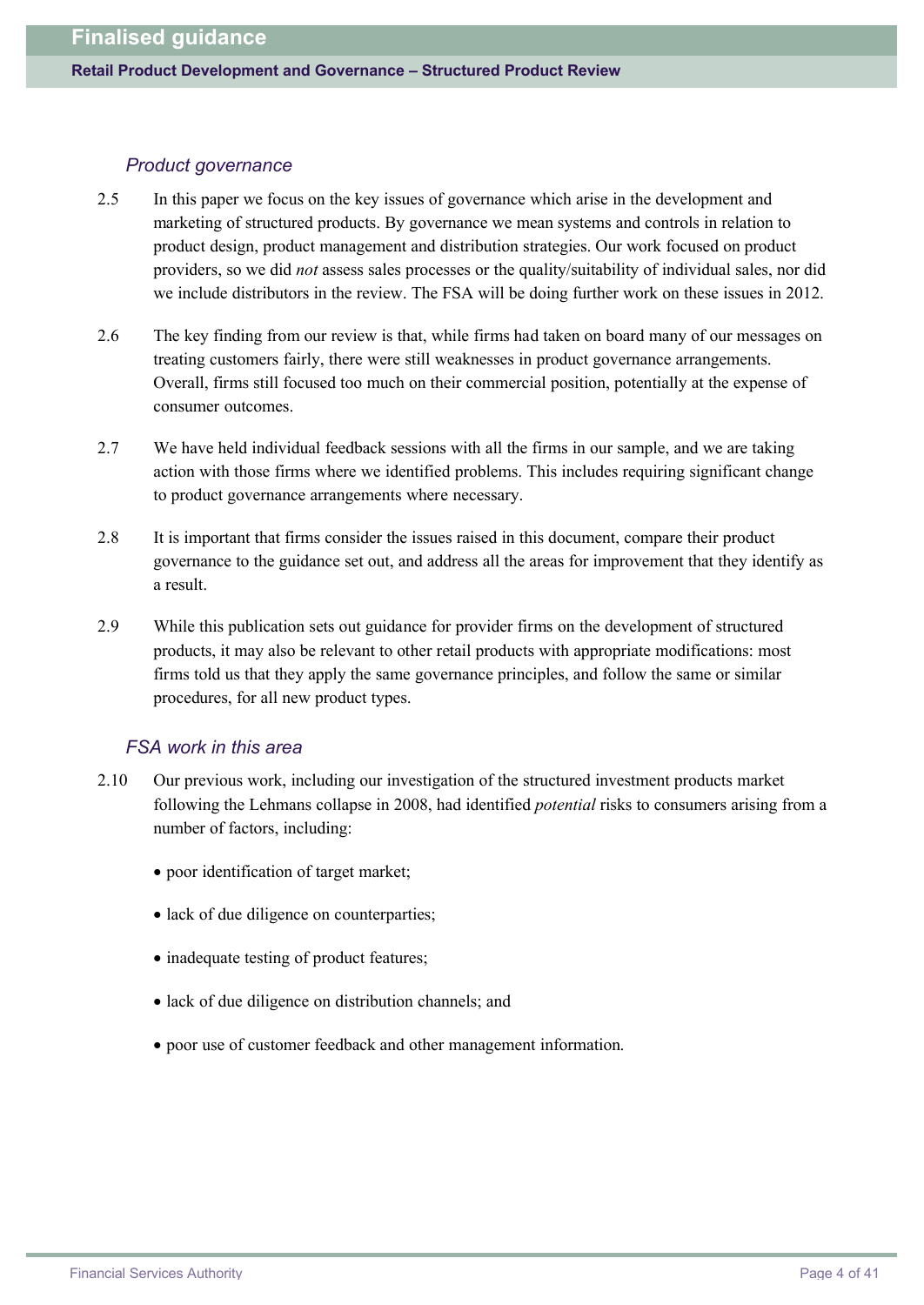#### *Product governance*

- 2.5 In this paper we focus on the key issues of governance which arise in the development and marketing of structured products. By governance we mean systems and controls in relation to product design, product management and distribution strategies. Our work focused on product providers, so we did *not* assess sales processes or the quality/suitability of individual sales, nor did we include distributors in the review. The FSA will be doing further work on these issues in 2012.
- 2.6 The key finding from our review is that, while firms had taken on board many of our messages on treating customers fairly, there were still weaknesses in product governance arrangements. Overall, firms still focused too much on their commercial position, potentially at the expense of consumer outcomes.
- 2.7 We have held individual feedback sessions with all the firms in our sample, and we are taking action with those firms where we identified problems. This includes requiring significant change to product governance arrangements where necessary.
- 2.8 It is important that firms consider the issues raised in this document, compare their product governance to the guidance set out, and address all the areas for improvement that they identify as a result.
- 2.9 While this publication sets out guidance for provider firms on the development of structured products, it may also be relevant to other retail products with appropriate modifications: most firms told us that they apply the same governance principles, and follow the same or similar procedures, for all new product types.

### *FSA work in this area*

- 2.10 Our previous work, including our investigation of the structured investment products market following the Lehmans collapse in 2008, had identified *potential* risks to consumers arising from a number of factors, including:
	- · poor identification of target market;
	- lack of due diligence on counterparties;
	- · inadequate testing of product features;
	- lack of due diligence on distribution channels; and
	- · poor use of customer feedback and other management information.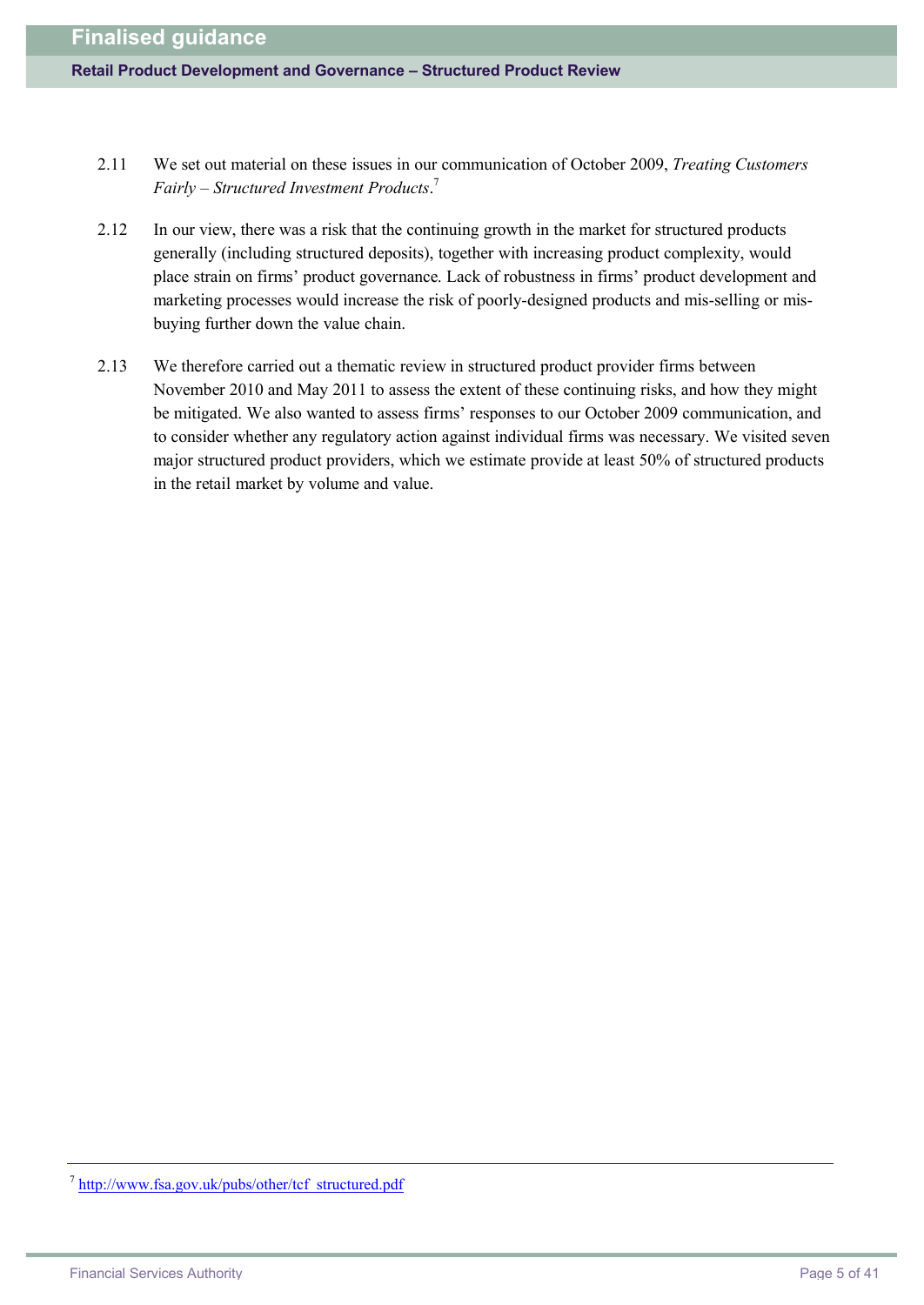- 2.11 We set out material on these issues in our communication of October 2009, *Treating Customers Fairly – Structured Investment Products*. 7
- 2.12 In our view, there was a risk that the continuing growth in the market for structured products generally (including structured deposits), together with increasing product complexity, would place strain on firms' product governance. Lack of robustness in firms' product development and marketing processes would increase the risk of poorly-designed products and mis-selling or misbuying further down the value chain.
- 2.13 We therefore carried out a thematic review in structured product provider firms between November 2010 and May 2011 to assess the extent of these continuing risks, and how they might be mitigated. We also wanted to assess firms' responses to our October 2009 communication, and to consider whether any regulatory action against individual firms was necessary. We visited seven major structured product providers, which we estimate provide at least 50% of structured products in the retail market by volume and value.

<sup>&</sup>lt;sup>7</sup> [http://w](http://www.fsa.gov.uk/pubs/other/tcf_structured.pdf)[ww.fsa.gov.uk/pubs/other/tcf\\_structured.pdf](www.fsa.gov.uk/pubs/other/tcf_structured.pdf)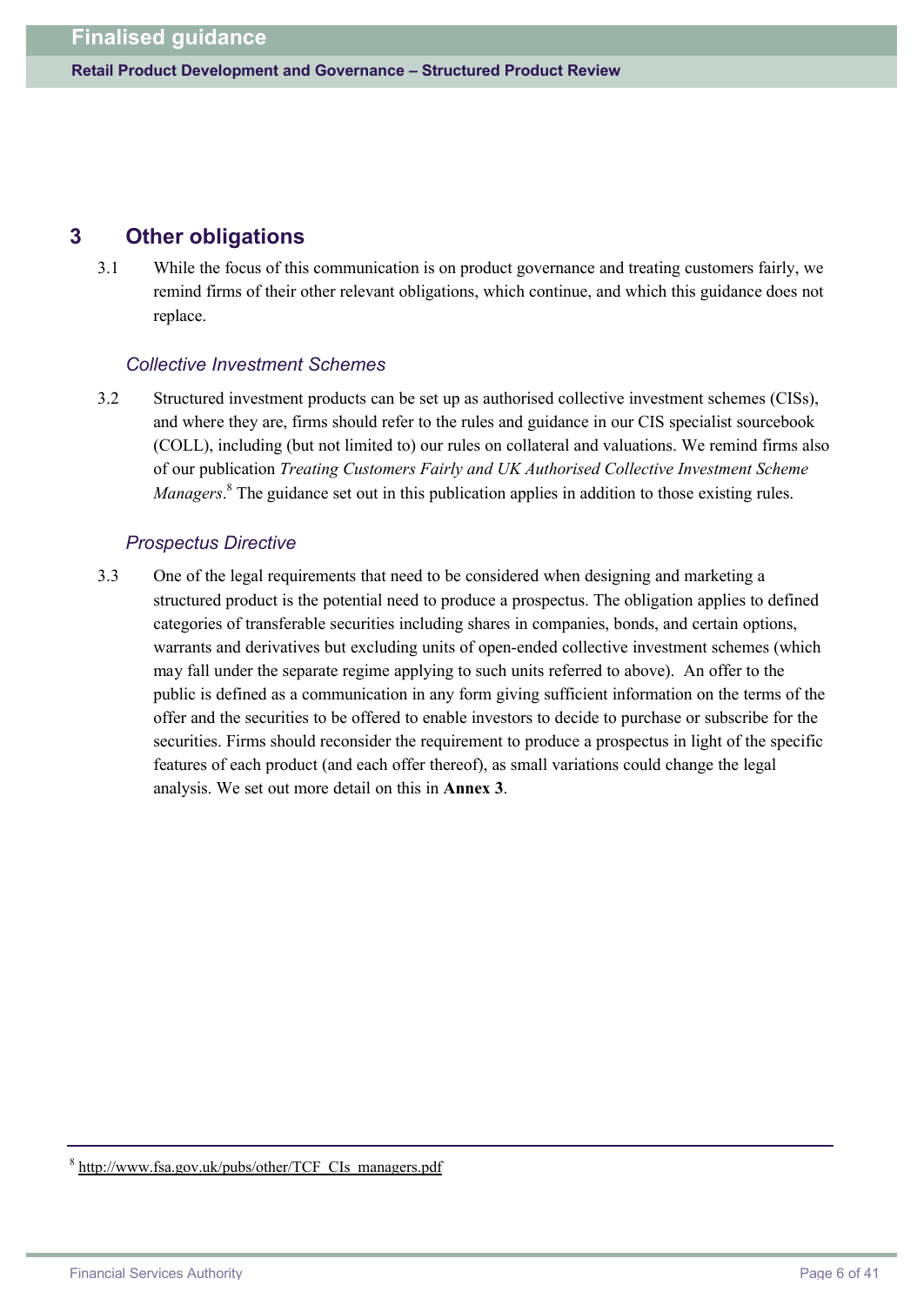# **3 Other obligations**

3.1 While the focus of this communication is on product governance and treating customers fairly, we remind firms of their other relevant obligations, which continue, and which this guidance does not replace.

### *Collective Investment Schemes*

3.2 Structured investment products can be set up as authorised collective investment schemes (CISs), and where they are, firms should refer to the rules and guidance in our CIS specialist sourcebook (COLL), including (but not limited to) our rules on collateral and valuations. We remind firms also of our publication *Treating Customers Fairly and UK Authorised Collective Investment Scheme Managers*. <sup>8</sup> The guidance set out in this publication applies in addition to those existing rules.

### *Prospectus Directive*

3.3 One of the legal requirements that need to be considered when designing and marketing a structured product is the potential need to produce a prospectus. The obligation applies to defined categories of transferable securities including shares in companies, bonds, and certain options, warrants and derivatives but excluding units of open-ended collective investment schemes (which may fall under the separate regime applying to such units referred to above). An offer to the public is defined as a communication in any form giving sufficient information on the terms of the offer and the securities to be offered to enable investors to decide to purchase or subscribe for the securities. Firms should reconsider the requirement to produce a prospectus in light of the specific features of each product (and each offer thereof), as small variations could change the legal analysis. We set out more detail on this in **Annex 3**.

<sup>&</sup>lt;sup>8</sup> [http://w](http://www.fsa.gov.uk/pubs/other/TCF_CIs_managers.pdf)[ww.fsa.gov.uk/pubs/other/TCF\\_CIs\\_managers.pdf](www.fsa.gov.uk/pubs/other/TCF_CIs_managers.pdf)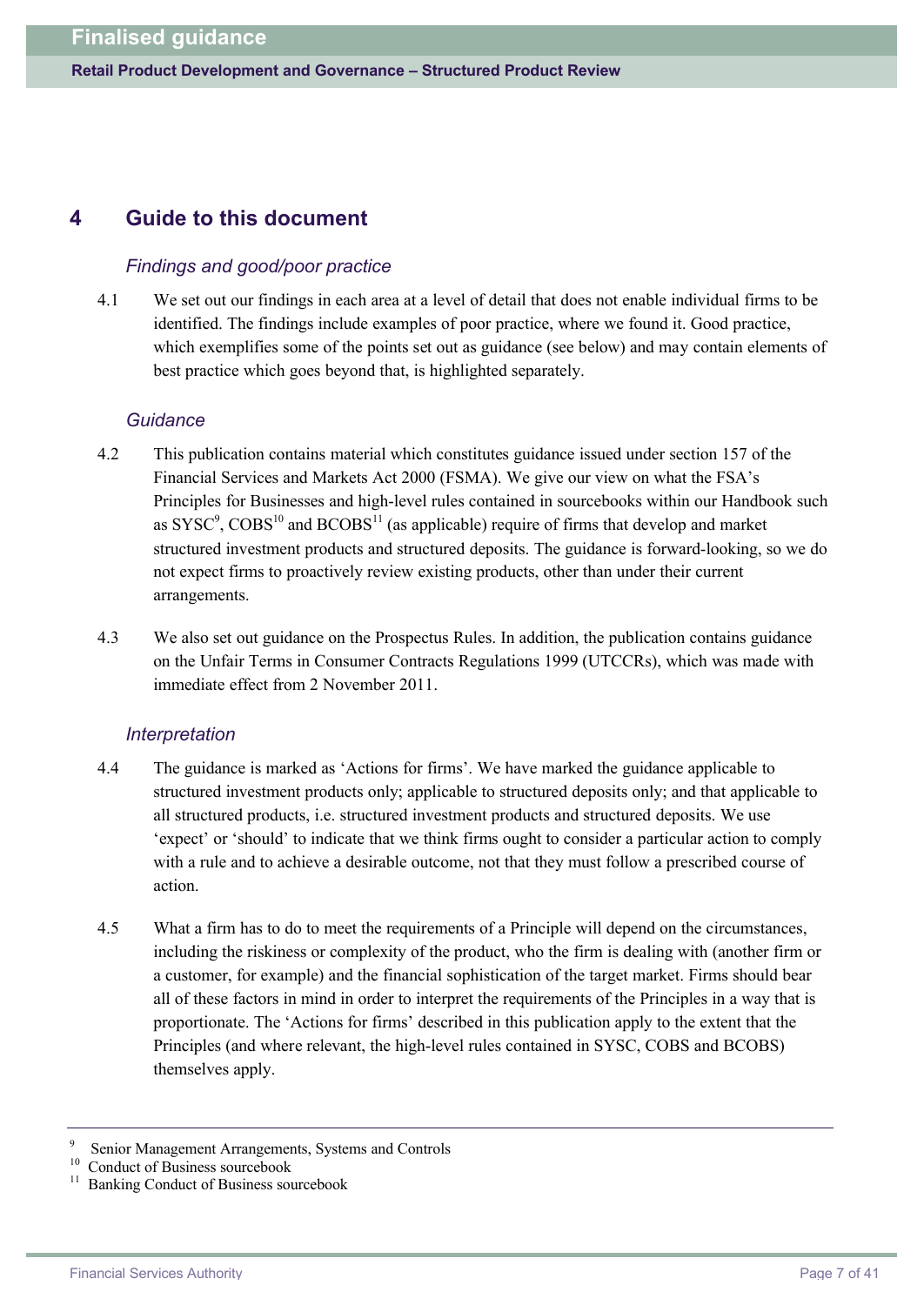# **4 Guide to this document**

### *Findings and good/poor practice*

4.1 We set out our findings in each area at a level of detail that does not enable individual firms to be identified. The findings include examples of poor practice, where we found it. Good practice, which exemplifies some of the points set out as guidance (see below) and may contain elements of best practice which goes beyond that, is highlighted separately.

### *Guidance*

- 4.2 This publication contains material which constitutes guidance issued under section 157 of the Financial Services and Markets Act 2000 (FSMA). We give our view on what the FSA's Principles for Businesses and high-level rules contained in sourcebooks within our Handbook such as  $\text{SYSC}^9$ ,  $\text{C} \text{O} \text{BS}^{10}$  and  $\text{BC} \text{O} \text{BS}^{11}$  (as applicable) require of firms that develop and market structured investment products and structured deposits. The guidance is forward-looking, so we do not expect firms to proactively review existing products, other than under their current arrangements.
- 4.3 We also set out guidance on the Prospectus Rules. In addition, the publication contains guidance on the Unfair Terms in Consumer Contracts Regulations 1999 (UTCCRs), which was made with immediate effect from 2 November 2011.

### *Interpretation*

- 4.4 The guidance is marked as 'Actions for firms'. We have marked the guidance applicable to structured investment products only; applicable to structured deposits only; and that applicable to all structured products, i.e. structured investment products and structured deposits. We use 'expect' or 'should' to indicate that we think firms ought to consider a particular action to comply with a rule and to achieve a desirable outcome, not that they must follow a prescribed course of action.
- 4.5 What a firm has to do to meet the requirements of a Principle will depend on the circumstances, including the riskiness or complexity of the product, who the firm is dealing with (another firm or a customer, for example) and the financial sophistication of the target market. Firms should bear all of these factors in mind in order to interpret the requirements of the Principles in a way that is proportionate. The 'Actions for firms' described in this publication apply to the extent that the Principles (and where relevant, the high-level rules contained in SYSC, COBS and BCOBS) themselves apply.

<sup>9</sup> Senior Management Arrangements, Systems and Controls

<sup>&</sup>lt;sup>10</sup> Conduct of Business sourcebook

<sup>11</sup> Banking Conduct of Business sourcebook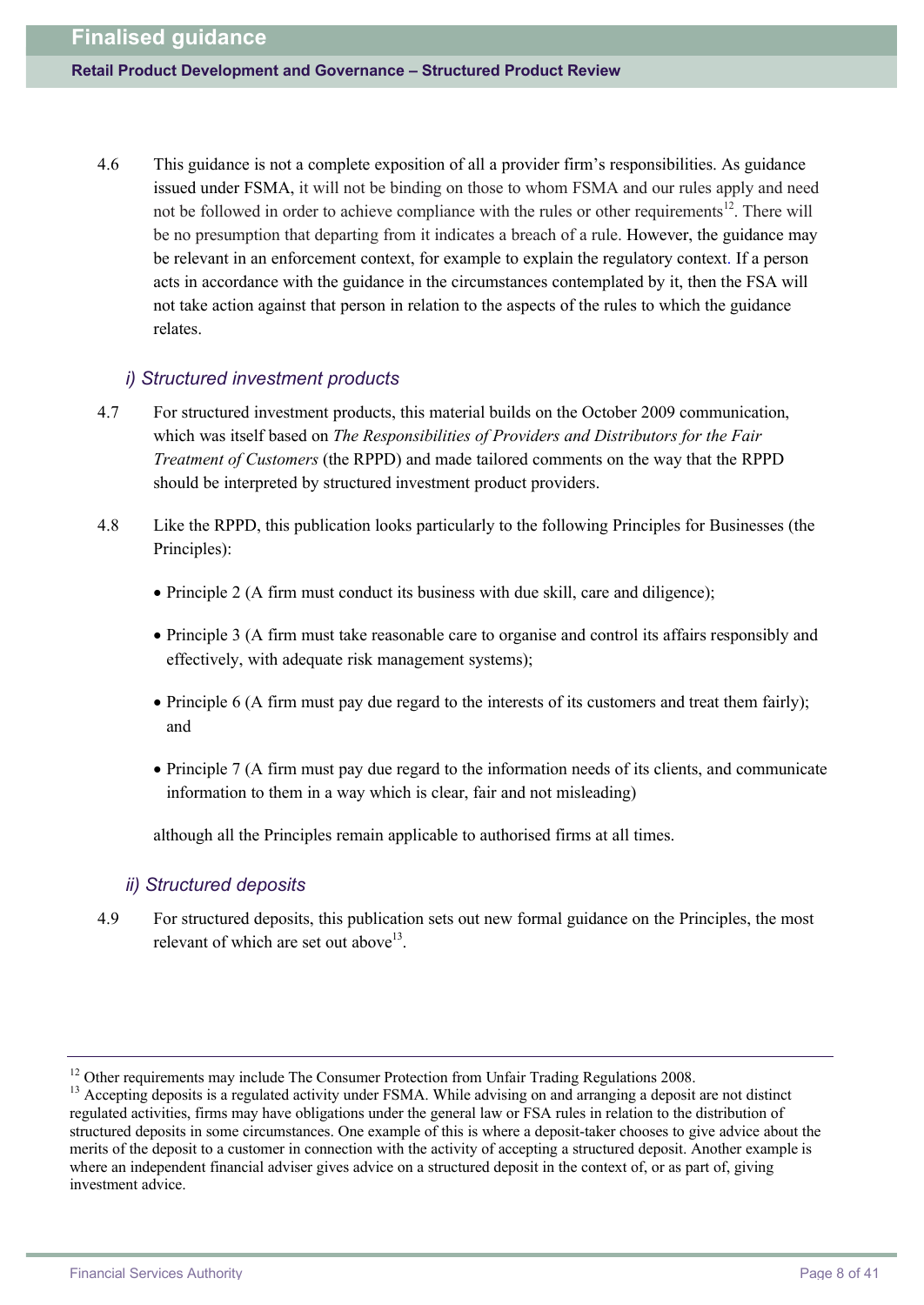4.6 This guidance is not a complete exposition of all a provider firm's responsibilities. As guidance issued under FSMA, it will not be binding on those to whom FSMA and our rules apply and need not be followed in order to achieve compliance with the rules or other requirements<sup>12</sup>. There will be no presumption that departing from it indicates a breach of a rule. However, the guidance may be relevant in an enforcement context, for example to explain the regulatory context. If a person acts in accordance with the guidance in the circumstances contemplated by it, then the FSA will not take action against that person in relation to the aspects of the rules to which the guidance relates.

### *i) Structured investment products*

- 4.7 For structured investment products, this material builds on the October 2009 communication, which was itself based on *The Responsibilities of Providers and Distributors for the Fair Treatment of Customers* (the RPPD) and made tailored comments on the way that the RPPD should be interpreted by structured investment product providers.
- 4.8 Like the RPPD, this publication looks particularly to the following Principles for Businesses (the Principles):
	- · Principle 2 (A firm must conduct its business with due skill, care and diligence);
	- · Principle 3 (A firm must take reasonable care to organise and control its affairs responsibly and effectively, with adequate risk management systems);
	- · Principle 6 (A firm must pay due regard to the interests of its customers and treat them fairly); and
	- · Principle 7 (A firm must pay due regard to the information needs of its clients, and communicate information to them in a way which is clear, fair and not misleading)

although all the Principles remain applicable to authorised firms at all times.

### *ii) Structured deposits*

4.9 For structured deposits, this publication sets out new formal guidance on the Principles, the most relevant of which are set out above<sup>13</sup>.

<sup>&</sup>lt;sup>12</sup> Other requirements may include The Consumer Protection from Unfair Trading Regulations 2008.

<sup>&</sup>lt;sup>13</sup> Accepting deposits is a regulated activity under FSMA. While advising on and arranging a deposit are not distinct regulated activities, firms may have obligations under the general law or FSA rules in relation to the distribution of structured deposits in some circumstances. One example of this is where a deposit-taker chooses to give advice about the merits of the deposit to a customer in connection with the activity of accepting a structured deposit. Another example is where an independent financial adviser gives advice on a structured deposit in the context of, or as part of, giving investment advice.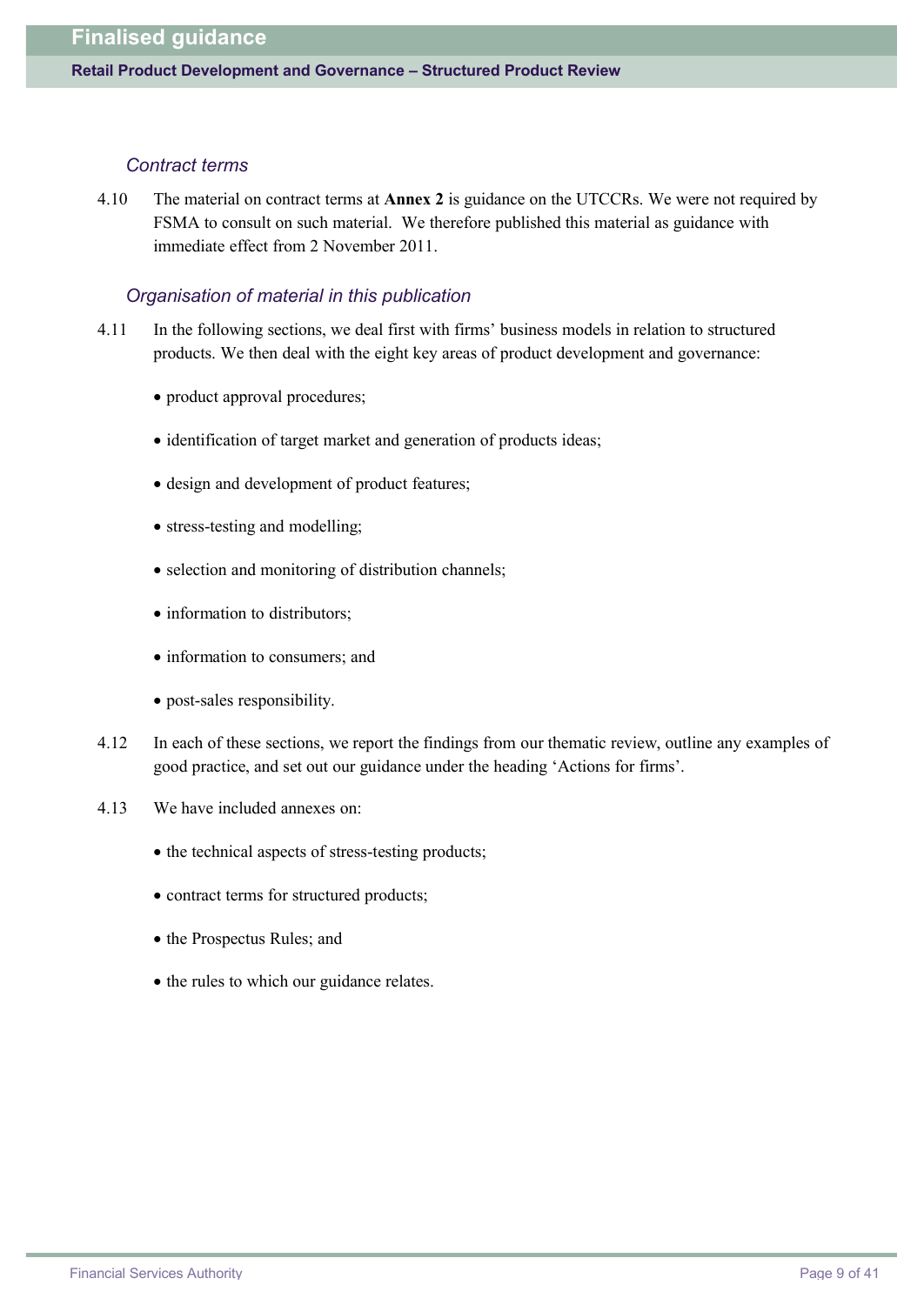#### *Contract terms*

4.10 The material on contract terms at **Annex 2** is guidance on the UTCCRs. We were not required by FSMA to consult on such material. We therefore published this material as guidance with immediate effect from 2 November 2011.

#### *Organisation of material in this publication*

- 4.11 In the following sections, we deal first with firms' business models in relation to structured products. We then deal with the eight key areas of product development and governance:
	- product approval procedures;
	- identification of target market and generation of products ideas;
	- design and development of product features:
	- stress-testing and modelling;
	- · selection and monitoring of distribution channels;
	- information to distributors:
	- information to consumers; and
	- post-sales responsibility.
- 4.12 In each of these sections, we report the findings from our thematic review, outline any examples of good practice, and set out our guidance under the heading 'Actions for firms'.
- 4.13 We have included annexes on:
	- the technical aspects of stress-testing products;
	- · contract terms for structured products;
	- · the Prospectus Rules; and
	- the rules to which our guidance relates.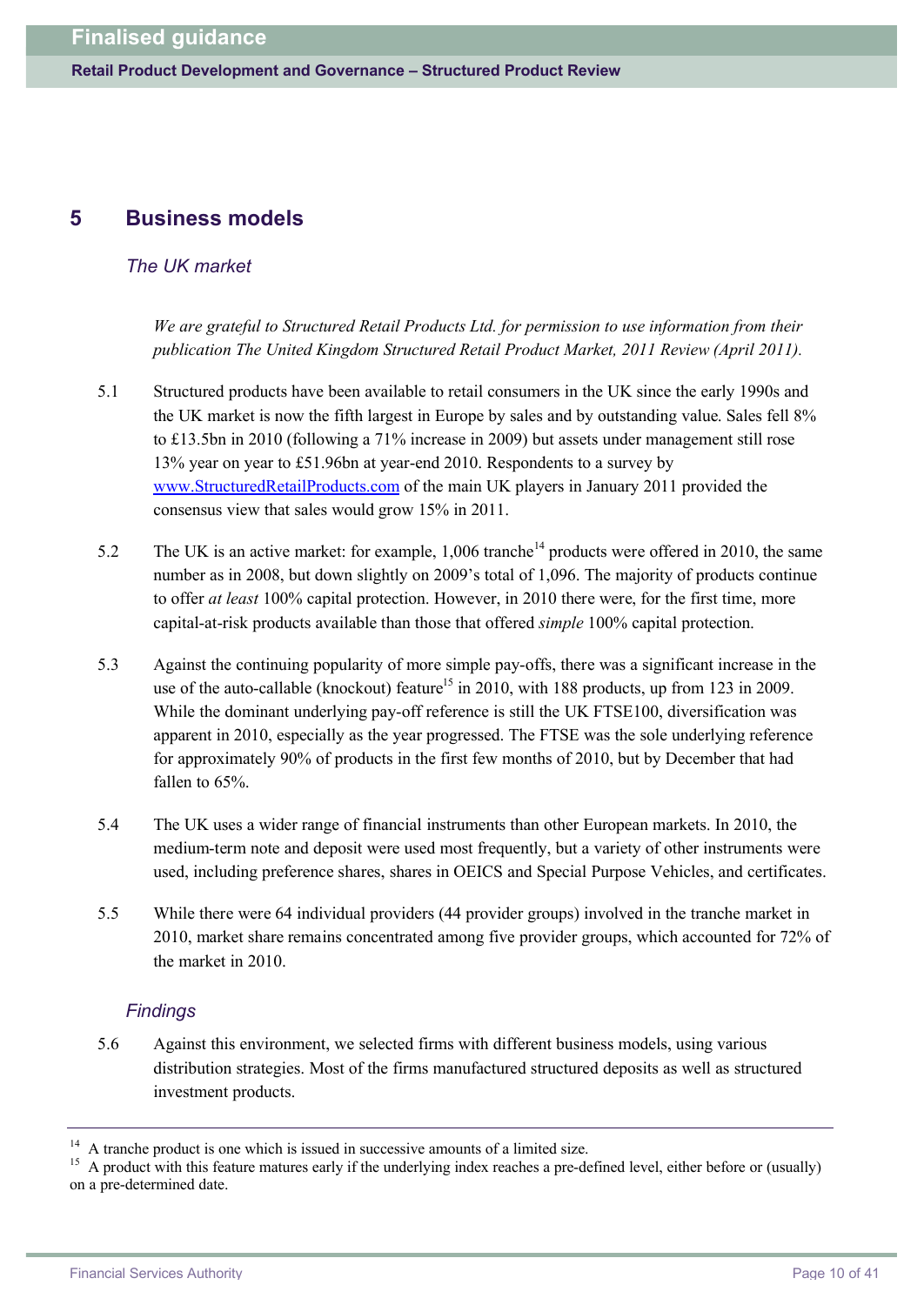# **5 Business models**

### *The UK market*

*We are grateful to Structured Retail Products Ltd. for permission to use information from their publication The United Kingdom Structured Retail Product Market, 2011 Review (April 2011).*

- 5.1 Structured products have been available to retail consumers in the UK since the early 1990s and the UK market is now the fifth largest in Europe by sales and by outstanding value. Sales fell 8% to £13.5bn in 2010 (following a 71% increase in 2009) but assets under management still rose 13% year on year to £51.96bn at year-end 2010. Respondents to a survey by <www.StructuredRetailProducts.com> of the main UK players in January 2011 provided the consensus view that sales would grow 15% in 2011.
- 5.2 The UK is an active market: for example, 1,006 tranche<sup>14</sup> products were offered in 2010, the same number as in 2008, but down slightly on 2009's total of 1,096. The majority of products continue to offer *at least* 100% capital protection. However, in 2010 there were, for the first time, more capital-at-risk products available than those that offered *simple* 100% capital protection.
- 5.3 Against the continuing popularity of more simple pay-offs, there was a significant increase in the use of the auto-callable (knockout) feature<sup>15</sup> in 2010, with 188 products, up from 123 in 2009. While the dominant underlying pay-off reference is still the UK FTSE100, diversification was apparent in 2010, especially as the year progressed. The FTSE was the sole underlying reference for approximately 90% of products in the first few months of 2010, but by December that had fallen to 65%
- 5.4 The UK uses a wider range of financial instruments than other European markets. In 2010, the medium-term note and deposit were used most frequently, but a variety of other instruments were used, including preference shares, shares in OEICS and Special Purpose Vehicles, and certificates.
- 5.5 While there were 64 individual providers (44 provider groups) involved in the tranche market in 2010, market share remains concentrated among five provider groups, which accounted for 72% of the market in 2010.

### *Findings*

5.6 Against this environment, we selected firms with different business models, using various distribution strategies. Most of the firms manufactured structured deposits as well as structured investment products.

<sup>&</sup>lt;sup>14</sup> A tranche product is one which is issued in successive amounts of a limited size.<br><sup>15</sup> A product with this feature matures early if the underlying index reaches a pre-de

<sup>15</sup> A product with this feature matures early if the underlying index reaches a pre-defined level, either before or (usually) on a pre-determined date.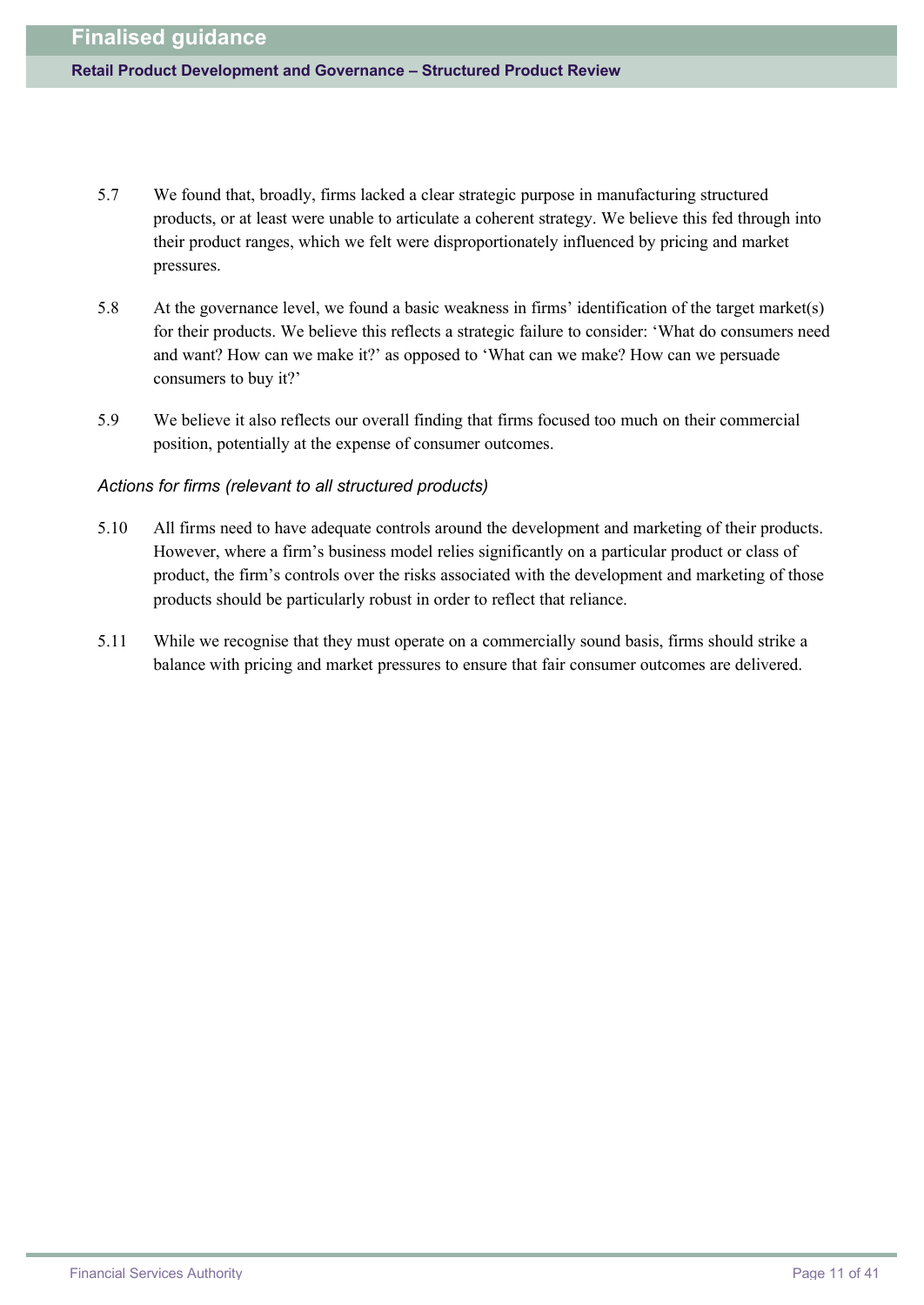- 5.7 We found that, broadly, firms lacked a clear strategic purpose in manufacturing structured products, or at least were unable to articulate a coherent strategy. We believe this fed through into their product ranges, which we felt were disproportionately influenced by pricing and market pressures.
- 5.8 At the governance level, we found a basic weakness in firms' identification of the target market(s) for their products. We believe this reflects a strategic failure to consider: 'What do consumers need and want? How can we make it?' as opposed to 'What can we make? How can we persuade consumers to buy it?'
- 5.9 We believe it also reflects our overall finding that firms focused too much on their commercial position, potentially at the expense of consumer outcomes.

#### *Actions for firms (relevant to all structured products)*

- 5.10 All firms need to have adequate controls around the development and marketing of their products. However, where a firm's business model relies significantly on a particular product or class of product, the firm's controls over the risks associated with the development and marketing of those products should be particularly robust in order to reflect that reliance.
- 5.11 While we recognise that they must operate on a commercially sound basis, firms should strike a balance with pricing and market pressures to ensure that fair consumer outcomes are delivered.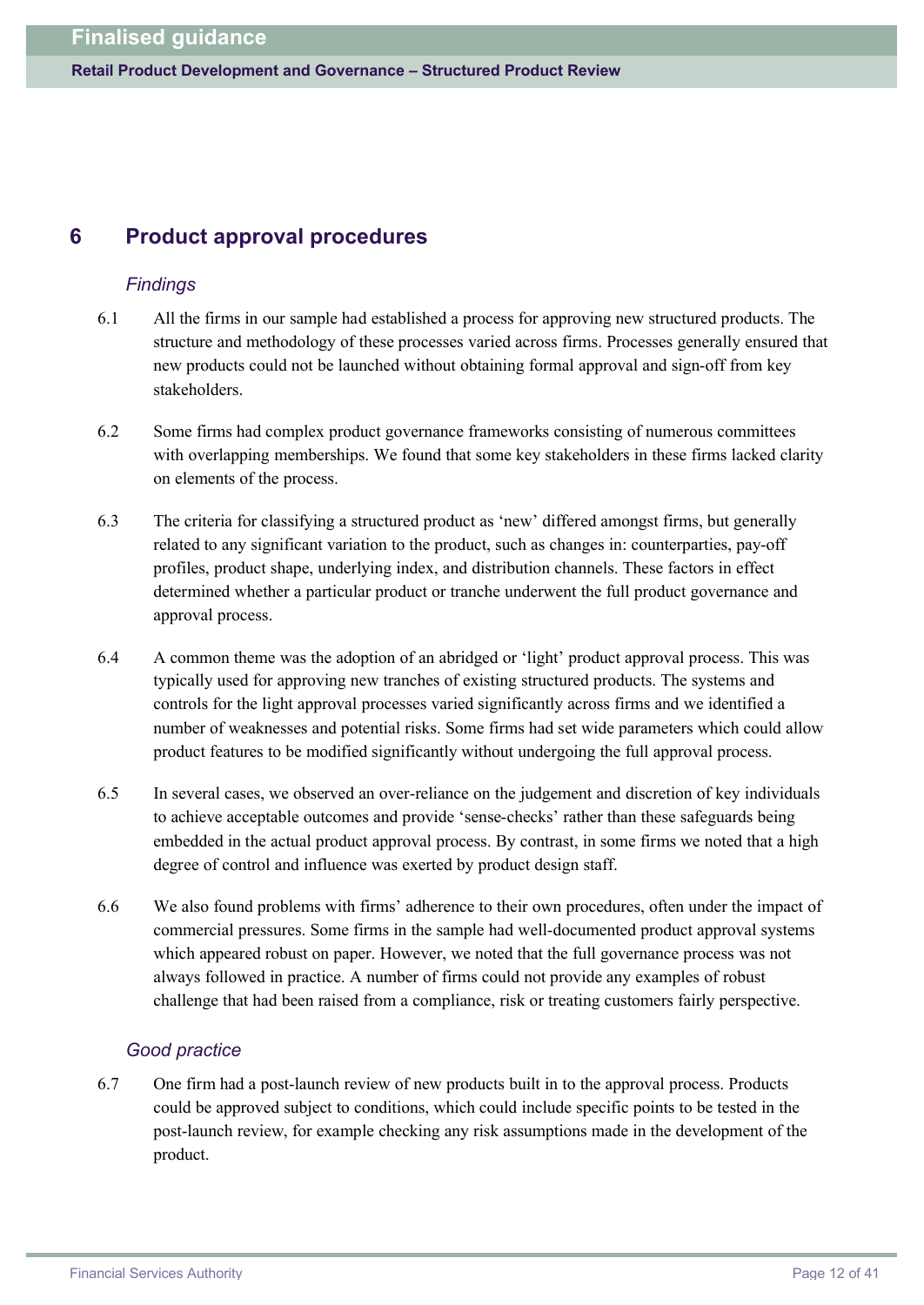# **6 Product approval procedures**

### *Findings*

- 6.1 All the firms in our sample had established a process for approving new structured products. The structure and methodology of these processes varied across firms. Processes generally ensured that new products could not be launched without obtaining formal approval and sign-off from key stakeholders.
- 6.2 Some firms had complex product governance frameworks consisting of numerous committees with overlapping memberships. We found that some key stakeholders in these firms lacked clarity on elements of the process.
- 6.3 The criteria for classifying a structured product as 'new' differed amongst firms, but generally related to any significant variation to the product, such as changes in: counterparties, pay-off profiles, product shape, underlying index, and distribution channels. These factors in effect determined whether a particular product or tranche underwent the full product governance and approval process.
- 6.4 A common theme was the adoption of an abridged or 'light' product approval process. This was typically used for approving new tranches of existing structured products. The systems and controls for the light approval processes varied significantly across firms and we identified a number of weaknesses and potential risks. Some firms had set wide parameters which could allow product features to be modified significantly without undergoing the full approval process.
- 6.5 In several cases, we observed an over-reliance on the judgement and discretion of key individuals to achieve acceptable outcomes and provide 'sense-checks' rather than these safeguards being embedded in the actual product approval process. By contrast, in some firms we noted that a high degree of control and influence was exerted by product design staff.
- 6.6 We also found problems with firms' adherence to their own procedures, often under the impact of commercial pressures. Some firms in the sample had well-documented product approval systems which appeared robust on paper. However, we noted that the full governance process was not always followed in practice. A number of firms could not provide any examples of robust challenge that had been raised from a compliance, risk or treating customers fairly perspective.

### *Good practice*

6.7 One firm had a post-launch review of new products built in to the approval process. Products could be approved subject to conditions, which could include specific points to be tested in the post-launch review, for example checking any risk assumptions made in the development of the product.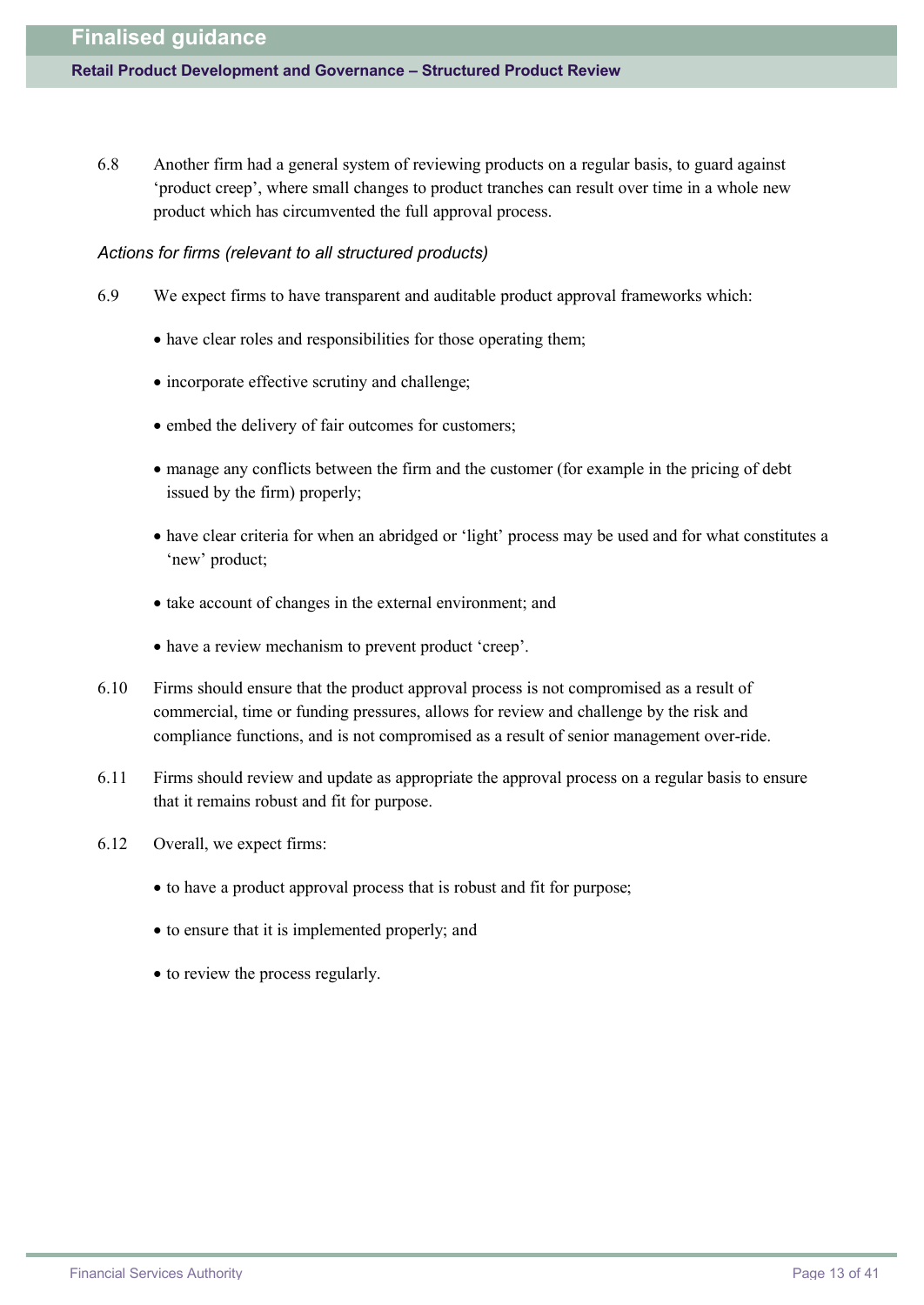6.8 Another firm had a general system of reviewing products on a regular basis, to guard against 'product creep', where small changes to product tranches can result over time in a whole new product which has circumvented the full approval process.

#### *Actions for firms (relevant to all structured products)*

- 6.9 We expect firms to have transparent and auditable product approval frameworks which:
	- have clear roles and responsibilities for those operating them;
	- incorporate effective scrutiny and challenge;
	- · embed the delivery of fair outcomes for customers;
	- · manage any conflicts between the firm and the customer (for example in the pricing of debt issued by the firm) properly;
	- · have clear criteria for when an abridged or 'light' process may be used and for what constitutes a 'new' product;
	- · take account of changes in the external environment; and
	- · have a review mechanism to prevent product 'creep'.
- 6.10 Firms should ensure that the product approval process is not compromised as a result of commercial, time or funding pressures, allows for review and challenge by the risk and compliance functions, and is not compromised as a result of senior management over-ride.
- 6.11 Firms should review and update as appropriate the approval process on a regular basis to ensure that it remains robust and fit for purpose.
- 6.12 Overall, we expect firms:
	- · to have a product approval process that is robust and fit for purpose;
	- · to ensure that it is implemented properly; and
	- to review the process regularly.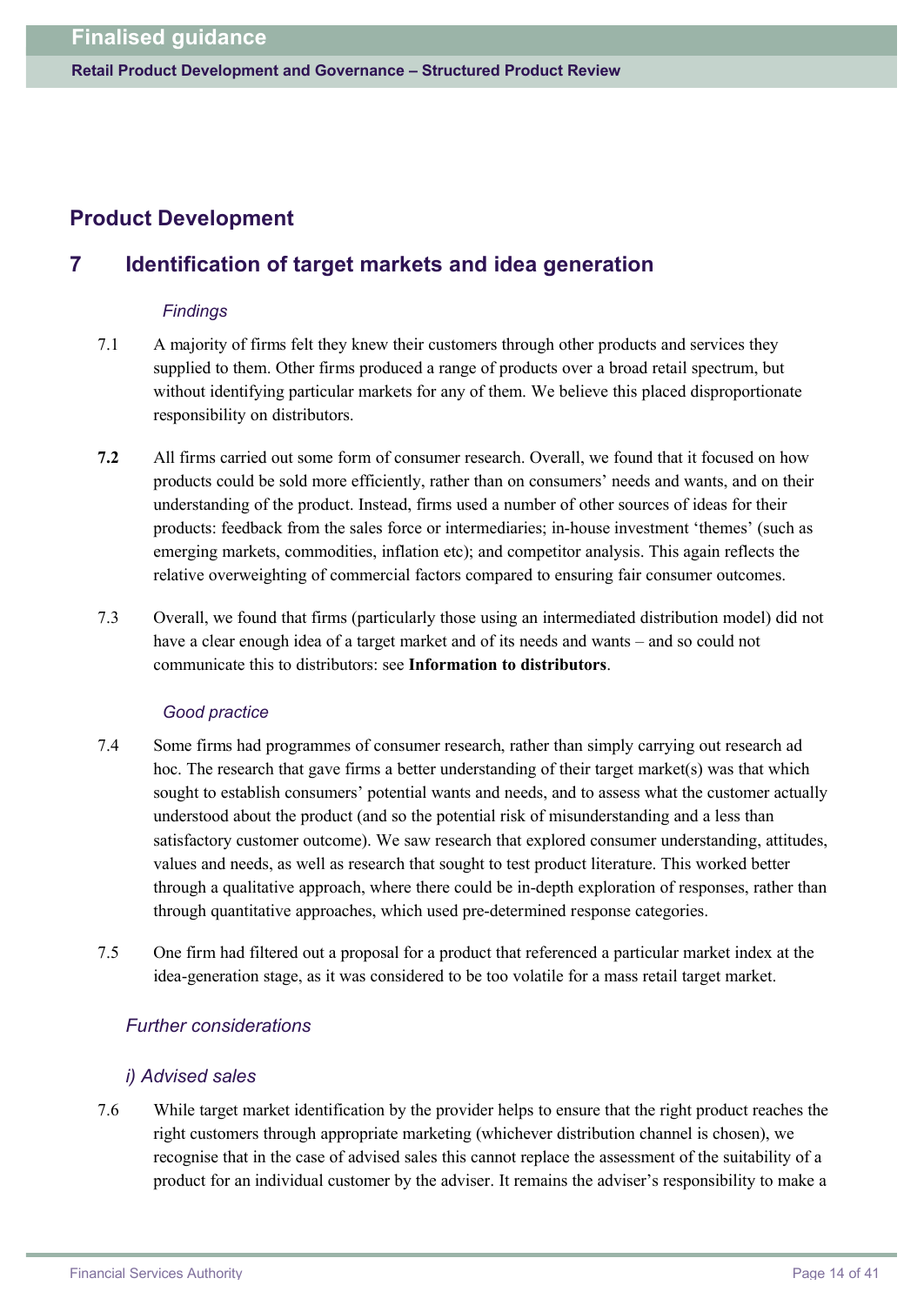# **Product Development**

# **7 Identification of target markets and idea generation**

### *Findings*

- 7.1 A majority of firms felt they knew their customers through other products and services they supplied to them. Other firms produced a range of products over a broad retail spectrum, but without identifying particular markets for any of them. We believe this placed disproportionate responsibility on distributors.
- **7.2** All firms carried out some form of consumer research. Overall, we found that it focused on how products could be sold more efficiently, rather than on consumers' needs and wants, and on their understanding of the product. Instead, firms used a number of other sources of ideas for their products: feedback from the sales force or intermediaries; in-house investment 'themes' (such as emerging markets, commodities, inflation etc); and competitor analysis. This again reflects the relative overweighting of commercial factors compared to ensuring fair consumer outcomes.
- 7.3 Overall, we found that firms (particularly those using an intermediated distribution model) did not have a clear enough idea of a target market and of its needs and wants – and so could not communicate this to distributors: see **Information to distributors**.

### *Good practice*

- 7.4 Some firms had programmes of consumer research, rather than simply carrying out research ad hoc. The research that gave firms a better understanding of their target market(s) was that which sought to establish consumers' potential wants and needs, and to assess what the customer actually understood about the product (and so the potential risk of misunderstanding and a less than satisfactory customer outcome). We saw research that explored consumer understanding, attitudes, values and needs, as well as research that sought to test product literature. This worked better through a qualitative approach, where there could be in-depth exploration of responses, rather than through quantitative approaches, which used pre-determined response categories.
- 7.5 One firm had filtered out a proposal for a product that referenced a particular market index at the idea-generation stage, as it was considered to be too volatile for a mass retail target market.

# *Further considerations*

### *i) Advised sales*

7.6 While target market identification by the provider helps to ensure that the right product reaches the right customers through appropriate marketing (whichever distribution channel is chosen), we recognise that in the case of advised sales this cannot replace the assessment of the suitability of a product for an individual customer by the adviser. It remains the adviser's responsibility to make a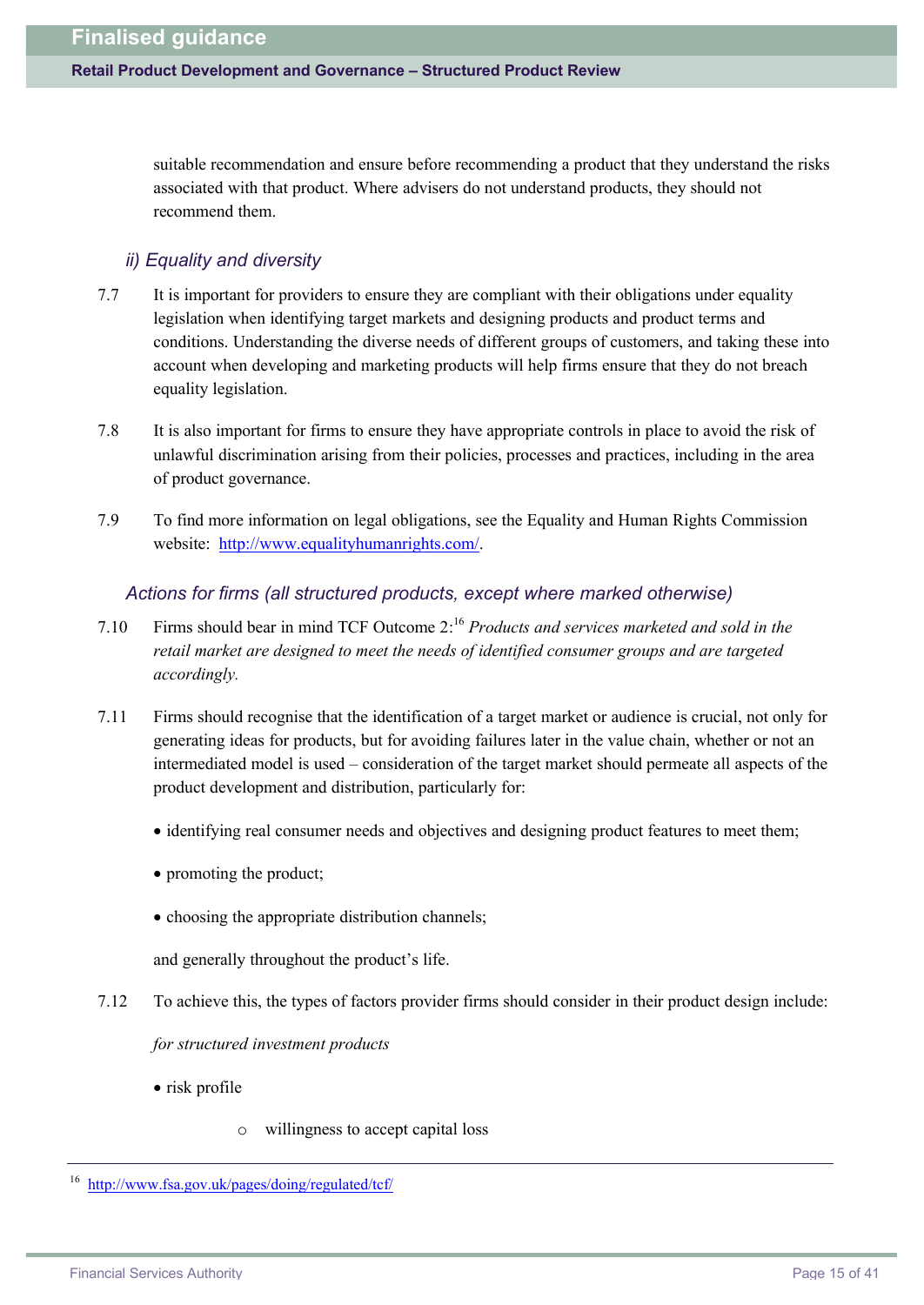suitable recommendation and ensure before recommending a product that they understand the risks associated with that product. Where advisers do not understand products, they should not recommend them.

### *ii) Equality and diversity*

- 7.7 It is important for providers to ensure they are compliant with their obligations under equality legislation when identifying target markets and designing products and product terms and conditions. Understanding the diverse needs of different groups of customers, and taking these into account when developing and marketing products will help firms ensure that they do not breach equality legislation.
- 7.8 It is also important for firms to ensure they have appropriate controls in place to avoid the risk of unlawful discrimination arising from their policies, processes and practices, including in the area of product governance.
- 7.9 To find more information on legal obligations, see the Equality and Human Rights Commission website: [http://](http://www.equalityhumanrights.com/)[www.equalityhumanrights.com/.](www.equalityhumanrights.com/)

#### *Actions for firms (all structured products, except where marked otherwise)*

- 7.10 Firms should bear in mind TCF Outcome 2: <sup>16</sup> *Products and services marketed and sold in the retail market are designed to meet the needs of identified consumer groups and are targeted accordingly.*
- 7.11 Firms should recognise that the identification of a target market or audience is crucial, not only for generating ideas for products, but for avoiding failures later in the value chain, whether or not an intermediated model is used – consideration of the target market should permeate all aspects of the product development and distribution, particularly for:
	- · identifying real consumer needs and objectives and designing product features to meet them;
	- promoting the product;
	- choosing the appropriate distribution channels;

and generally throughout the product's life.

7.12 To achieve this, the types of factors provider firms should consider in their product design include:

*for structured investment products*

- risk profile
	- o willingness to accept capital loss

<sup>16</sup> [http://](http://www.fsa.gov.uk/pages/doing/regulated/tcf/)<www.fsa.gov.uk/pages/doing/regulated/tcf/>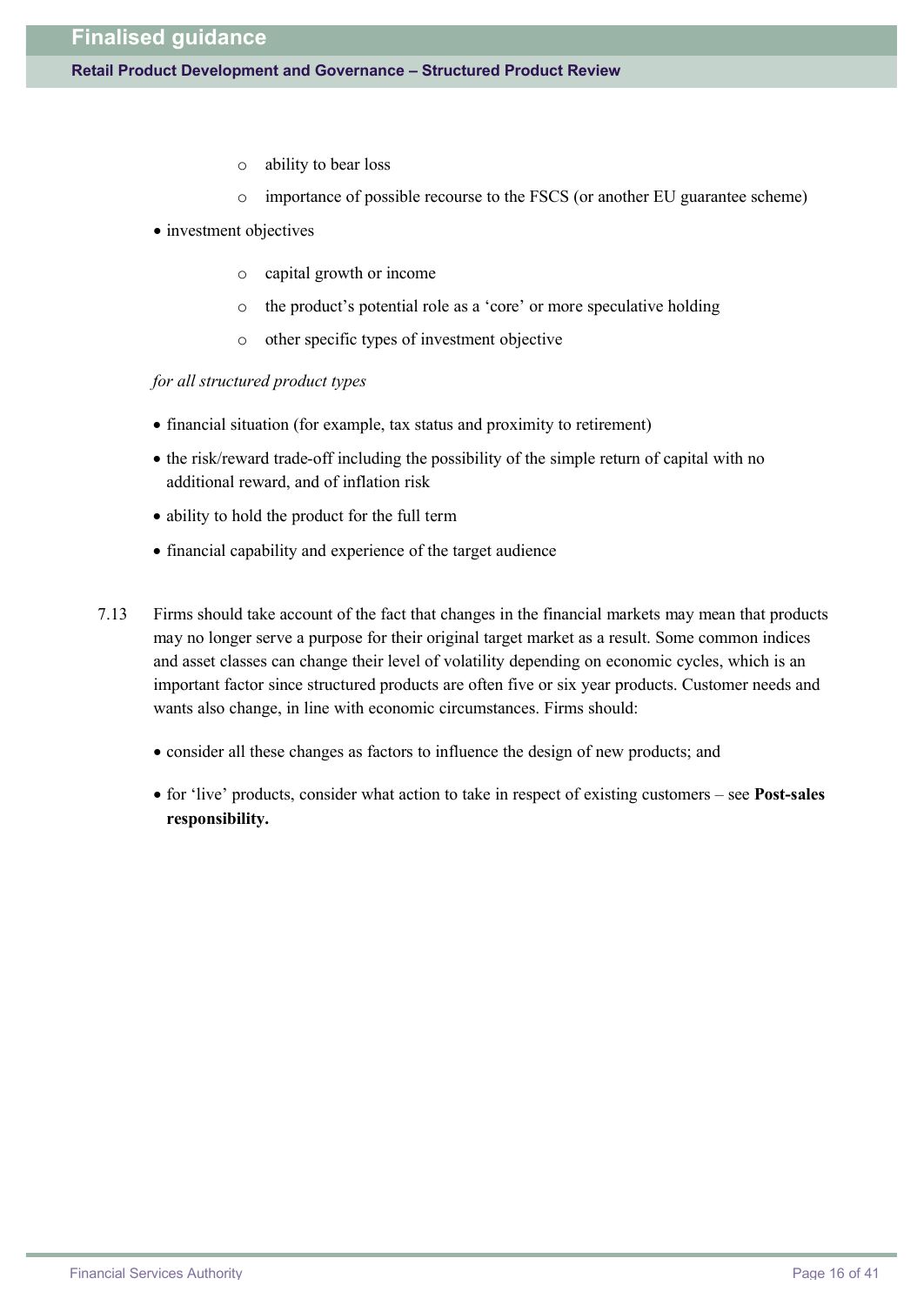#### **Retail Product Development and Governance – Structured Product Review**

- o ability to bear loss
- o importance of possible recourse to the FSCS (or another EU guarantee scheme)
- investment objectives
	- o capital growth or income
	- o the product's potential role as a 'core' or more speculative holding
	- o other specific types of investment objective

*for all structured product types*

- · financial situation (for example, tax status and proximity to retirement)
- · the risk/reward trade-off including the possibility of the simple return of capital with no additional reward, and of inflation risk
- · ability to hold the product for the full term
- · financial capability and experience of the target audience
- 7.13 Firms should take account of the fact that changes in the financial markets may mean that products may no longer serve a purpose for their original target market as a result. Some common indices and asset classes can change their level of volatility depending on economic cycles, which is an important factor since structured products are often five or six year products. Customer needs and wants also change, in line with economic circumstances. Firms should:
	- · consider all these changes as factors to influence the design of new products; and
	- · for 'live' products, consider what action to take in respect of existing customers see **Post-sales responsibility.**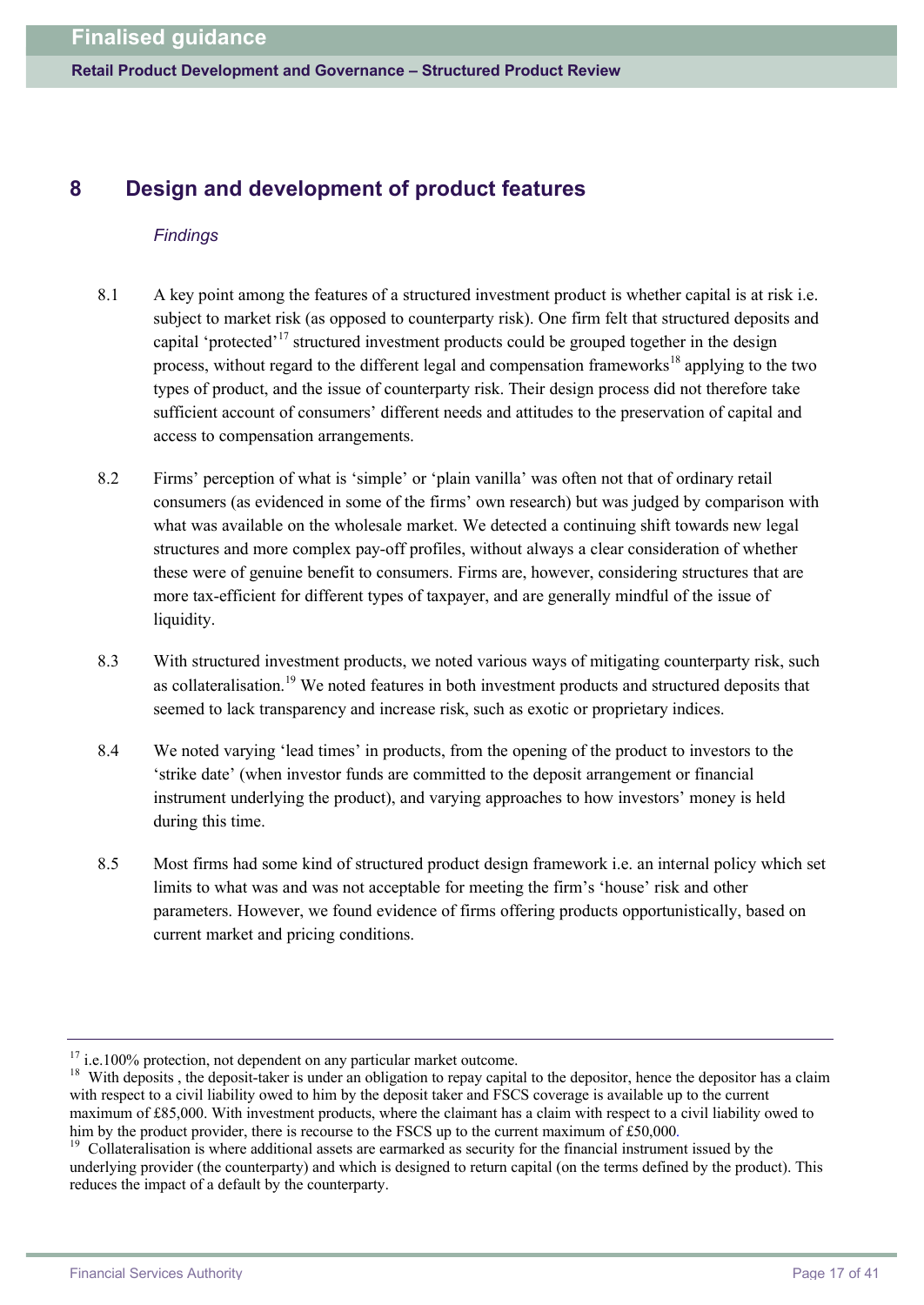**Retail Product Development and Governance – Structured Product Review**

# **8 Design and development of product features**

#### *Findings*

- 8.1 A key point among the features of a structured investment product is whether capital is at risk i.e. subject to market risk (as opposed to counterparty risk). One firm felt that structured deposits and capital 'protected'<sup>17</sup> structured investment products could be grouped together in the design process, without regard to the different legal and compensation frameworks<sup>18</sup> applying to the two types of product, and the issue of counterparty risk. Their design process did not therefore take sufficient account of consumers' different needs and attitudes to the preservation of capital and access to compensation arrangements.
- 8.2 Firms' perception of what is 'simple' or 'plain vanilla' was often not that of ordinary retail consumers (as evidenced in some of the firms' own research) but was judged by comparison with what was available on the wholesale market. We detected a continuing shift towards new legal structures and more complex pay-off profiles, without always a clear consideration of whether these were of genuine benefit to consumers. Firms are, however, considering structures that are more tax-efficient for different types of taxpayer, and are generally mindful of the issue of liquidity.
- 8.3 With structured investment products, we noted various ways of mitigating counterparty risk, such as collateralisation.<sup>19</sup> We noted features in both investment products and structured deposits that seemed to lack transparency and increase risk, such as exotic or proprietary indices.
- 8.4 We noted varying 'lead times' in products, from the opening of the product to investors to the 'strike date' (when investor funds are committed to the deposit arrangement or financial instrument underlying the product), and varying approaches to how investors' money is held during this time.
- 8.5 Most firms had some kind of structured product design framework i.e. an internal policy which set limits to what was and was not acceptable for meeting the firm's 'house' risk and other parameters. However, we found evidence of firms offering products opportunistically, based on current market and pricing conditions.

 $17$  i.e.100% protection, not dependent on any particular market outcome.

<sup>&</sup>lt;sup>18</sup> With deposits, the deposit-taker is under an obligation to repay capital to the depositor, hence the depositor has a claim with respect to a civil liability owed to him by the deposit taker and FSCS coverage is available up to the current maximum of £85,000. With investment products, where the claimant has a claim with respect to a civil liability owed to him by the product provider, there is recourse to the FSCS up to the current maximum of £50,000.

<sup>&</sup>lt;sup>19</sup> Collateralisation is where additional assets are earmarked as security for the financial instrument issued by the underlying provider (the counterparty) and which is designed to return capital (on the terms defined by the product). This reduces the impact of a default by the counterparty.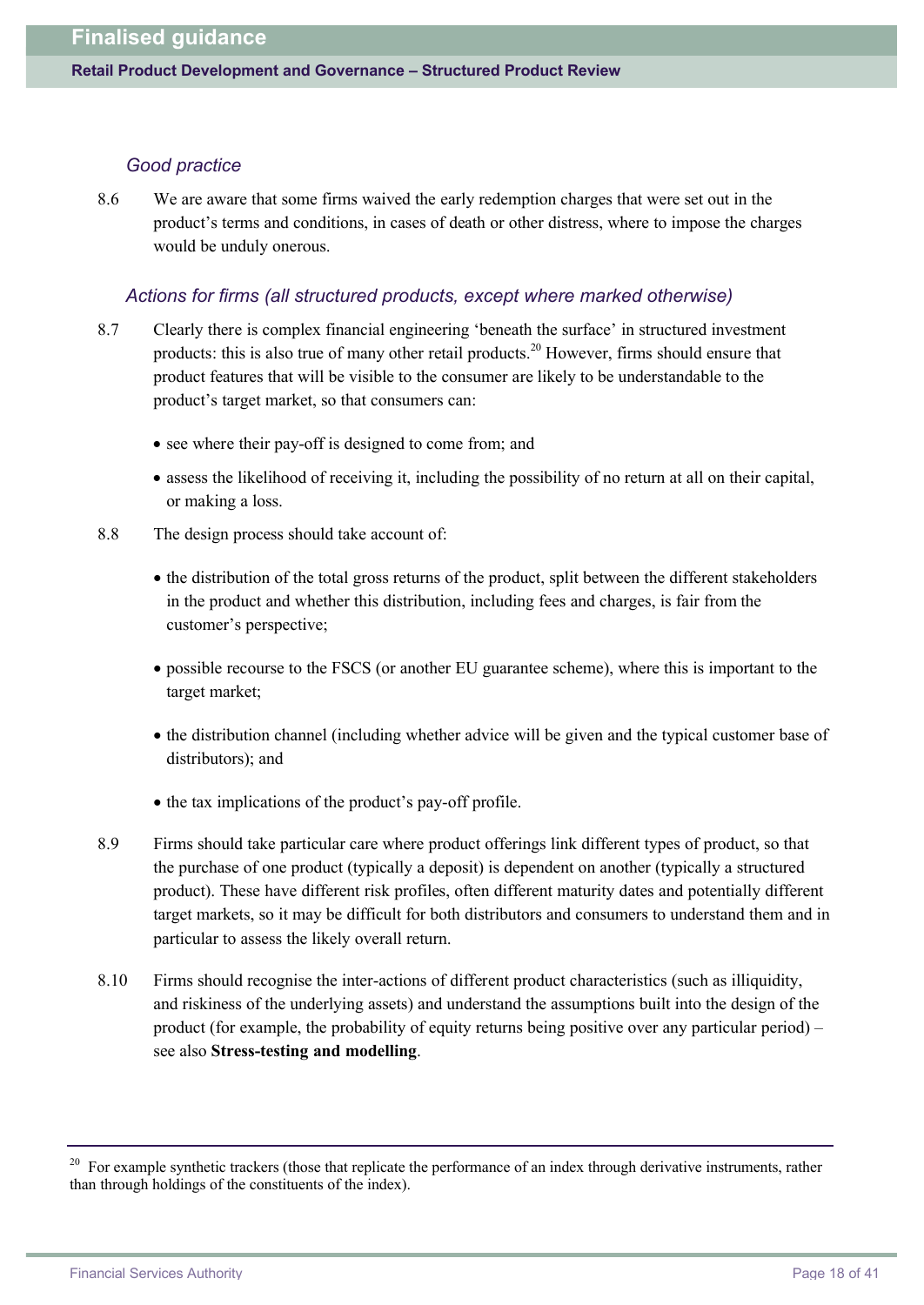#### *Good practice*

8.6 We are aware that some firms waived the early redemption charges that were set out in the product's terms and conditions, in cases of death or other distress, where to impose the charges would be unduly onerous.

#### *Actions for firms (all structured products, except where marked otherwise)*

- 8.7 Clearly there is complex financial engineering 'beneath the surface' in structured investment products: this is also true of many other retail products.<sup>20</sup> However, firms should ensure that product features that will be visible to the consumer are likely to be understandable to the product's target market, so that consumers can:
	- see where their pay-off is designed to come from; and
	- · assess the likelihood of receiving it, including the possibility of no return at all on their capital, or making a loss.
- 8.8 The design process should take account of:
	- · the distribution of the total gross returns of the product, split between the different stakeholders in the product and whether this distribution, including fees and charges, is fair from the customer's perspective;
	- · possible recourse to the FSCS (or another EU guarantee scheme), where this is important to the target market;
	- · the distribution channel (including whether advice will be given and the typical customer base of distributors); and
	- the tax implications of the product's pay-off profile.
- 8.9 Firms should take particular care where product offerings link different types of product, so that the purchase of one product (typically a deposit) is dependent on another (typically a structured product). These have different risk profiles, often different maturity dates and potentially different target markets, so it may be difficult for both distributors and consumers to understand them and in particular to assess the likely overall return.
- 8.10 Firms should recognise the inter-actions of different product characteristics (such as illiquidity, and riskiness of the underlying assets) and understand the assumptions built into the design of the product (for example, the probability of equity returns being positive over any particular period) – see also **Stress-testing and modelling**.

<sup>&</sup>lt;sup>20</sup> For example synthetic trackers (those that replicate the performance of an index through derivative instruments, rather than through holdings of the constituents of the index).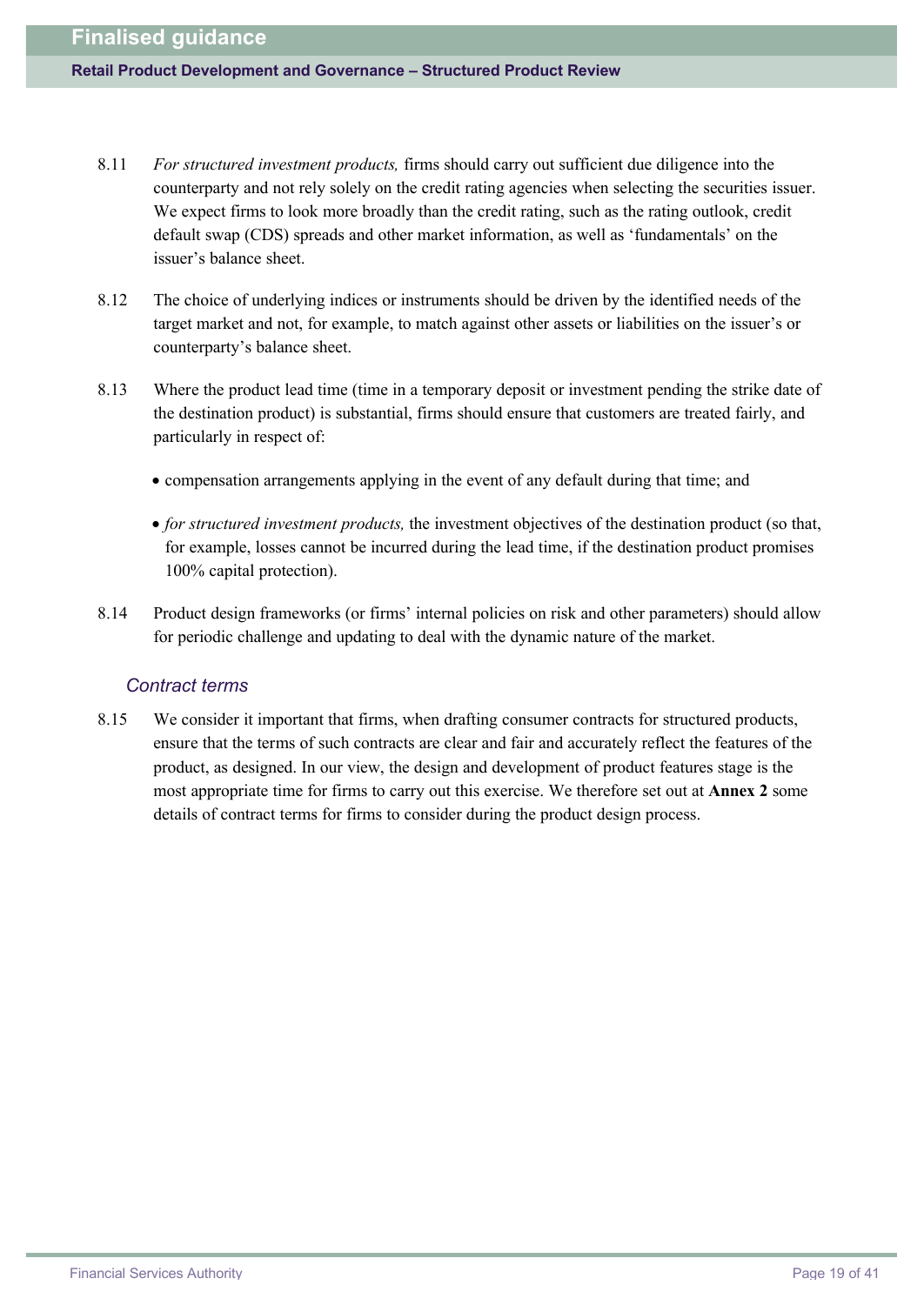#### **Retail Product Development and Governance – Structured Product Review**

- 8.11 *For structured investment products,* firms should carry out sufficient due diligence into the counterparty and not rely solely on the credit rating agencies when selecting the securities issuer. We expect firms to look more broadly than the credit rating, such as the rating outlook, credit default swap (CDS) spreads and other market information, as well as 'fundamentals' on the issuer's balance sheet.
- 8.12 The choice of underlying indices or instruments should be driven by the identified needs of the target market and not, for example, to match against other assets or liabilities on the issuer's or counterparty's balance sheet.
- 8.13 Where the product lead time (time in a temporary deposit or investment pending the strike date of the destination product) is substantial, firms should ensure that customers are treated fairly, and particularly in respect of:
	- · compensation arrangements applying in the event of any default during that time; and
	- · *for structured investment products,* the investment objectives of the destination product (so that, for example, losses cannot be incurred during the lead time, if the destination product promises 100% capital protection).
- 8.14 Product design frameworks (or firms' internal policies on risk and other parameters) should allow for periodic challenge and updating to deal with the dynamic nature of the market.

### *Contract terms*

8.15 We consider it important that firms, when drafting consumer contracts for structured products, ensure that the terms of such contracts are clear and fair and accurately reflect the features of the product, as designed. In our view, the design and development of product features stage is the most appropriate time for firms to carry out this exercise. We therefore set out at **Annex 2** some details of contract terms for firms to consider during the product design process.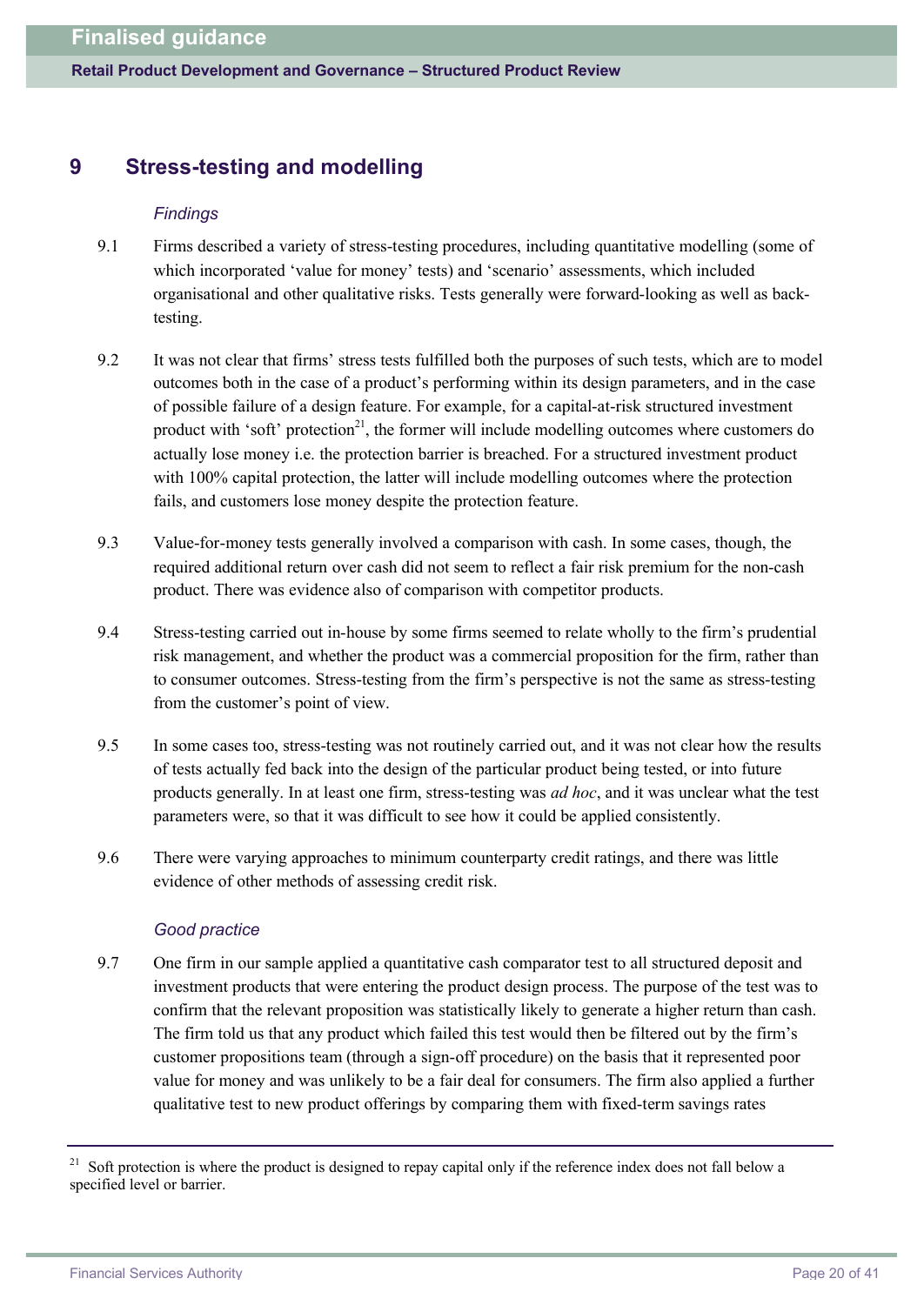# **9 Stress-testing and modelling**

#### *Findings*

- 9.1 Firms described a variety of stress-testing procedures, including quantitative modelling (some of which incorporated 'value for money' tests) and 'scenario' assessments, which included organisational and other qualitative risks. Tests generally were forward-looking as well as backtesting.
- 9.2 It was not clear that firms' stress tests fulfilled both the purposes of such tests, which are to model outcomes both in the case of a product's performing within its design parameters, and in the case of possible failure of a design feature. For example, for a capital-at-risk structured investment product with 'soft' protection<sup>21</sup>, the former will include modelling outcomes where customers do actually lose money i.e. the protection barrier is breached. For a structured investment product with 100% capital protection, the latter will include modelling outcomes where the protection fails, and customers lose money despite the protection feature.
- 9.3 Value-for-money tests generally involved a comparison with cash. In some cases, though, the required additional return over cash did not seem to reflect a fair risk premium for the non-cash product. There was evidence also of comparison with competitor products.
- 9.4 Stress-testing carried out in-house by some firms seemed to relate wholly to the firm's prudential risk management, and whether the product was a commercial proposition for the firm, rather than to consumer outcomes. Stress-testing from the firm's perspective is not the same as stress-testing from the customer's point of view.
- 9.5 In some cases too, stress-testing was not routinely carried out, and it was not clear how the results of tests actually fed back into the design of the particular product being tested, or into future products generally. In at least one firm, stress-testing was *ad hoc*, and it was unclear what the test parameters were, so that it was difficult to see how it could be applied consistently.
- 9.6 There were varying approaches to minimum counterparty credit ratings, and there was little evidence of other methods of assessing credit risk.

#### *Good practice*

9.7 One firm in our sample applied a quantitative cash comparator test to all structured deposit and investment products that were entering the product design process. The purpose of the test was to confirm that the relevant proposition was statistically likely to generate a higher return than cash. The firm told us that any product which failed this test would then be filtered out by the firm's customer propositions team (through a sign-off procedure) on the basis that it represented poor value for money and was unlikely to be a fair deal for consumers. The firm also applied a further qualitative test to new product offerings by comparing them with fixed-term savings rates

 $21$  Soft protection is where the product is designed to repay capital only if the reference index does not fall below a specified level or barrier.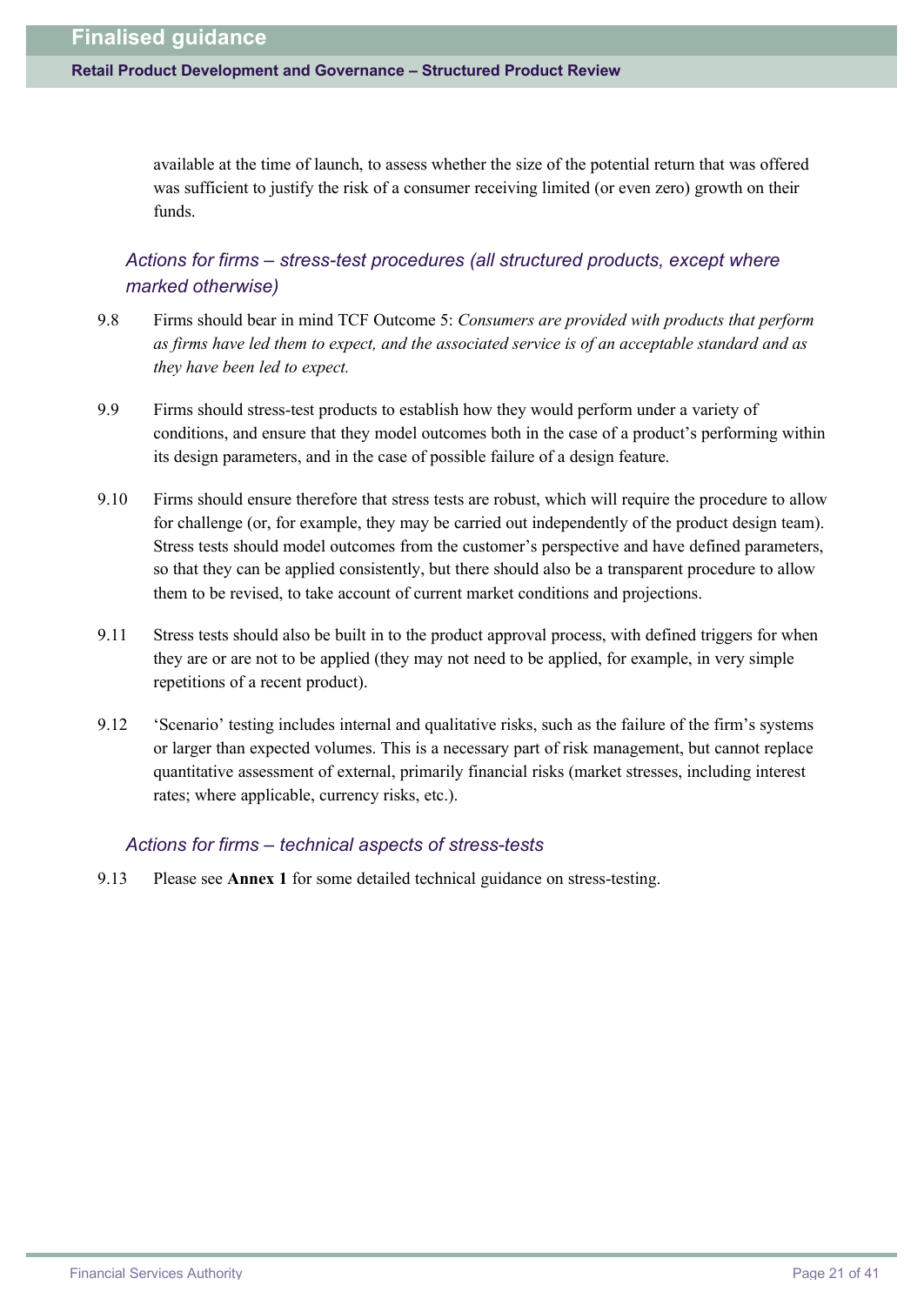available at the time of launch, to assess whether the size of the potential return that was offered was sufficient to justify the risk of a consumer receiving limited (or even zero) growth on their funds.

# *Actions for firms – stress-test procedures (all structured products, except where marked otherwise)*

- 9.8 Firms should bear in mind TCF Outcome 5: *Consumers are provided with products that perform as firms have led them to expect, and the associated service is of an acceptable standard and as they have been led to expect.*
- 9.9 Firms should stress-test products to establish how they would perform under a variety of conditions, and ensure that they model outcomes both in the case of a product's performing within its design parameters, and in the case of possible failure of a design feature.
- 9.10 Firms should ensure therefore that stress tests are robust, which will require the procedure to allow for challenge (or, for example, they may be carried out independently of the product design team). Stress tests should model outcomes from the customer's perspective and have defined parameters, so that they can be applied consistently, but there should also be a transparent procedure to allow them to be revised, to take account of current market conditions and projections.
- 9.11 Stress tests should also be built in to the product approval process, with defined triggers for when they are or are not to be applied (they may not need to be applied, for example, in very simple repetitions of a recent product).
- 9.12 'Scenario' testing includes internal and qualitative risks, such as the failure of the firm's systems or larger than expected volumes. This is a necessary part of risk management, but cannot replace quantitative assessment of external, primarily financial risks (market stresses, including interest rates; where applicable, currency risks, etc.).

#### *Actions for firms – technical aspects of stress-tests*

9.13 Please see **Annex 1** for some detailed technical guidance on stress-testing.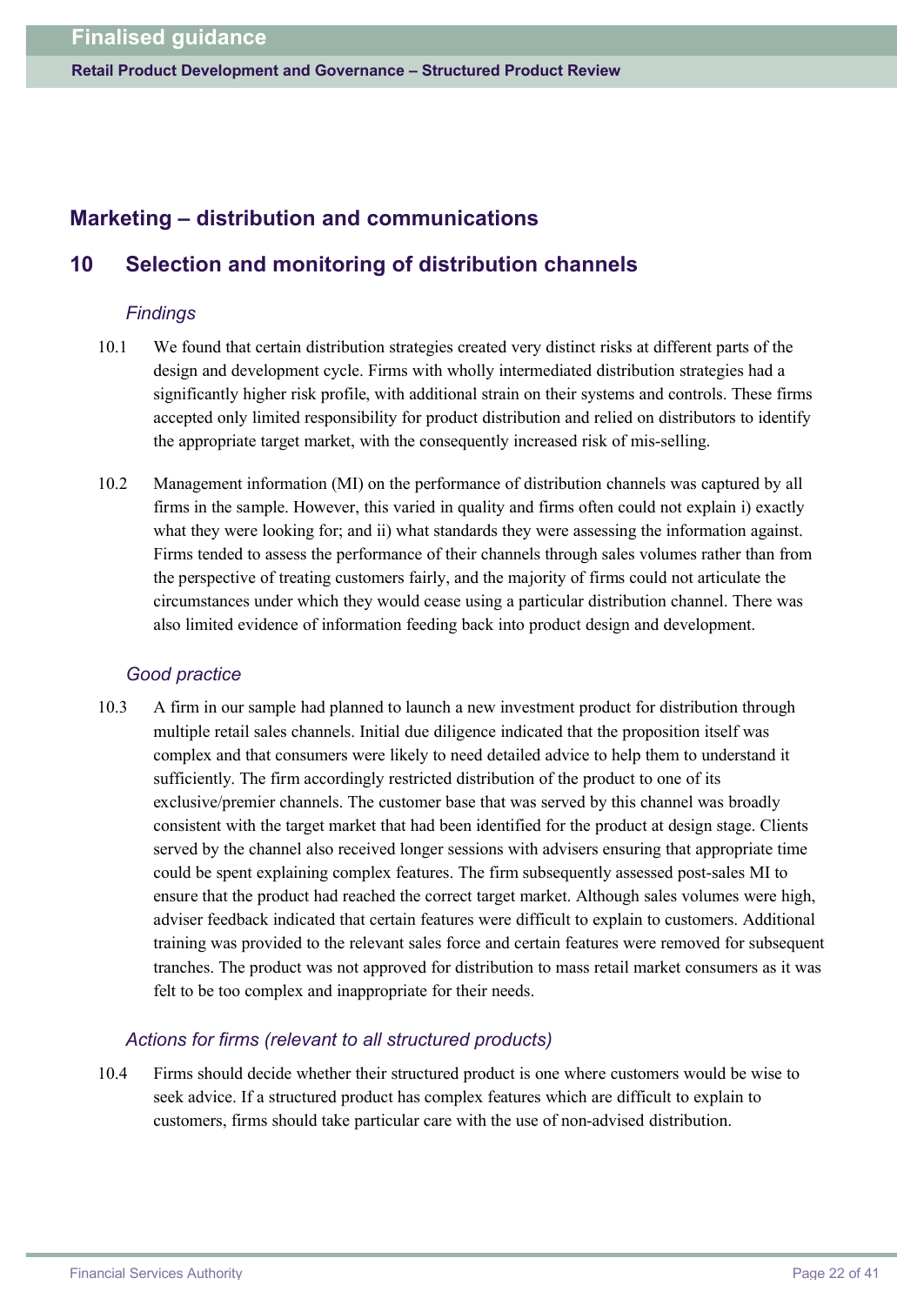# **Marketing – distribution and communications**

# **10 Selection and monitoring of distribution channels**

### *Findings*

- 10.1 We found that certain distribution strategies created very distinct risks at different parts of the design and development cycle. Firms with wholly intermediated distribution strategies had a significantly higher risk profile, with additional strain on their systems and controls. These firms accepted only limited responsibility for product distribution and relied on distributors to identify the appropriate target market, with the consequently increased risk of mis-selling.
- 10.2 Management information (MI) on the performance of distribution channels was captured by all firms in the sample. However, this varied in quality and firms often could not explain i) exactly what they were looking for; and ii) what standards they were assessing the information against. Firms tended to assess the performance of their channels through sales volumes rather than from the perspective of treating customers fairly, and the majority of firms could not articulate the circumstances under which they would cease using a particular distribution channel. There was also limited evidence of information feeding back into product design and development.

### *Good practice*

10.3 A firm in our sample had planned to launch a new investment product for distribution through multiple retail sales channels. Initial due diligence indicated that the proposition itself was complex and that consumers were likely to need detailed advice to help them to understand it sufficiently. The firm accordingly restricted distribution of the product to one of its exclusive/premier channels. The customer base that was served by this channel was broadly consistent with the target market that had been identified for the product at design stage. Clients served by the channel also received longer sessions with advisers ensuring that appropriate time could be spent explaining complex features. The firm subsequently assessed post-sales MI to ensure that the product had reached the correct target market. Although sales volumes were high, adviser feedback indicated that certain features were difficult to explain to customers. Additional training was provided to the relevant sales force and certain features were removed for subsequent tranches. The product was not approved for distribution to mass retail market consumers as it was felt to be too complex and inappropriate for their needs.

### *Actions for firms (relevant to all structured products)*

10.4 Firms should decide whether their structured product is one where customers would be wise to seek advice. If a structured product has complex features which are difficult to explain to customers, firms should take particular care with the use of non-advised distribution.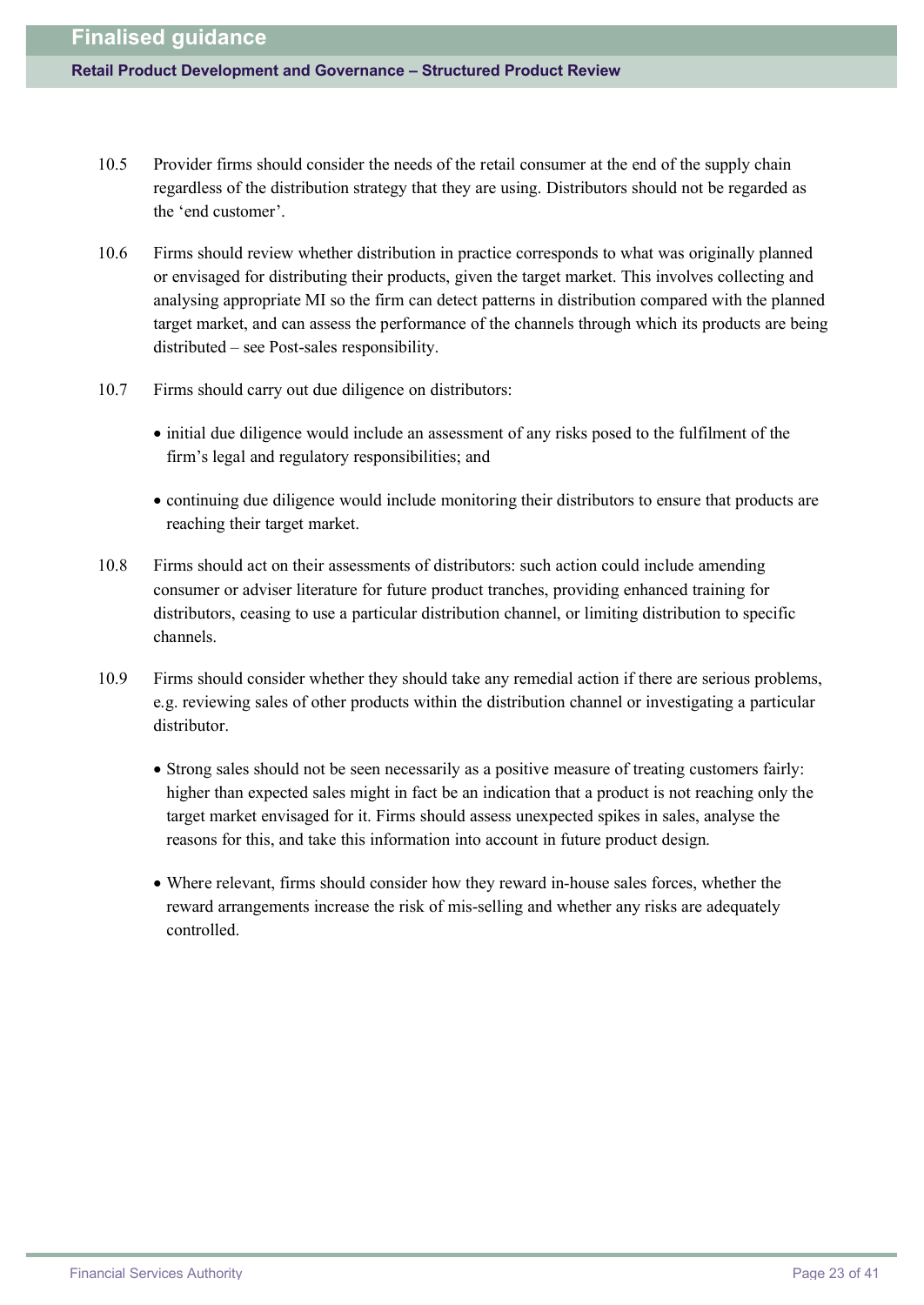- 10.5 Provider firms should consider the needs of the retail consumer at the end of the supply chain regardless of the distribution strategy that they are using. Distributors should not be regarded as the 'end customer'.
- 10.6 Firms should review whether distribution in practice corresponds to what was originally planned or envisaged for distributing their products, given the target market. This involves collecting and analysing appropriate MI so the firm can detect patterns in distribution compared with the planned target market, and can assess the performance of the channels through which its products are being distributed – see Post-sales responsibility.
- 10.7 Firms should carry out due diligence on distributors:
	- · initial due diligence would include an assessment of any risks posed to the fulfilment of the firm's legal and regulatory responsibilities; and
	- · continuing due diligence would include monitoring their distributors to ensure that products are reaching their target market.
- 10.8 Firms should act on their assessments of distributors: such action could include amending consumer or adviser literature for future product tranches, providing enhanced training for distributors, ceasing to use a particular distribution channel, or limiting distribution to specific channels.
- 10.9 Firms should consider whether they should take any remedial action if there are serious problems, e.g. reviewing sales of other products within the distribution channel or investigating a particular distributor.
	- · Strong sales should not be seen necessarily as a positive measure of treating customers fairly: higher than expected sales might in fact be an indication that a product is not reaching only the target market envisaged for it. Firms should assess unexpected spikes in sales, analyse the reasons for this, and take this information into account in future product design.
	- · Where relevant, firms should consider how they reward in-house sales forces, whether the reward arrangements increase the risk of mis-selling and whether any risks are adequately controlled.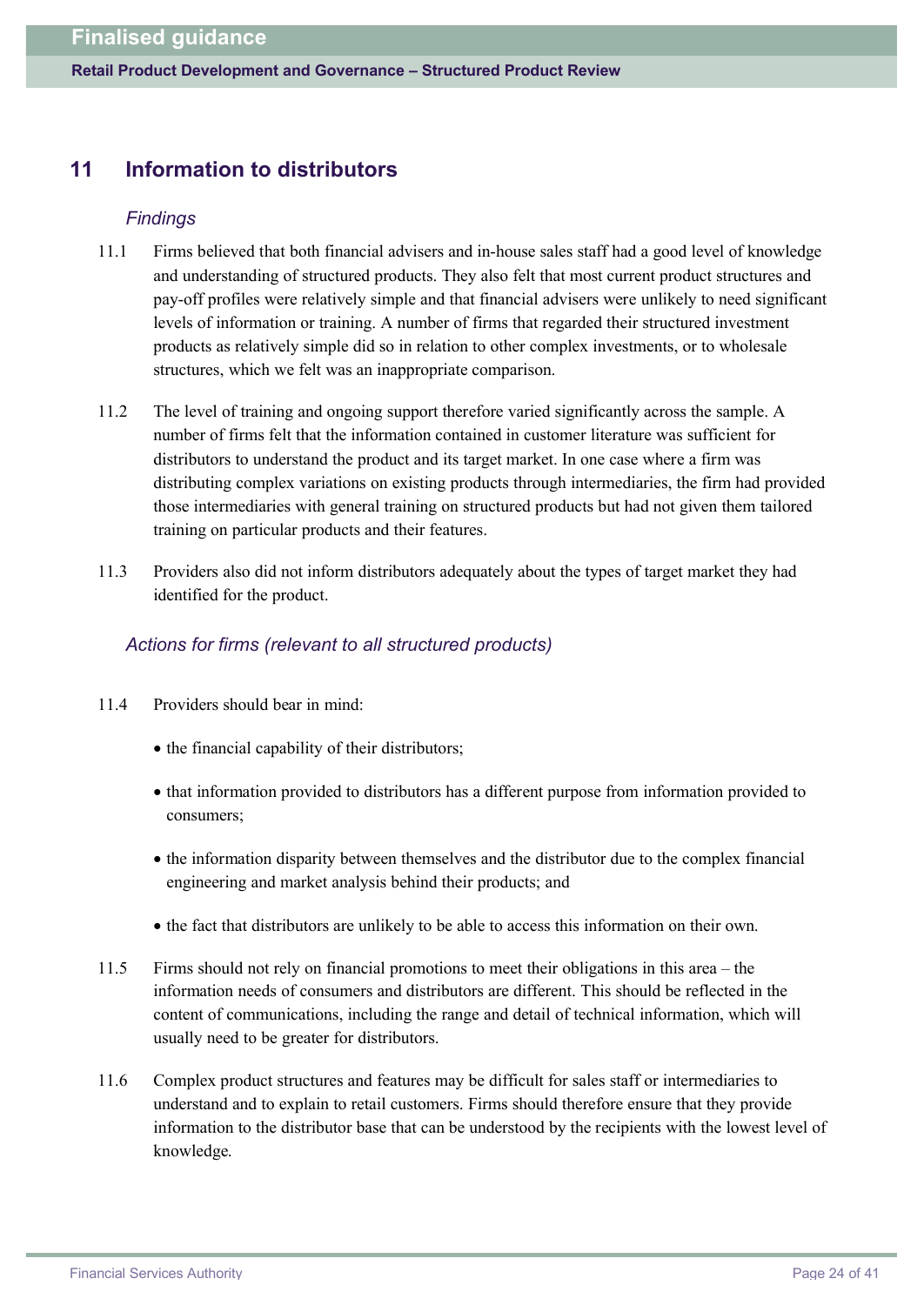# **11 Information to distributors**

### *Findings*

- 11.1 Firms believed that both financial advisers and in-house sales staff had a good level of knowledge and understanding of structured products. They also felt that most current product structures and pay-off profiles were relatively simple and that financial advisers were unlikely to need significant levels of information or training. A number of firms that regarded their structured investment products as relatively simple did so in relation to other complex investments, or to wholesale structures, which we felt was an inappropriate comparison.
- 11.2 The level of training and ongoing support therefore varied significantly across the sample. A number of firms felt that the information contained in customer literature was sufficient for distributors to understand the product and its target market. In one case where a firm was distributing complex variations on existing products through intermediaries, the firm had provided those intermediaries with general training on structured products but had not given them tailored training on particular products and their features.
- 11.3 Providers also did not inform distributors adequately about the types of target market they had identified for the product.

### *Actions for firms (relevant to all structured products)*

- 11.4 Providers should bear in mind:
	- the financial capability of their distributors;
	- · that information provided to distributors has a different purpose from information provided to consumers;
	- · the information disparity between themselves and the distributor due to the complex financial engineering and market analysis behind their products; and
	- · the fact that distributors are unlikely to be able to access this information on their own.
- 11.5 Firms should not rely on financial promotions to meet their obligations in this area the information needs of consumers and distributors are different. This should be reflected in the content of communications, including the range and detail of technical information, which will usually need to be greater for distributors.
- 11.6 Complex product structures and features may be difficult for sales staff or intermediaries to understand and to explain to retail customers. Firms should therefore ensure that they provide information to the distributor base that can be understood by the recipients with the lowest level of knowledge.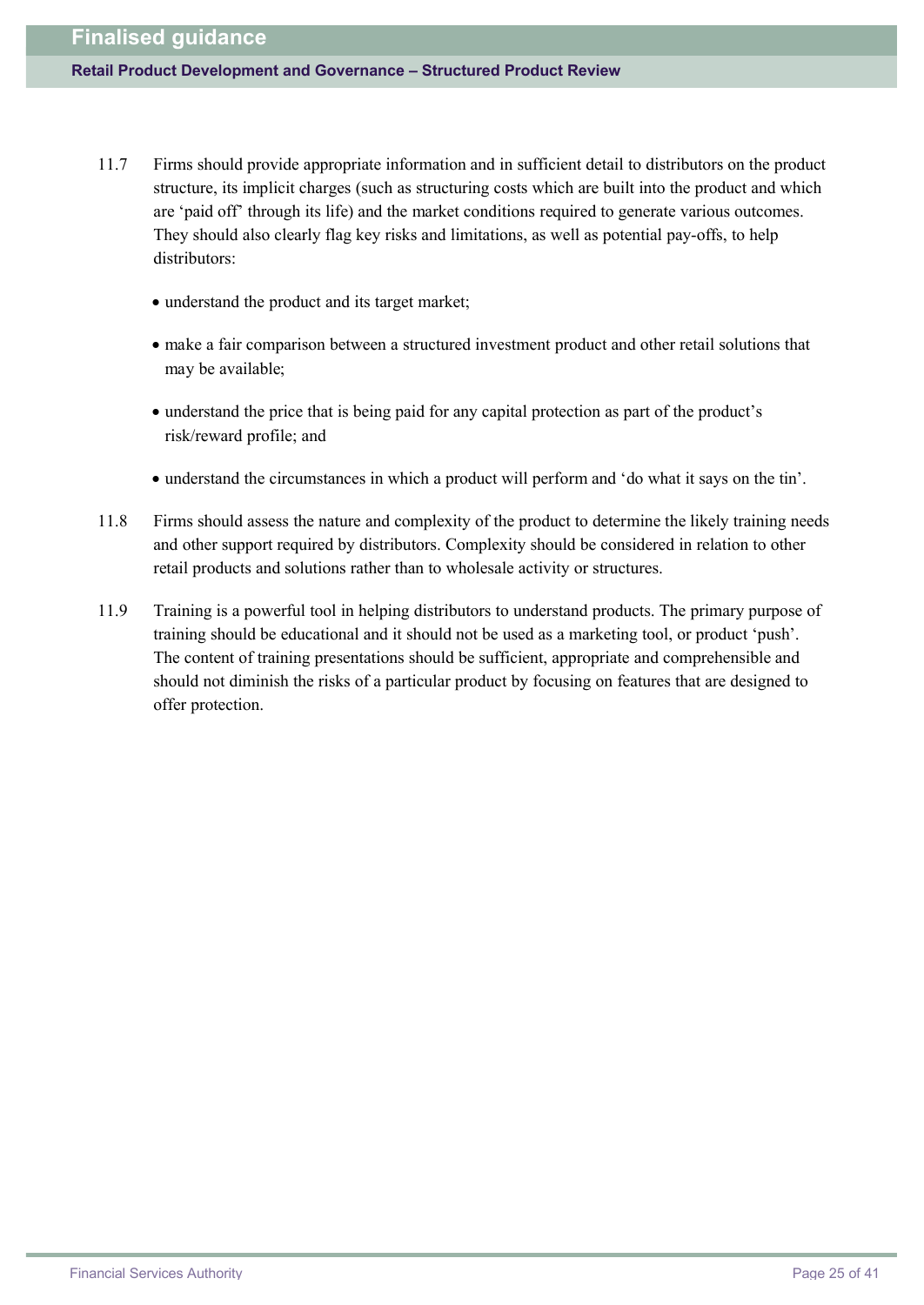- 11.7 Firms should provide appropriate information and in sufficient detail to distributors on the product structure, its implicit charges (such as structuring costs which are built into the product and which are 'paid off' through its life) and the market conditions required to generate various outcomes. They should also clearly flag key risks and limitations, as well as potential pay-offs, to help distributors:
	- · understand the product and its target market;
	- · make a fair comparison between a structured investment product and other retail solutions that may be available;
	- · understand the price that is being paid for any capital protection as part of the product's risk/reward profile; and
	- · understand the circumstances in which a product will perform and 'do what it says on the tin'.
- 11.8 Firms should assess the nature and complexity of the product to determine the likely training needs and other support required by distributors. Complexity should be considered in relation to other retail products and solutions rather than to wholesale activity or structures.
- 11.9 Training is a powerful tool in helping distributors to understand products. The primary purpose of training should be educational and it should not be used as a marketing tool, or product 'push'. The content of training presentations should be sufficient, appropriate and comprehensible and should not diminish the risks of a particular product by focusing on features that are designed to offer protection.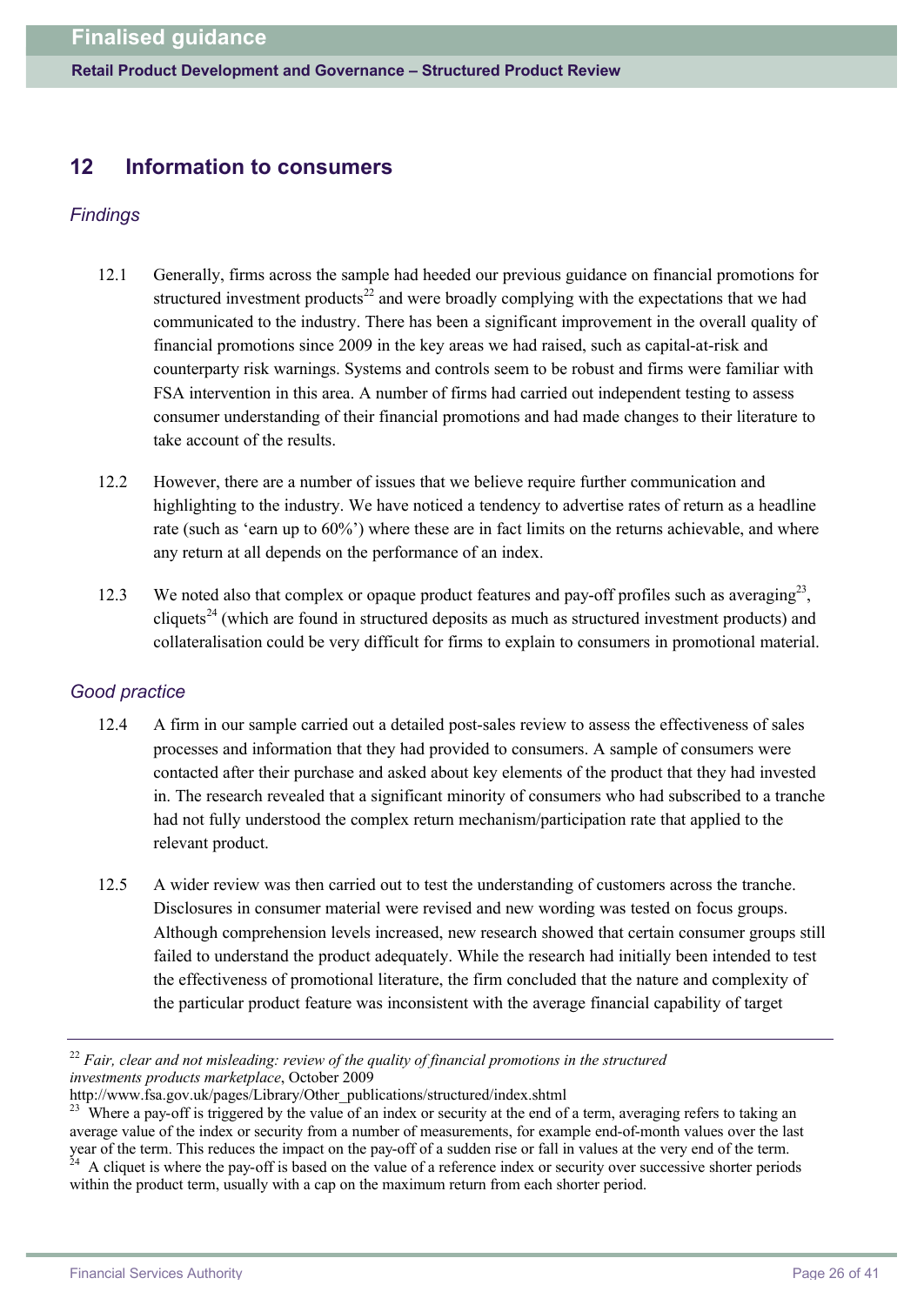# **12 Information to consumers**

## *Findings*

- 12.1 Generally, firms across the sample had heeded our previous guidance on financial promotions for structured investment products $^{22}$  and were broadly complying with the expectations that we had communicated to the industry. There has been a significant improvement in the overall quality of financial promotions since 2009 in the key areas we had raised, such as capital-at-risk and counterparty risk warnings. Systems and controls seem to be robust and firms were familiar with FSA intervention in this area. A number of firms had carried out independent testing to assess consumer understanding of their financial promotions and had made changes to their literature to take account of the results.
- 12.2 However, there are a number of issues that we believe require further communication and highlighting to the industry. We have noticed a tendency to advertise rates of return as a headline rate (such as 'earn up to 60%') where these are in fact limits on the returns achievable, and where any return at all depends on the performance of an index.
- 12.3 We noted also that complex or opaque product features and pay-off profiles such as averaging<sup>23</sup>, cliquets<sup>24</sup> (which are found in structured deposits as much as structured investment products) and collateralisation could be very difficult for firms to explain to consumers in promotional material.

### *Good practice*

- 12.4 A firm in our sample carried out a detailed post-sales review to assess the effectiveness of sales processes and information that they had provided to consumers. A sample of consumers were contacted after their purchase and asked about key elements of the product that they had invested in. The research revealed that a significant minority of consumers who had subscribed to a tranche had not fully understood the complex return mechanism/participation rate that applied to the relevant product.
- 12.5 A wider review was then carried out to test the understanding of customers across the tranche. Disclosures in consumer material were revised and new wording was tested on focus groups. Although comprehension levels increased, new research showed that certain consumer groups still failed to understand the product adequately. While the research had initially been intended to test the effectiveness of promotional literature, the firm concluded that the nature and complexity of the particular product feature was inconsistent with the average financial capability of target

<sup>22</sup> *Fair, clear and not misleading: review of the quality of financial promotions in the structured investments products marketplace*, October 2009

[http://w](http://www.fsa.gov.uk/pages/Library/Other_publications/structured/index.shtml)[ww.fsa.gov.uk/pages/Library/Other\\_publications/structured/index.shtml](www.fsa.gov.uk/pages/Library/Other_publications/structured/index.shtml)

<sup>&</sup>lt;sup>23</sup> Where a pay-off is triggered by the value of an index or security at the end of a term, averaging refers to taking an average value of the index or security from a number of measurements, for example end-of-month values over the last year of the term. This reduces the impact on the pay-off of a sudden rise or fall in values at the very end of the term.  $24$  A cliquet is where the pay-off is based on the value of a reference index or security over successive shorter periods

within the product term, usually with a cap on the maximum return from each shorter period.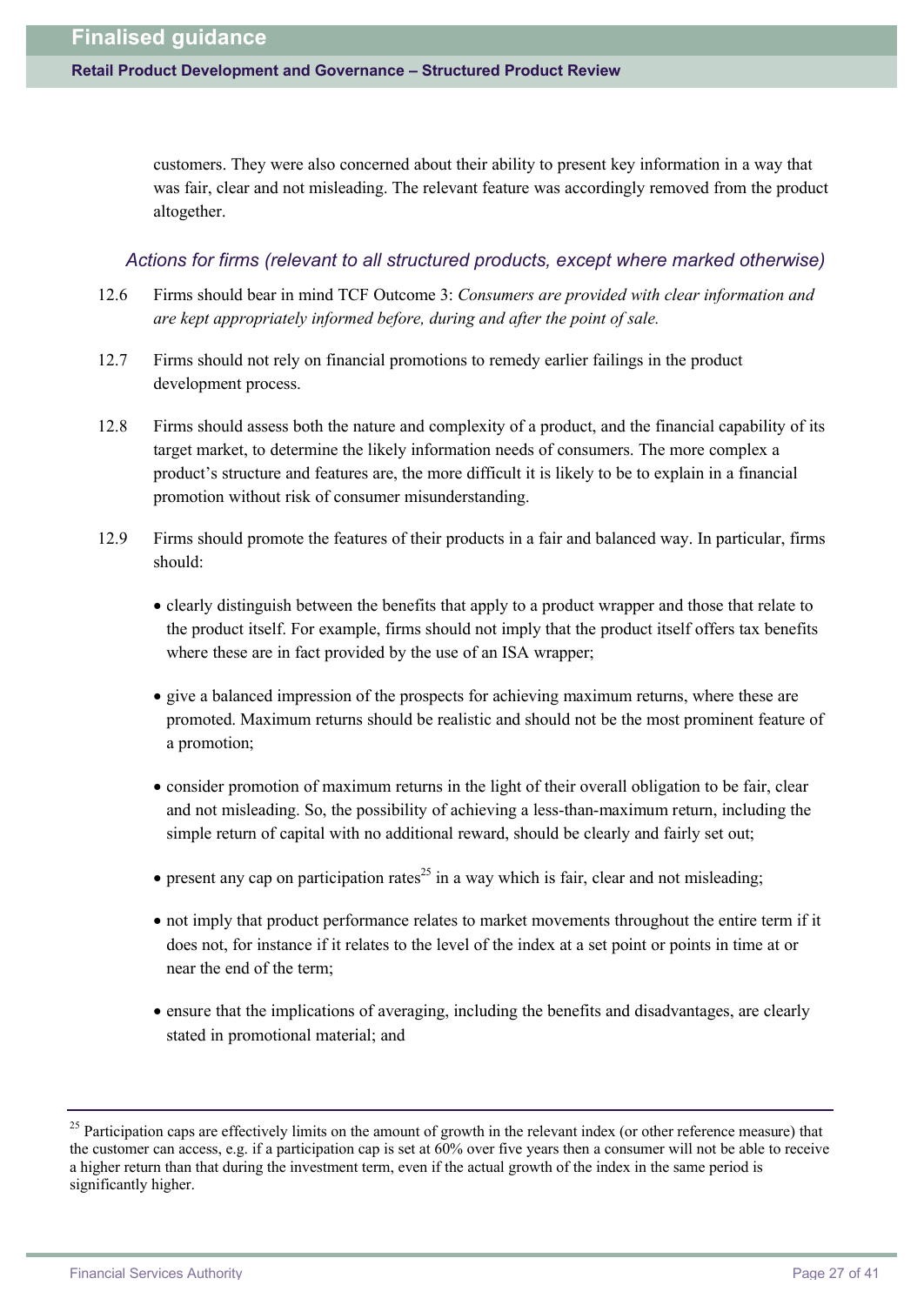customers. They were also concerned about their ability to present key information in a way that was fair, clear and not misleading. The relevant feature was accordingly removed from the product altogether.

#### *Actions for firms (relevant to all structured products, except where marked otherwise)*

- 12.6 Firms should bear in mind TCF Outcome 3: *Consumers are provided with clear information and are kept appropriately informed before, during and after the point of sale.*
- 12.7 Firms should not rely on financial promotions to remedy earlier failings in the product development process.
- 12.8 Firms should assess both the nature and complexity of a product, and the financial capability of its target market, to determine the likely information needs of consumers. The more complex a product's structure and features are, the more difficult it is likely to be to explain in a financial promotion without risk of consumer misunderstanding.
- 12.9 Firms should promote the features of their products in a fair and balanced way. In particular, firms should:
	- · clearly distinguish between the benefits that apply to a product wrapper and those that relate to the product itself. For example, firms should not imply that the product itself offers tax benefits where these are in fact provided by the use of an ISA wrapper;
	- · give a balanced impression of the prospects for achieving maximum returns, where these are promoted. Maximum returns should be realistic and should not be the most prominent feature of a promotion;
	- · consider promotion of maximum returns in the light of their overall obligation to be fair, clear and not misleading. So, the possibility of achieving a less-than-maximum return, including the simple return of capital with no additional reward, should be clearly and fairly set out;
	- present any cap on participation rates<sup>25</sup> in a way which is fair, clear and not misleading;
	- · not imply that product performance relates to market movements throughout the entire term if it does not, for instance if it relates to the level of the index at a set point or points in time at or near the end of the term;
	- · ensure that the implications of averaging, including the benefits and disadvantages, are clearly stated in promotional material; and

<sup>&</sup>lt;sup>25</sup> Participation caps are effectively limits on the amount of growth in the relevant index (or other reference measure) that the customer can access, e.g. if a participation cap is set at 60% over five years then a consumer will not be able to receive a higher return than that during the investment term, even if the actual growth of the index in the same period is significantly higher.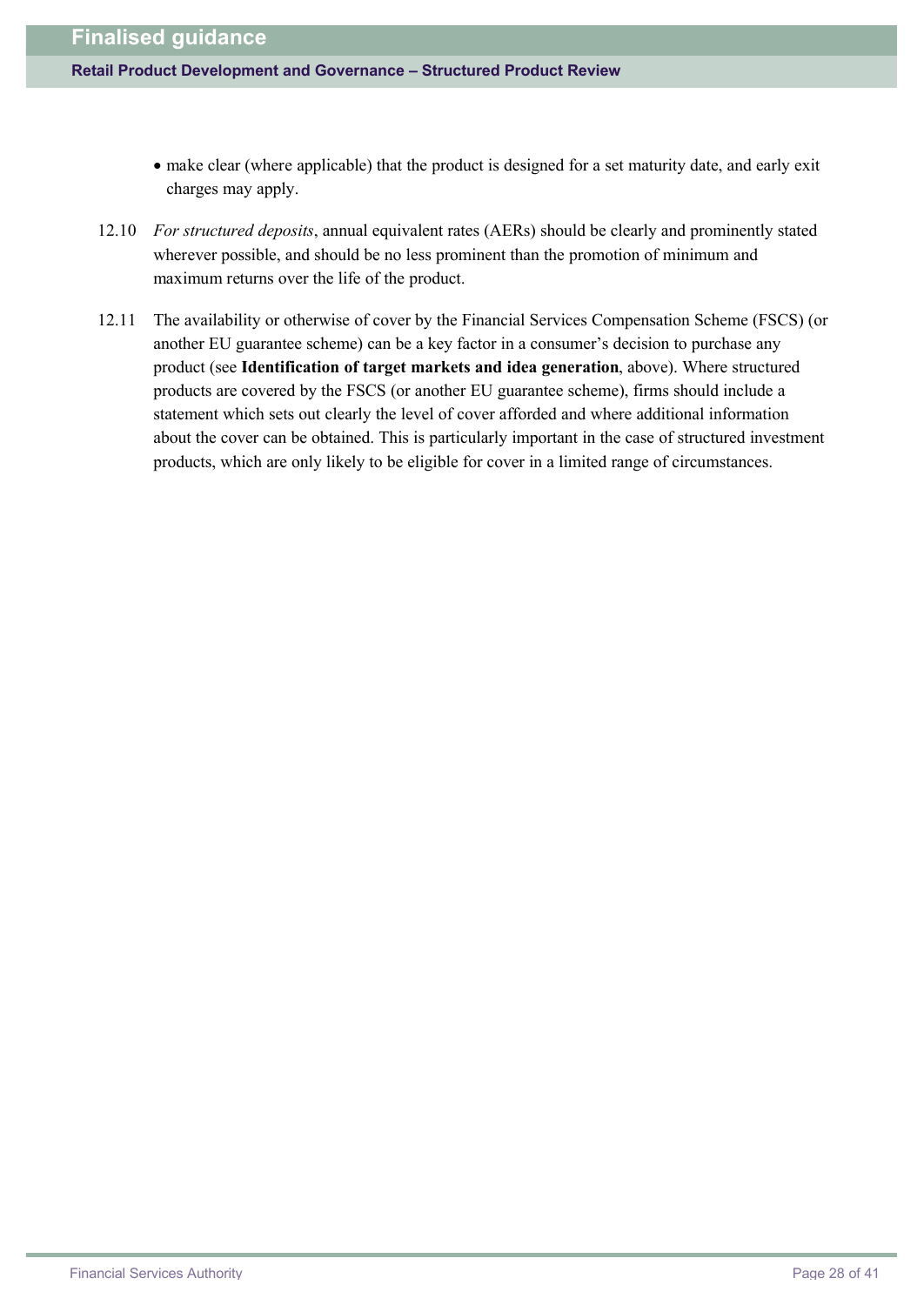- make clear (where applicable) that the product is designed for a set maturity date, and early exit charges may apply.
- 12.10 *For structured deposits*, annual equivalent rates (AERs) should be clearly and prominently stated wherever possible, and should be no less prominent than the promotion of minimum and maximum returns over the life of the product.
- 12.11 The availability or otherwise of cover by the Financial Services Compensation Scheme (FSCS) (or another EU guarantee scheme) can be a key factor in a consumer's decision to purchase any product (see **Identification of target markets and idea generation**, above). Where structured products are covered by the FSCS (or another EU guarantee scheme), firms should include a statement which sets out clearly the level of cover afforded and where additional information about the cover can be obtained. This is particularly important in the case of structured investment products, which are only likely to be eligible for cover in a limited range of circumstances.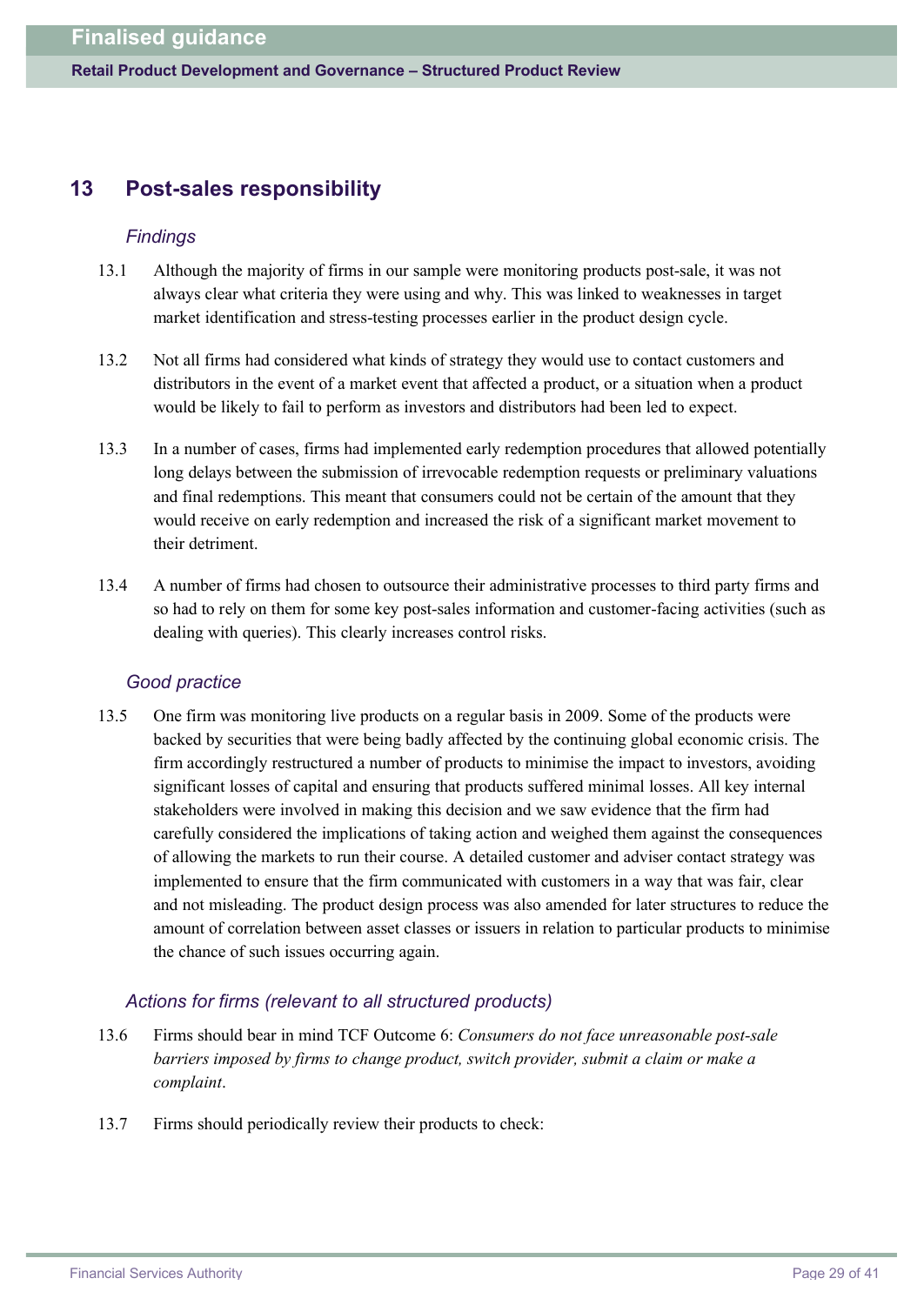# **13 Post-sales responsibility**

#### *Findings*

- 13.1 Although the majority of firms in our sample were monitoring products post-sale, it was not always clear what criteria they were using and why. This was linked to weaknesses in target market identification and stress-testing processes earlier in the product design cycle.
- 13.2 Not all firms had considered what kinds of strategy they would use to contact customers and distributors in the event of a market event that affected a product, or a situation when a product would be likely to fail to perform as investors and distributors had been led to expect.
- 13.3 In a number of cases, firms had implemented early redemption procedures that allowed potentially long delays between the submission of irrevocable redemption requests or preliminary valuations and final redemptions. This meant that consumers could not be certain of the amount that they would receive on early redemption and increased the risk of a significant market movement to their detriment.
- 13.4 A number of firms had chosen to outsource their administrative processes to third party firms and so had to rely on them for some key post-sales information and customer-facing activities (such as dealing with queries). This clearly increases control risks.

### *Good practice*

13.5 One firm was monitoring live products on a regular basis in 2009. Some of the products were backed by securities that were being badly affected by the continuing global economic crisis. The firm accordingly restructured a number of products to minimise the impact to investors, avoiding significant losses of capital and ensuring that products suffered minimal losses. All key internal stakeholders were involved in making this decision and we saw evidence that the firm had carefully considered the implications of taking action and weighed them against the consequences of allowing the markets to run their course. A detailed customer and adviser contact strategy was implemented to ensure that the firm communicated with customers in a way that was fair, clear and not misleading. The product design process was also amended for later structures to reduce the amount of correlation between asset classes or issuers in relation to particular products to minimise the chance of such issues occurring again.

### *Actions for firms (relevant to all structured products)*

- 13.6 Firms should bear in mind TCF Outcome 6: *Consumers do not face unreasonable post-sale barriers imposed by firms to change product, switch provider, submit a claim or make a complaint*.
- 13.7 Firms should periodically review their products to check: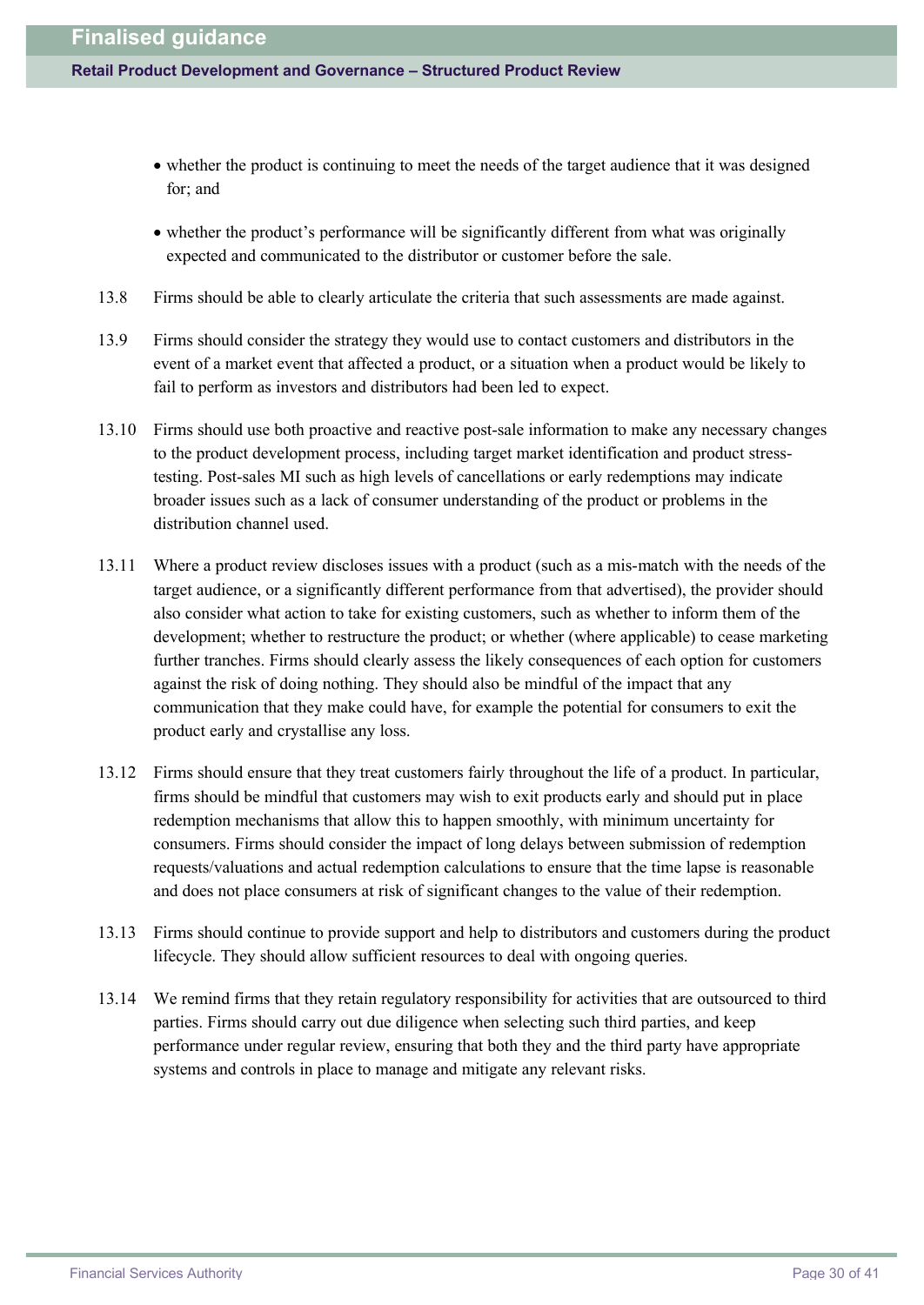- · whether the product is continuing to meet the needs of the target audience that it was designed for; and
- · whether the product's performance will be significantly different from what was originally expected and communicated to the distributor or customer before the sale.
- 13.8 Firms should be able to clearly articulate the criteria that such assessments are made against.
- 13.9 Firms should consider the strategy they would use to contact customers and distributors in the event of a market event that affected a product, or a situation when a product would be likely to fail to perform as investors and distributors had been led to expect.
- 13.10 Firms should use both proactive and reactive post-sale information to make any necessary changes to the product development process, including target market identification and product stresstesting. Post-sales MI such as high levels of cancellations or early redemptions may indicate broader issues such as a lack of consumer understanding of the product or problems in the distribution channel used.
- 13.11 Where a product review discloses issues with a product (such as a mis-match with the needs of the target audience, or a significantly different performance from that advertised), the provider should also consider what action to take for existing customers, such as whether to inform them of the development; whether to restructure the product; or whether (where applicable) to cease marketing further tranches. Firms should clearly assess the likely consequences of each option for customers against the risk of doing nothing. They should also be mindful of the impact that any communication that they make could have, for example the potential for consumers to exit the product early and crystallise any loss.
- 13.12 Firms should ensure that they treat customers fairly throughout the life of a product. In particular, firms should be mindful that customers may wish to exit products early and should put in place redemption mechanisms that allow this to happen smoothly, with minimum uncertainty for consumers. Firms should consider the impact of long delays between submission of redemption requests/valuations and actual redemption calculations to ensure that the time lapse is reasonable and does not place consumers at risk of significant changes to the value of their redemption.
- 13.13 Firms should continue to provide support and help to distributors and customers during the product lifecycle. They should allow sufficient resources to deal with ongoing queries.
- 13.14 We remind firms that they retain regulatory responsibility for activities that are outsourced to third parties. Firms should carry out due diligence when selecting such third parties, and keep performance under regular review, ensuring that both they and the third party have appropriate systems and controls in place to manage and mitigate any relevant risks.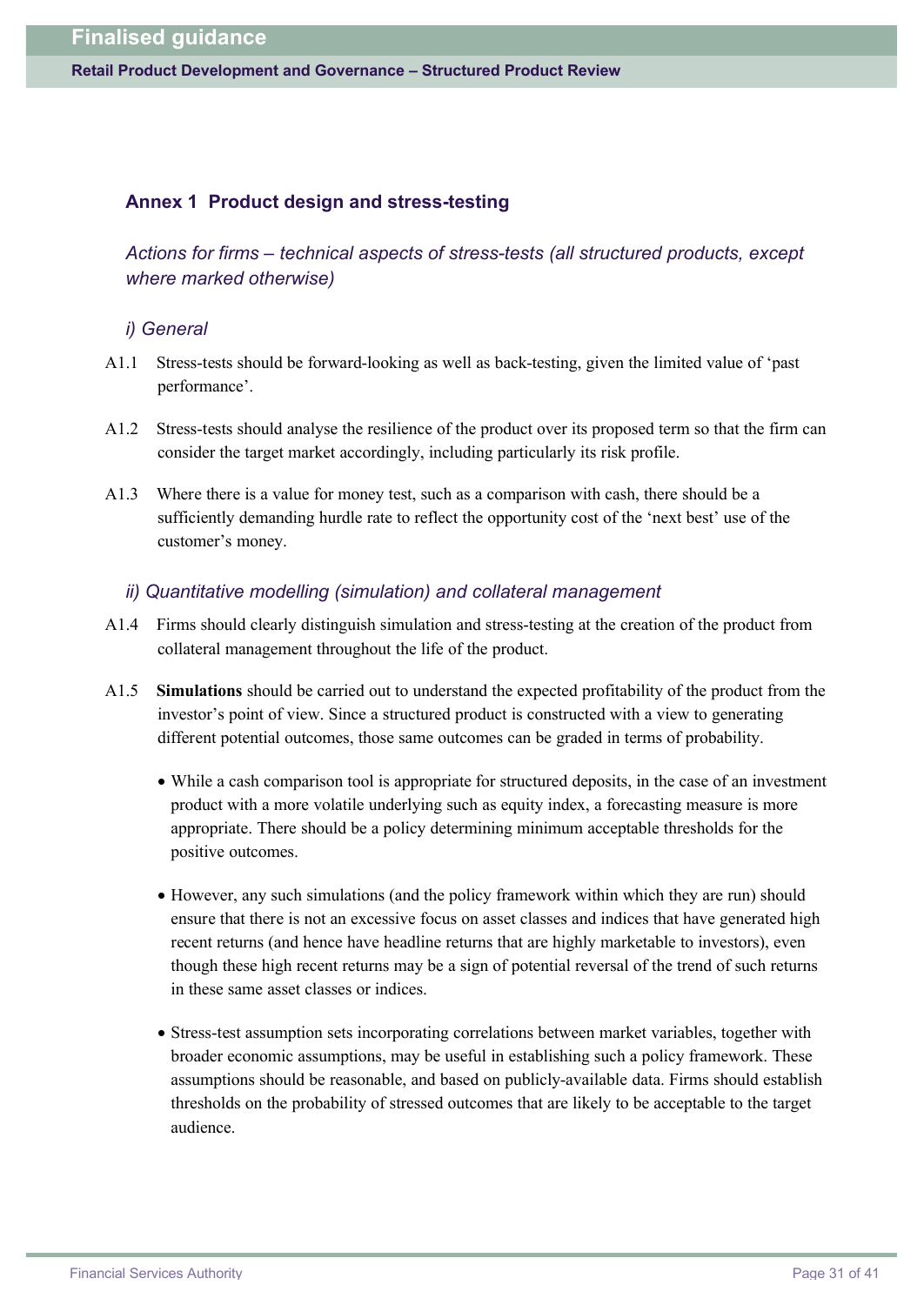#### **Annex 1 Product design and stress-testing**

*Actions for firms – technical aspects of stress-tests (all structured products, except where marked otherwise)*

#### *i) General*

- A1.1 Stress-tests should be forward-looking as well as back-testing, given the limited value of 'past performance'.
- A1.2 Stress-tests should analyse the resilience of the product over its proposed term so that the firm can consider the target market accordingly, including particularly its risk profile.
- A1.3 Where there is a value for money test, such as a comparison with cash, there should be a sufficiently demanding hurdle rate to reflect the opportunity cost of the 'next best' use of the customer's money.

#### *ii) Quantitative modelling (simulation) and collateral management*

- A1.4 Firms should clearly distinguish simulation and stress-testing at the creation of the product from collateral management throughout the life of the product.
- A1.5 **Simulations** should be carried out to understand the expected profitability of the product from the investor's point of view. Since a structured product is constructed with a view to generating different potential outcomes, those same outcomes can be graded in terms of probability.
	- · While a cash comparison tool is appropriate for structured deposits, in the case of an investment product with a more volatile underlying such as equity index, a forecasting measure is more appropriate. There should be a policy determining minimum acceptable thresholds for the positive outcomes.
	- · However, any such simulations (and the policy framework within which they are run) should ensure that there is not an excessive focus on asset classes and indices that have generated high recent returns (and hence have headline returns that are highly marketable to investors), even though these high recent returns may be a sign of potential reversal of the trend of such returns in these same asset classes or indices.
	- · Stress-test assumption sets incorporating correlations between market variables, together with broader economic assumptions, may be useful in establishing such a policy framework. These assumptions should be reasonable, and based on publicly-available data. Firms should establish thresholds on the probability of stressed outcomes that are likely to be acceptable to the target audience.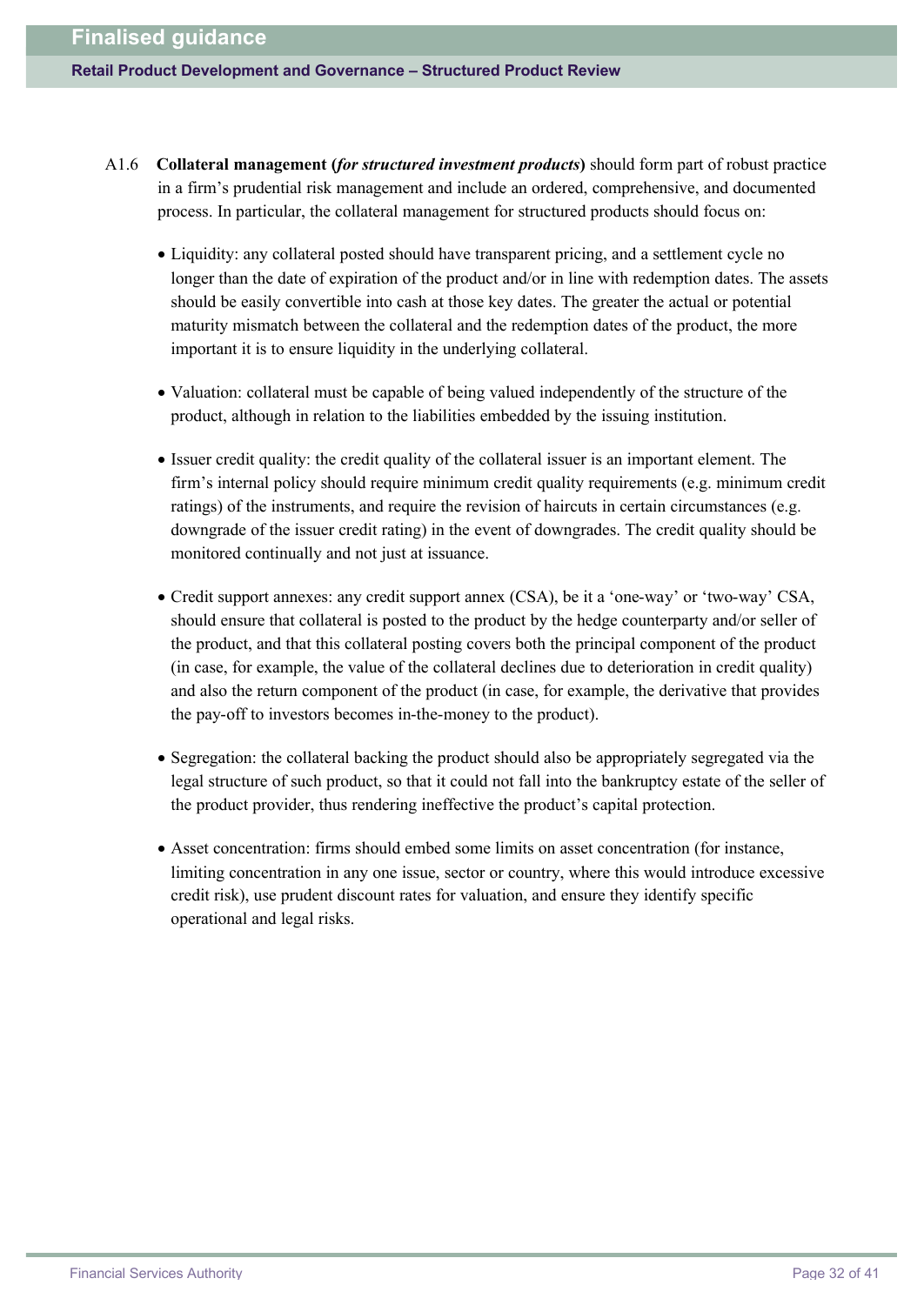#### **Retail Product Development and Governance – Structured Product Review**

- A1.6 **Collateral management (***for structured investment products***)** should form part of robust practice in a firm's prudential risk management and include an ordered, comprehensive, and documented process. In particular, the collateral management for structured products should focus on:
	- · Liquidity: any collateral posted should have transparent pricing, and a settlement cycle no longer than the date of expiration of the product and/or in line with redemption dates. The assets should be easily convertible into cash at those key dates. The greater the actual or potential maturity mismatch between the collateral and the redemption dates of the product, the more important it is to ensure liquidity in the underlying collateral.
	- · Valuation: collateral must be capable of being valued independently of the structure of the product, although in relation to the liabilities embedded by the issuing institution.
	- · Issuer credit quality: the credit quality of the collateral issuer is an important element. The firm's internal policy should require minimum credit quality requirements (e.g. minimum credit ratings) of the instruments, and require the revision of haircuts in certain circumstances (e.g. downgrade of the issuer credit rating) in the event of downgrades. The credit quality should be monitored continually and not just at issuance.
	- · Credit support annexes: any credit support annex (CSA), be it a 'one-way' or 'two-way' CSA, should ensure that collateral is posted to the product by the hedge counterparty and/or seller of the product, and that this collateral posting covers both the principal component of the product (in case, for example, the value of the collateral declines due to deterioration in credit quality) and also the return component of the product (in case, for example, the derivative that provides the pay-off to investors becomes in-the-money to the product).
	- · Segregation: the collateral backing the product should also be appropriately segregated via the legal structure of such product, so that it could not fall into the bankruptcy estate of the seller of the product provider, thus rendering ineffective the product's capital protection.
	- · Asset concentration: firms should embed some limits on asset concentration (for instance, limiting concentration in any one issue, sector or country, where this would introduce excessive credit risk), use prudent discount rates for valuation, and ensure they identify specific operational and legal risks.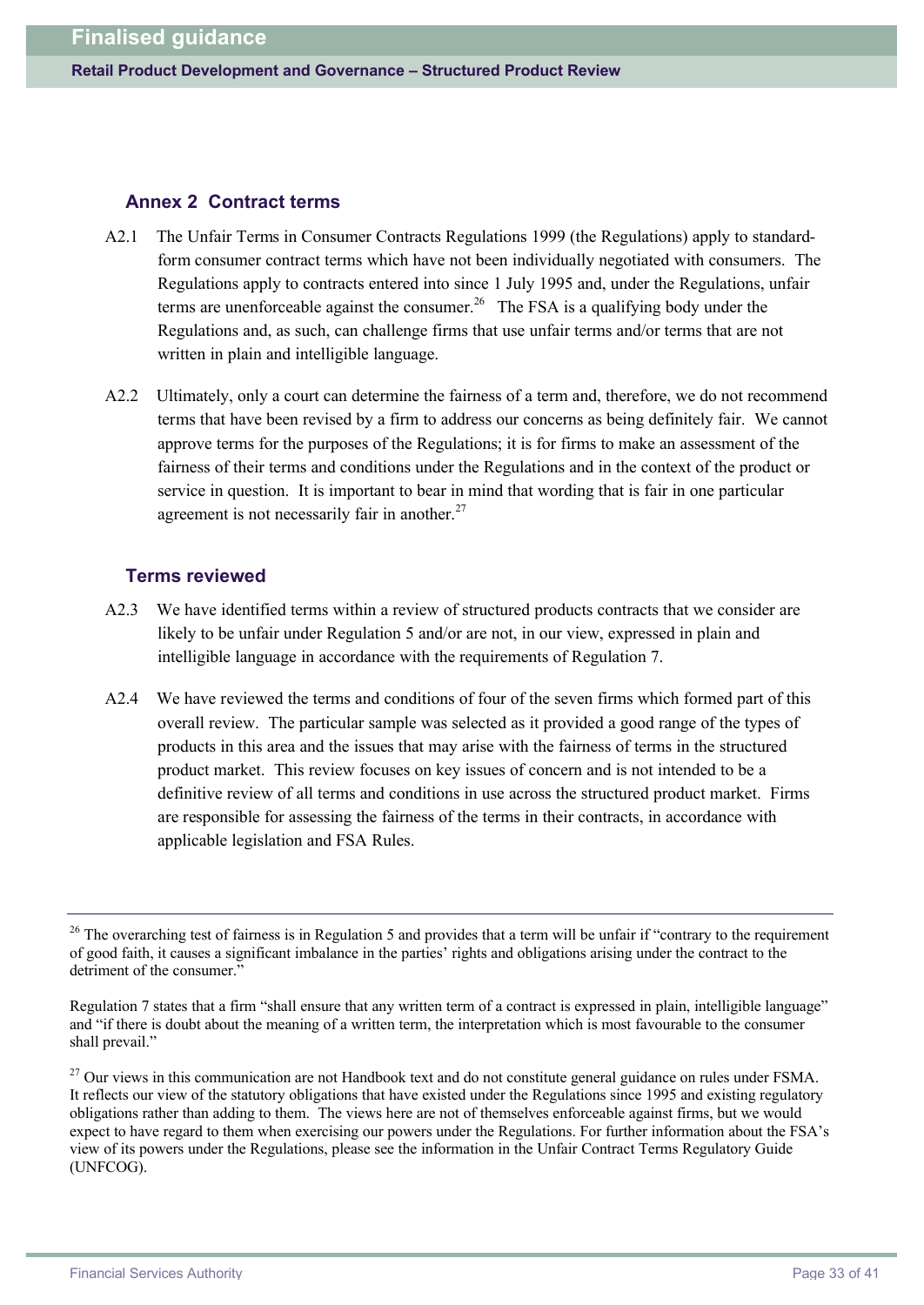#### **Annex 2 Contract terms**

- A2.1 The Unfair Terms in Consumer Contracts Regulations 1999 (the Regulations) apply to standardform consumer contract terms which have not been individually negotiated with consumers. The Regulations apply to contracts entered into since 1 July 1995 and, under the Regulations, unfair terms are unenforceable against the consumer.<sup>26</sup> The FSA is a qualifying body under the Regulations and, as such, can challenge firms that use unfair terms and/or terms that are not written in plain and intelligible language.
- A2.2 Ultimately, only a court can determine the fairness of a term and, therefore, we do not recommend terms that have been revised by a firm to address our concerns as being definitely fair. We cannot approve terms for the purposes of the Regulations; it is for firms to make an assessment of the fairness of their terms and conditions under the Regulations and in the context of the product or service in question. It is important to bear in mind that wording that is fair in one particular agreement is not necessarily fair in another.<sup>27</sup>

#### **Terms reviewed**

- A2.3 We have identified terms within a review of structured products contracts that we consider are likely to be unfair under Regulation 5 and/or are not, in our view, expressed in plain and intelligible language in accordance with the requirements of Regulation 7.
- A2.4 We have reviewed the terms and conditions of four of the seven firms which formed part of this overall review. The particular sample was selected as it provided a good range of the types of products in this area and the issues that may arise with the fairness of terms in the structured product market. This review focuses on key issues of concern and is not intended to be a definitive review of all terms and conditions in use across the structured product market. Firms are responsible for assessing the fairness of the terms in their contracts, in accordance with applicable legislation and FSA Rules.

<sup>&</sup>lt;sup>26</sup> The overarching test of fairness is in Regulation 5 and provides that a term will be unfair if "contrary to the requirement" of good faith, it causes a significant imbalance in the parties' rights and obligations arising under the contract to the detriment of the consumer."

Regulation 7 states that a firm "shall ensure that any written term of a contract is expressed in plain, intelligible language" and "if there is doubt about the meaning of a written term, the interpretation which is most favourable to the consumer shall prevail."

 $27$  Our views in this communication are not Handbook text and do not constitute general guidance on rules under FSMA. It reflects our view of the statutory obligations that have existed under the Regulations since 1995 and existing regulatory obligations rather than adding to them. The views here are not of themselves enforceable against firms, but we would expect to have regard to them when exercising our powers under the Regulations. For further information about the FSA's view of its powers under the Regulations, please see the information in the Unfair Contract Terms Regulatory Guide (UNFCOG).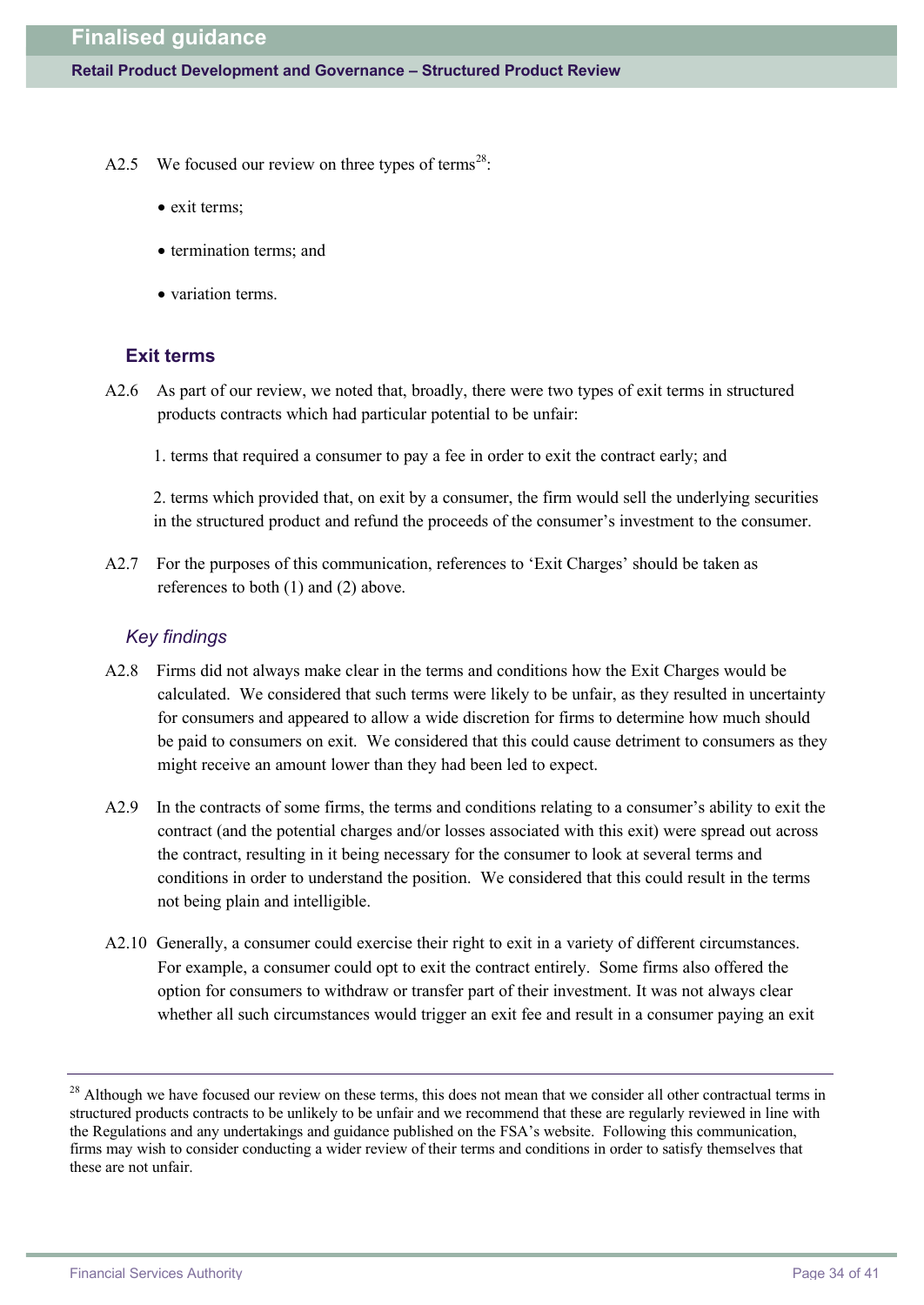- A2.5 We focused our review on three types of terms<sup>28</sup>:
	- exit terms;
	- termination terms; and
	- variation terms.

### **Exit terms**

- A2.6 As part of our review, we noted that, broadly, there were two types of exit terms in structured products contracts which had particular potential to be unfair:
	- 1. terms that required a consumer to pay a fee in order to exit the contract early; and

2. terms which provided that, on exit by a consumer, the firm would sell the underlying securities in the structured product and refund the proceeds of the consumer's investment to the consumer.

A2.7 For the purposes of this communication, references to 'Exit Charges' should be taken as references to both (1) and (2) above.

#### *Key findings*

- A2.8 Firms did not always make clear in the terms and conditions how the Exit Charges would be calculated. We considered that such terms were likely to be unfair, as they resulted in uncertainty for consumers and appeared to allow a wide discretion for firms to determine how much should be paid to consumers on exit. We considered that this could cause detriment to consumers as they might receive an amount lower than they had been led to expect.
- A2.9 In the contracts of some firms, the terms and conditions relating to a consumer's ability to exit the contract (and the potential charges and/or losses associated with this exit) were spread out across the contract, resulting in it being necessary for the consumer to look at several terms and conditions in order to understand the position. We considered that this could result in the terms not being plain and intelligible.
- A2.10 Generally, a consumer could exercise their right to exit in a variety of different circumstances. For example, a consumer could opt to exit the contract entirely. Some firms also offered the option for consumers to withdraw or transfer part of their investment. It was not always clear whether all such circumstances would trigger an exit fee and result in a consumer paying an exit

<sup>&</sup>lt;sup>28</sup> Although we have focused our review on these terms, this does not mean that we consider all other contractual terms in structured products contracts to be unlikely to be unfair and we recommend that these are regularly reviewed in line with the Regulations and any undertakings and guidance published on the FSA's website. Following this communication, firms may wish to consider conducting a wider review of their terms and conditions in order to satisfy themselves that these are not unfair.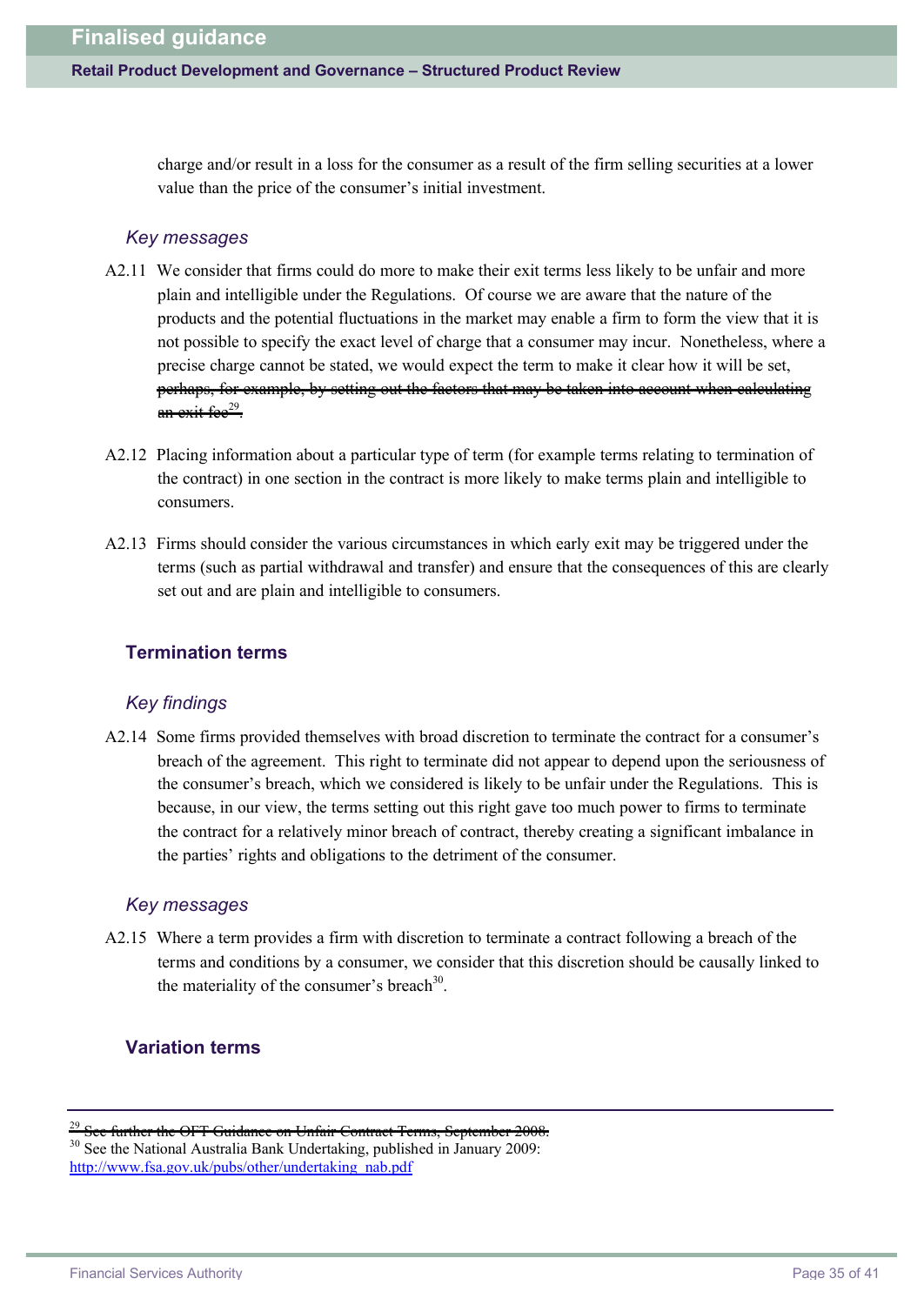charge and/or result in a loss for the consumer as a result of the firm selling securities at a lower value than the price of the consumer's initial investment.

#### *Key messages*

- A2.11 We consider that firms could do more to make their exit terms less likely to be unfair and more plain and intelligible under the Regulations. Of course we are aware that the nature of the products and the potential fluctuations in the market may enable a firm to form the view that it is not possible to specify the exact level of charge that a consumer may incur. Nonetheless, where a precise charge cannot be stated, we would expect the term to make it clear how it will be set, perhaps, for example, by setting out the factors that may be taken into account when calculating an exit fee<sup>29</sup>.
- A2.12 Placing information about a particular type of term (for example terms relating to termination of the contract) in one section in the contract is more likely to make terms plain and intelligible to consumers.
- A2.13 Firms should consider the various circumstances in which early exit may be triggered under the terms (such as partial withdrawal and transfer) and ensure that the consequences of this are clearly set out and are plain and intelligible to consumers.

### **Termination terms**

#### *Key findings*

A2.14 Some firms provided themselves with broad discretion to terminate the contract for a consumer's breach of the agreement. This right to terminate did not appear to depend upon the seriousness of the consumer's breach, which we considered is likely to be unfair under the Regulations. This is because, in our view, the terms setting out this right gave too much power to firms to terminate the contract for a relatively minor breach of contract, thereby creating a significant imbalance in the parties' rights and obligations to the detriment of the consumer.

#### *Key messages*

A2.15 Where a term provides a firm with discretion to terminate a contract following a breach of the terms and conditions by a consumer, we consider that this discretion should be causally linked to the materiality of the consumer's breach<sup>30</sup>.

## **Variation terms**

<sup>30</sup> See the National Australia Bank Undertaking, published in January 2009: [http://w](http://www.fsa.gov.uk/pubs/other/undertaking_nab.pdf)[ww.fsa.gov.uk/pubs/other/undertaking\\_nab.pdf](www.fsa.gov.uk/pubs/other/undertaking_nab.pdf)

 $\frac{29}{29}$  See further the OFT Guidance on Unfair Contract Terms, September 2008.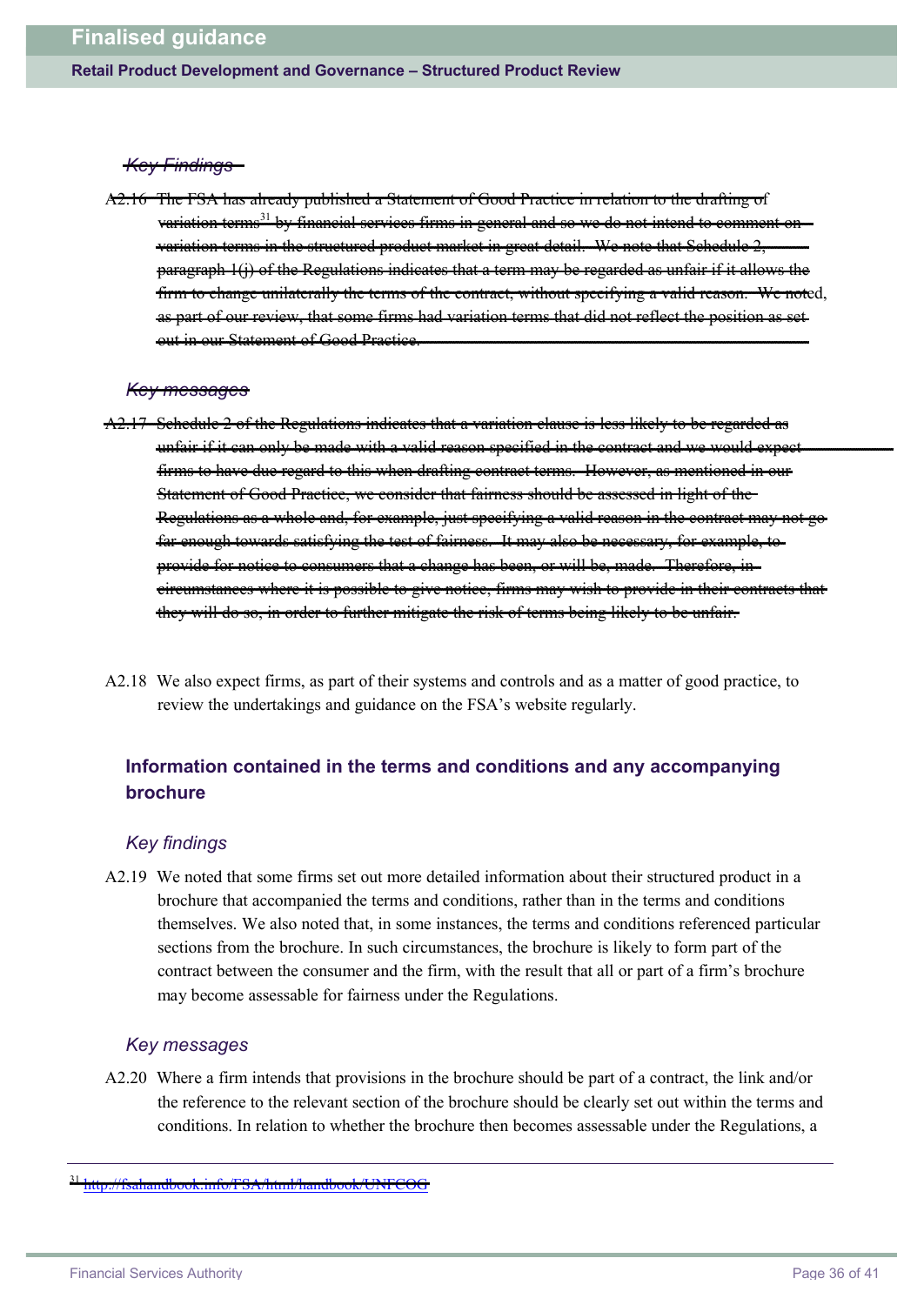#### *Key Findings*

The FSA has already published a Statement of Good Practice in relation to the drafting of variation terms<sup>31</sup> by financial services firms in general and so we variation terms in the structured product market in great detail. We note that Schedule 2, paragraph 1(j) of the Regulations indicates that a term may be regarded as unfair if it allows the firm to change unilaterally the terms of the contract, without specifying a valid reason. We noted, as part of our review, that some firms had variation terms that did not reflect the position as set out in our Statement of Good Practice.

#### *Key messages*

- A2.17 Schedule 2 of the Regulations indicates that a variation clause is less likely to be regarded as unfair if it can only be made with a valid reason specified in the contract and we would expect firms to have due regard to this when drafting contract terms. However, as mentioned in our Statement of Good Practice, we consider that fairness should be assessed in light of the Regulations as a whole and, for example, just specifying a valid reason in the contract may not go far enough towards satisfying the test of fairness. It may also be necessary, for example, to provide for notice to consumers that a change has been, or will be, made. Therefore, in circumstances where it is possible to give notice, firms may wish to provide in their contracts that they will do so, in order to further mitigate the risk of terms being likely to be unfair.
- A2.18 We also expect firms, as part of their systems and controls and as a matter of good practice, to review the undertakings and guidance on the FSA's website regularly.

# **Information contained in the terms and conditions and any accompanying brochure**

#### *Key findings*

A2.19 We noted that some firms set out more detailed information about their structured product in a brochure that accompanied the terms and conditions, rather than in the terms and conditions themselves. We also noted that, in some instances, the terms and conditions referenced particular sections from the brochure. In such circumstances, the brochure is likely to form part of the contract between the consumer and the firm, with the result that all or part of a firm's brochure may become assessable for fairness under the Regulations.

#### *Key messages*

A2.20 Where a firm intends that provisions in the brochure should be part of a contract, the link and/or the reference to the relevant section of the brochure should be clearly set out within the terms and conditions. In relation to whether the brochure then becomes assessable under the Regulations, a

<sup>31</sup> <http://fsahandbook.info/FSA/html/handbook/UNFCOG>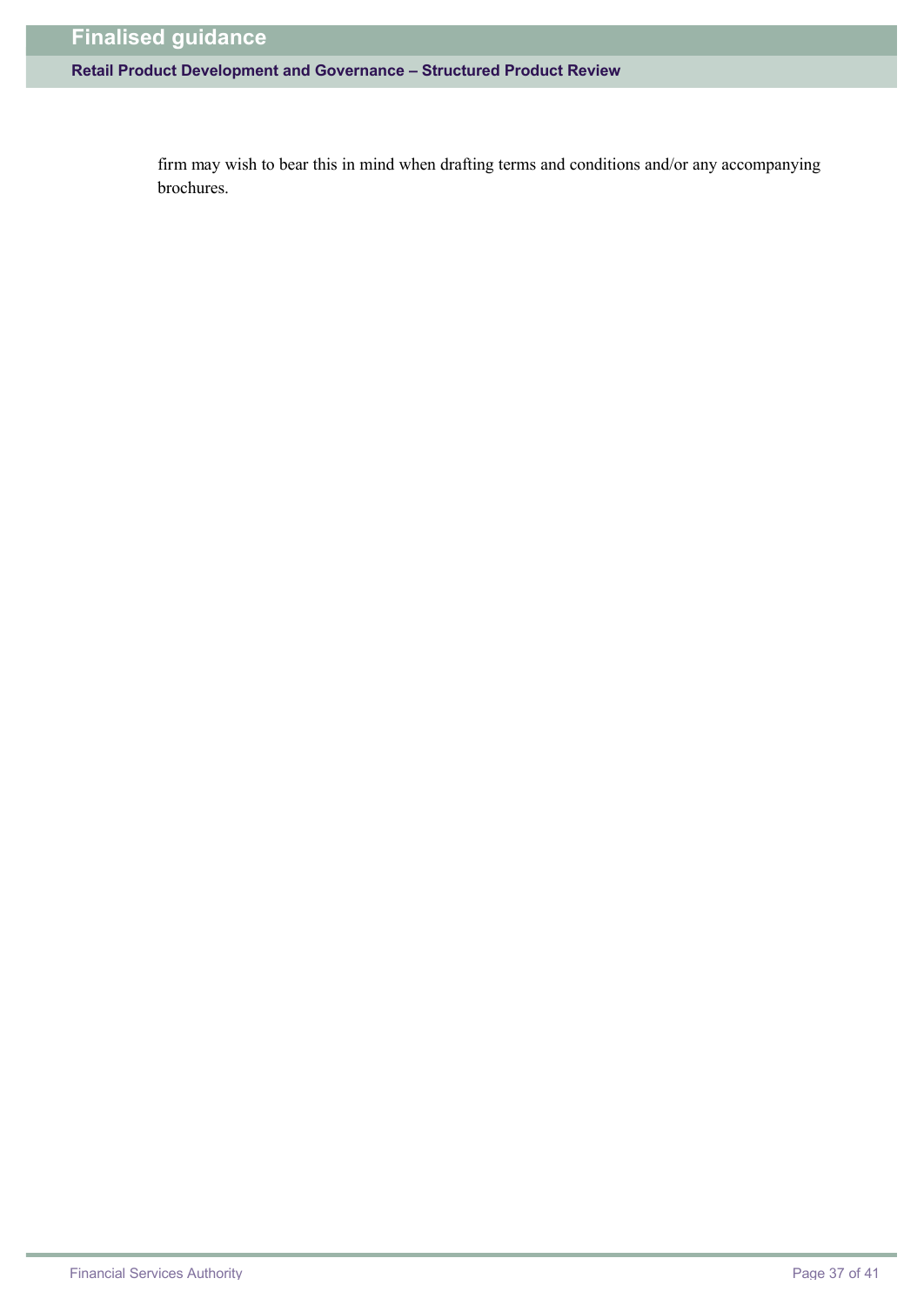# **Retail Product Development and Governance – Structured Product Review**

firm may wish to bear this in mind when drafting terms and conditions and/or any accompanying brochures.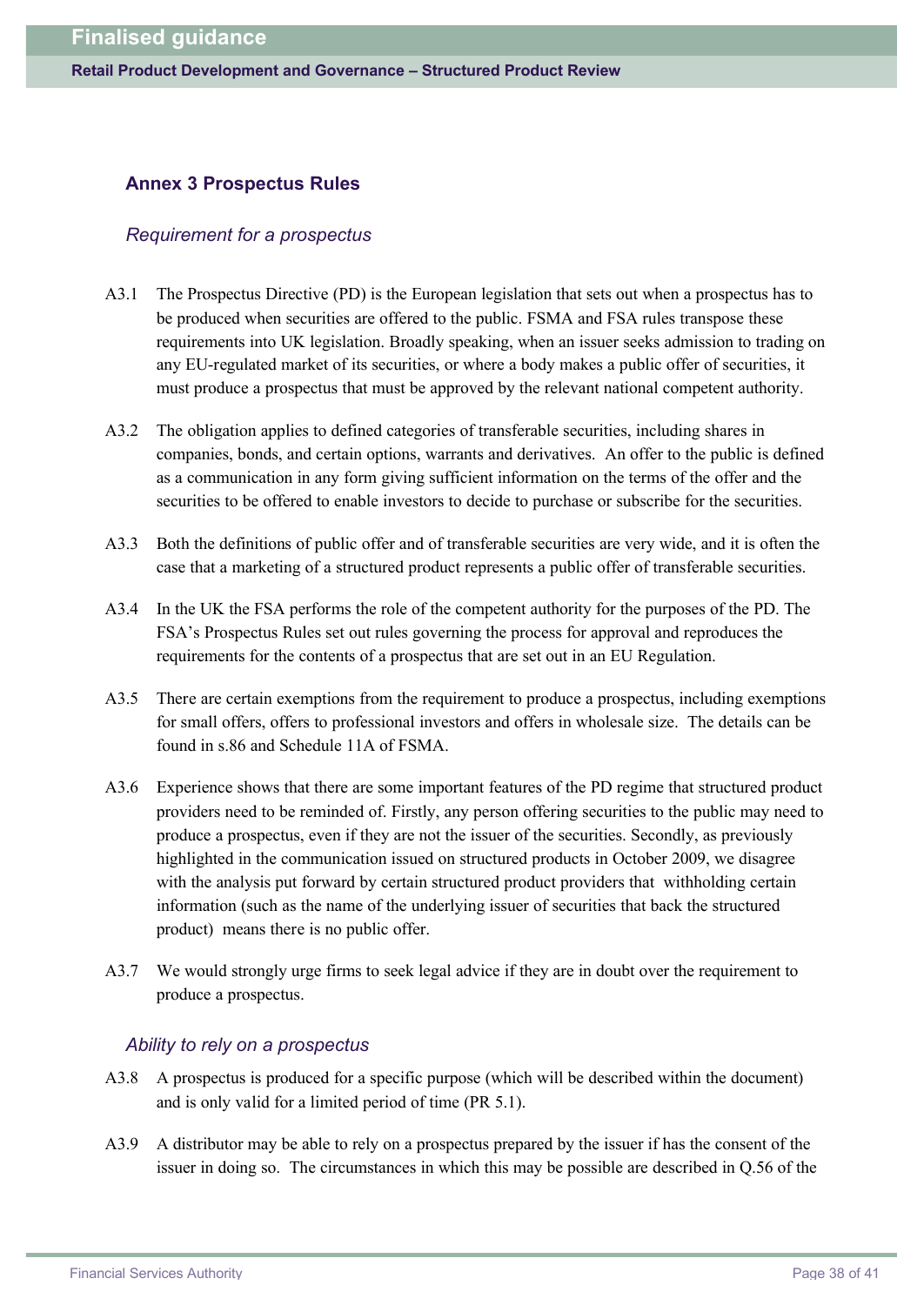### **Annex 3 Prospectus Rules**

#### *Requirement for a prospectus*

- A3.1 The Prospectus Directive (PD) is the European legislation that sets out when a prospectus has to be produced when securities are offered to the public. FSMA and FSA rules transpose these requirements into UK legislation. Broadly speaking, when an issuer seeks admission to trading on any EU-regulated market of its securities, or where a body makes a public offer of securities, it must produce a prospectus that must be approved by the relevant national competent authority.
- A3.2 The obligation applies to defined categories of transferable securities, including shares in companies, bonds, and certain options, warrants and derivatives. An offer to the public is defined as a communication in any form giving sufficient information on the terms of the offer and the securities to be offered to enable investors to decide to purchase or subscribe for the securities.
- A3.3 Both the definitions of public offer and of transferable securities are very wide, and it is often the case that a marketing of a structured product represents a public offer of transferable securities.
- A3.4 In the UK the FSA performs the role of the competent authority for the purposes of the PD. The FSA's Prospectus Rules set out rules governing the process for approval and reproduces the requirements for the contents of a prospectus that are set out in an EU Regulation.
- A3.5 There are certain exemptions from the requirement to produce a prospectus, including exemptions for small offers, offers to professional investors and offers in wholesale size. The details can be found in s.86 and Schedule 11A of FSMA.
- A3.6 Experience shows that there are some important features of the PD regime that structured product providers need to be reminded of. Firstly, any person offering securities to the public may need to produce a prospectus, even if they are not the issuer of the securities. Secondly, as previously highlighted in the communication issued on structured products in October 2009, we disagree with the analysis put forward by certain structured product providers that withholding certain information (such as the name of the underlying issuer of securities that back the structured product) means there is no public offer.
- A3.7 We would strongly urge firms to seek legal advice if they are in doubt over the requirement to produce a prospectus.

#### *Ability to rely on a prospectus*

- A3.8 A prospectus is produced for a specific purpose (which will be described within the document) and is only valid for a limited period of time (PR 5.1).
- A3.9 A distributor may be able to rely on a prospectus prepared by the issuer if has the consent of the issuer in doing so. The circumstances in which this may be possible are described in Q.56 of the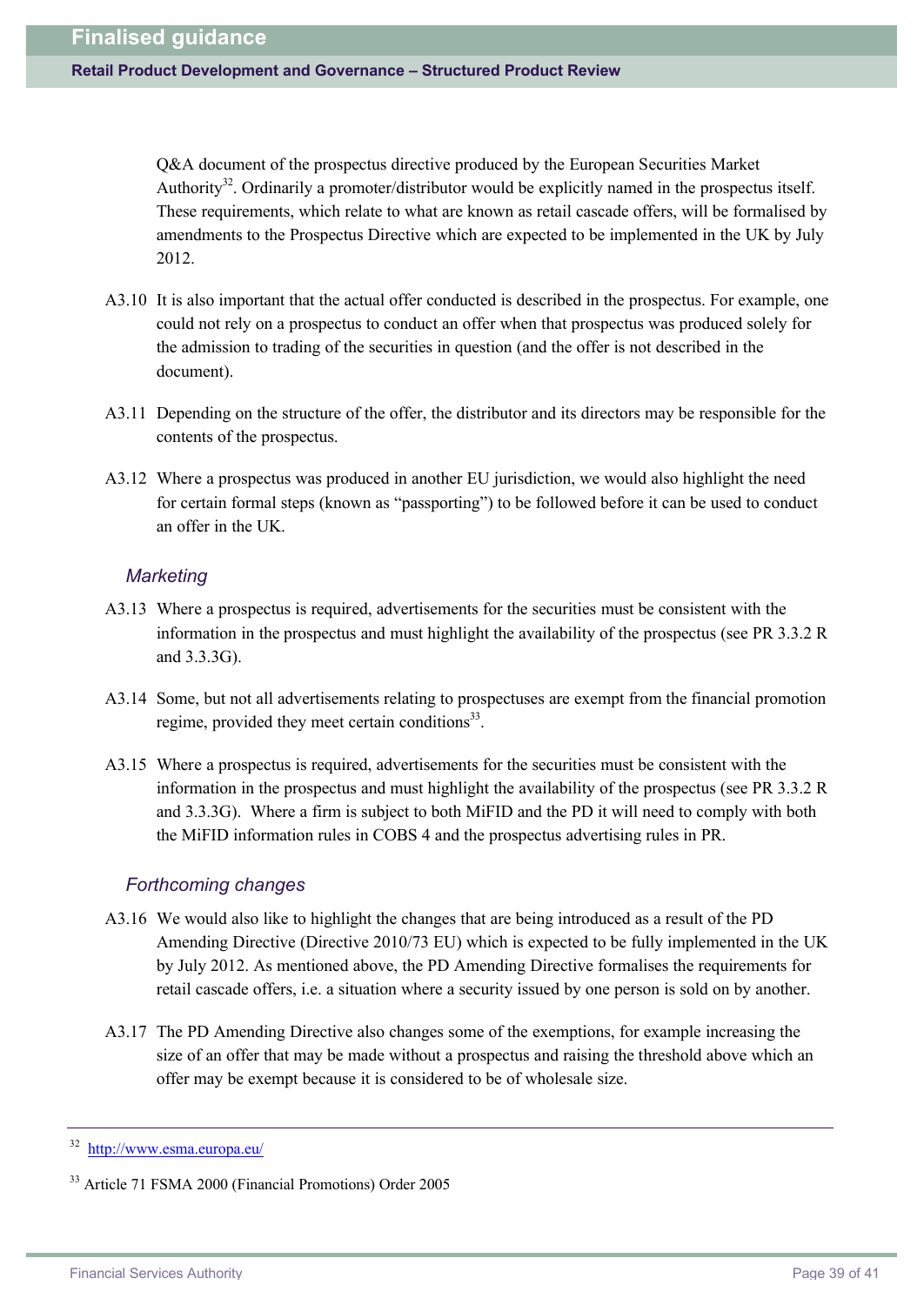Q&A document of the prospectus directive produced by the European Securities Market Authority<sup>32</sup>. Ordinarily a promoter/distributor would be explicitly named in the prospectus itself. These requirements, which relate to what are known as retail cascade offers, will be formalised by amendments to the Prospectus Directive which are expected to be implemented in the UK by July 2012.

- A3.10 It is also important that the actual offer conducted is described in the prospectus. For example, one could not rely on a prospectus to conduct an offer when that prospectus was produced solely for the admission to trading of the securities in question (and the offer is not described in the document).
- A3.11 Depending on the structure of the offer, the distributor and its directors may be responsible for the contents of the prospectus.
- A3.12 Where a prospectus was produced in another EU jurisdiction, we would also highlight the need for certain formal steps (known as "passporting") to be followed before it can be used to conduct an offer in the UK.

#### *Marketing*

- A3.13 Where a prospectus is required, advertisements for the securities must be consistent with the information in the prospectus and must highlight the availability of the prospectus (see PR 3.3.2 R and 3.3.3G).
- A3.14 Some, but not all advertisements relating to prospectuses are exempt from the financial promotion regime, provided they meet certain conditions<sup>33</sup>.
- A3.15 Where a prospectus is required, advertisements for the securities must be consistent with the information in the prospectus and must highlight the availability of the prospectus (see PR 3.3.2 R and 3.3.3G). Where a firm is subject to both MiFID and the PD it will need to comply with both the MiFID information rules in COBS 4 and the prospectus advertising rules in PR.

#### *Forthcoming changes*

- A3.16 We would also like to highlight the changes that are being introduced as a result of the PD Amending Directive (Directive 2010/73 EU) which is expected to be fully implemented in the UK by July 2012. As mentioned above, the PD Amending Directive formalises the requirements for retail cascade offers, i.e. a situation where a security issued by one person is sold on by another.
- A3.17 The PD Amending Directive also changes some of the exemptions, for example increasing the size of an offer that may be made without a prospectus and raising the threshold above which an offer may be exempt because it is considered to be of wholesale size.

<sup>32</sup> [http://w](http://www.esma.europa.eu/)[ww.esma.europa.eu/](www.esma.europa.eu/)

<sup>33</sup> Article 71 FSMA 2000 (Financial Promotions) Order 2005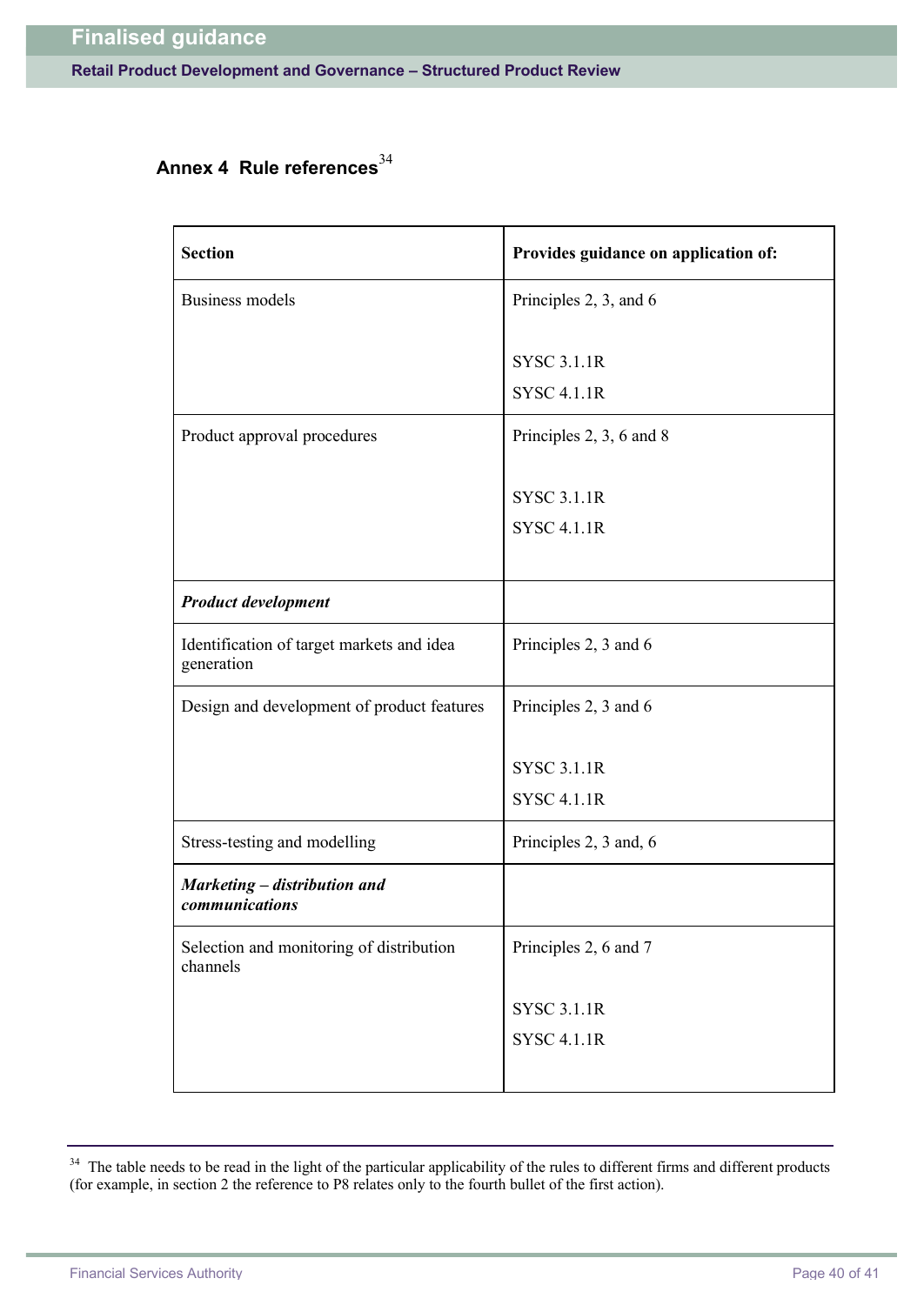# Annex 4 Rule references<sup>34</sup>

| <b>Section</b>                                          | Provides guidance on application of:     |
|---------------------------------------------------------|------------------------------------------|
| <b>Business models</b>                                  | Principles 2, 3, and 6                   |
|                                                         | <b>SYSC 3.1.1R</b><br><b>SYSC 4.1.1R</b> |
| Product approval procedures                             | Principles 2, 3, 6 and 8                 |
|                                                         | <b>SYSC 3.1.1R</b><br><b>SYSC 4.1.1R</b> |
| <b>Product development</b>                              |                                          |
| Identification of target markets and idea<br>generation | Principles 2, 3 and 6                    |
| Design and development of product features              | Principles 2, 3 and 6                    |
|                                                         | <b>SYSC 3.1.1R</b><br><b>SYSC 4.1.1R</b> |
| Stress-testing and modelling                            | Principles 2, 3 and, 6                   |
| Marketing – distribution and<br>communications          |                                          |
| Selection and monitoring of distribution<br>channels    | Principles 2, 6 and 7                    |
|                                                         | <b>SYSC 3.1.1R</b><br><b>SYSC 4.1.1R</b> |

<sup>&</sup>lt;sup>34</sup> The table needs to be read in the light of the particular applicability of the rules to different firms and different products (for example, in section 2 the reference to P8 relates only to the fourth bullet of the first action).